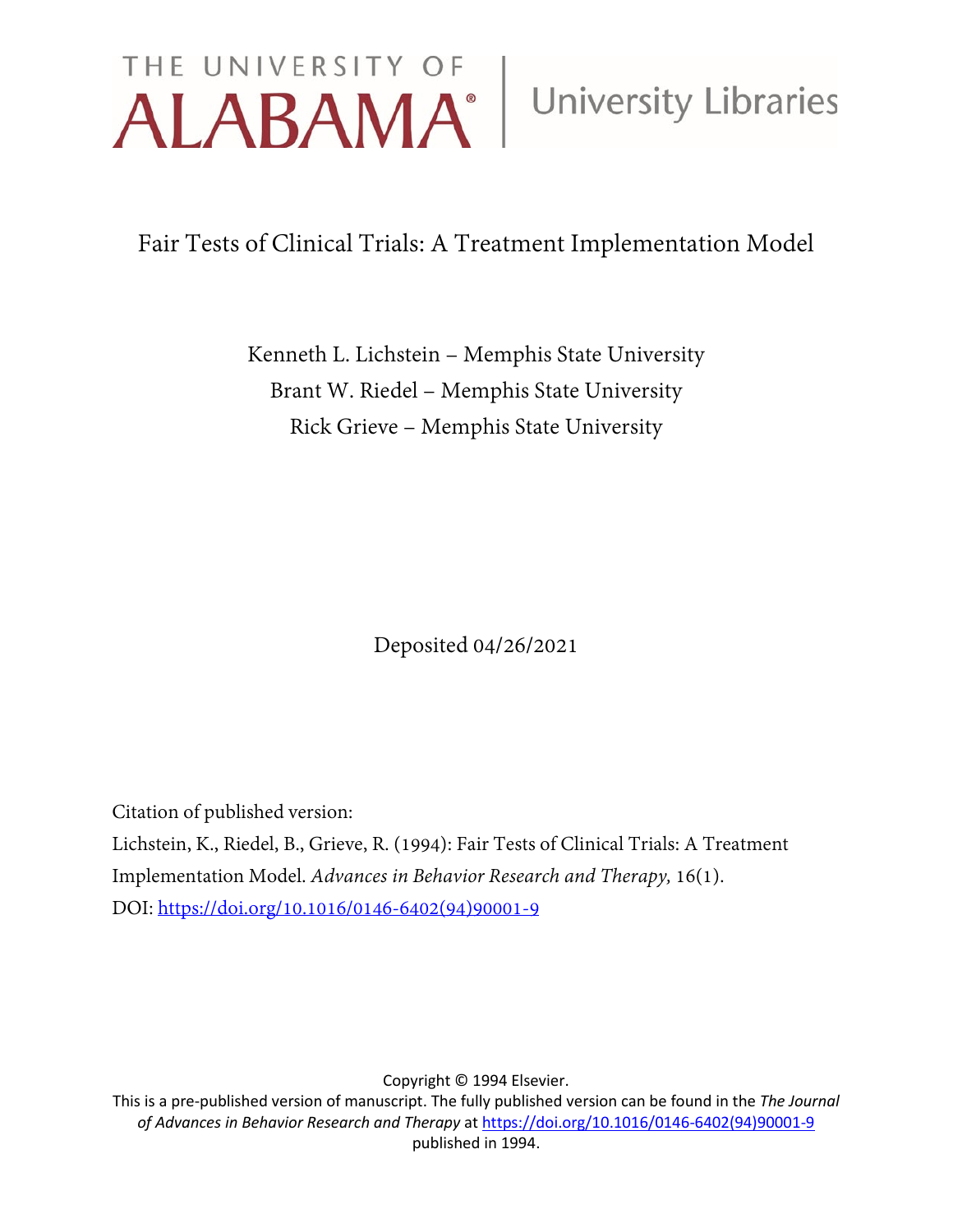# THE UNIVERSITY OF University Libraries

Fair Tests of Clinical Trials: A Treatment Implementation Model

Kenneth L. Lichstein – Memphis State University Brant W. Riedel – Memphis State University Rick Grieve – Memphis State University

Deposited 04/26/2021

Citation of published version:

Lichstein, K., Riedel, B., Grieve, R. (1994): Fair Tests of Clinical Trials: A Treatment Implementation Model. *Advances in Behavior Research and Therapy,* 16(1). DOI: [https://doi.org/10.1016/0146-6402\(94\)90001-9](https://doi.org/10.1016/0146-6402(94)90001-9)

Copyright © 1994 Elsevier.

This is a pre-published version of manuscript. The fully published version can be found in the *The Journal of Advances in Behavior Research and Therapy* at [https://doi.org/10.1016/0146-6402\(94\)90001-9](https://doi.org/10.1016/0146-6402(94)90001-9) published in 1994.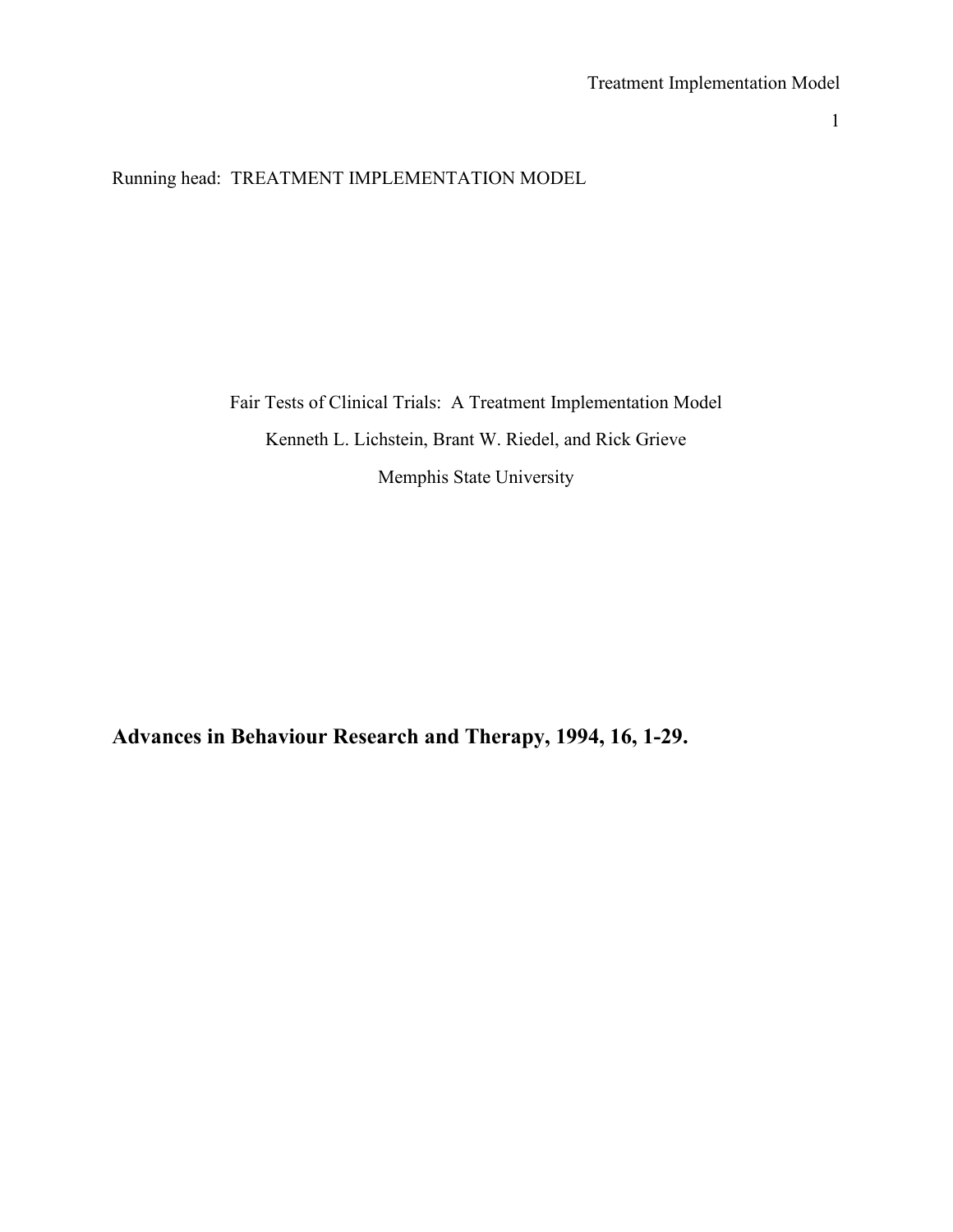### Running head: TREATMENT IMPLEMENTATION MODEL

Fair Tests of Clinical Trials: A Treatment Implementation Model Kenneth L. Lichstein, Brant W. Riedel, and Rick Grieve Memphis State University

**Advances in Behaviour Research and Therapy, 1994, 16, 1-29.**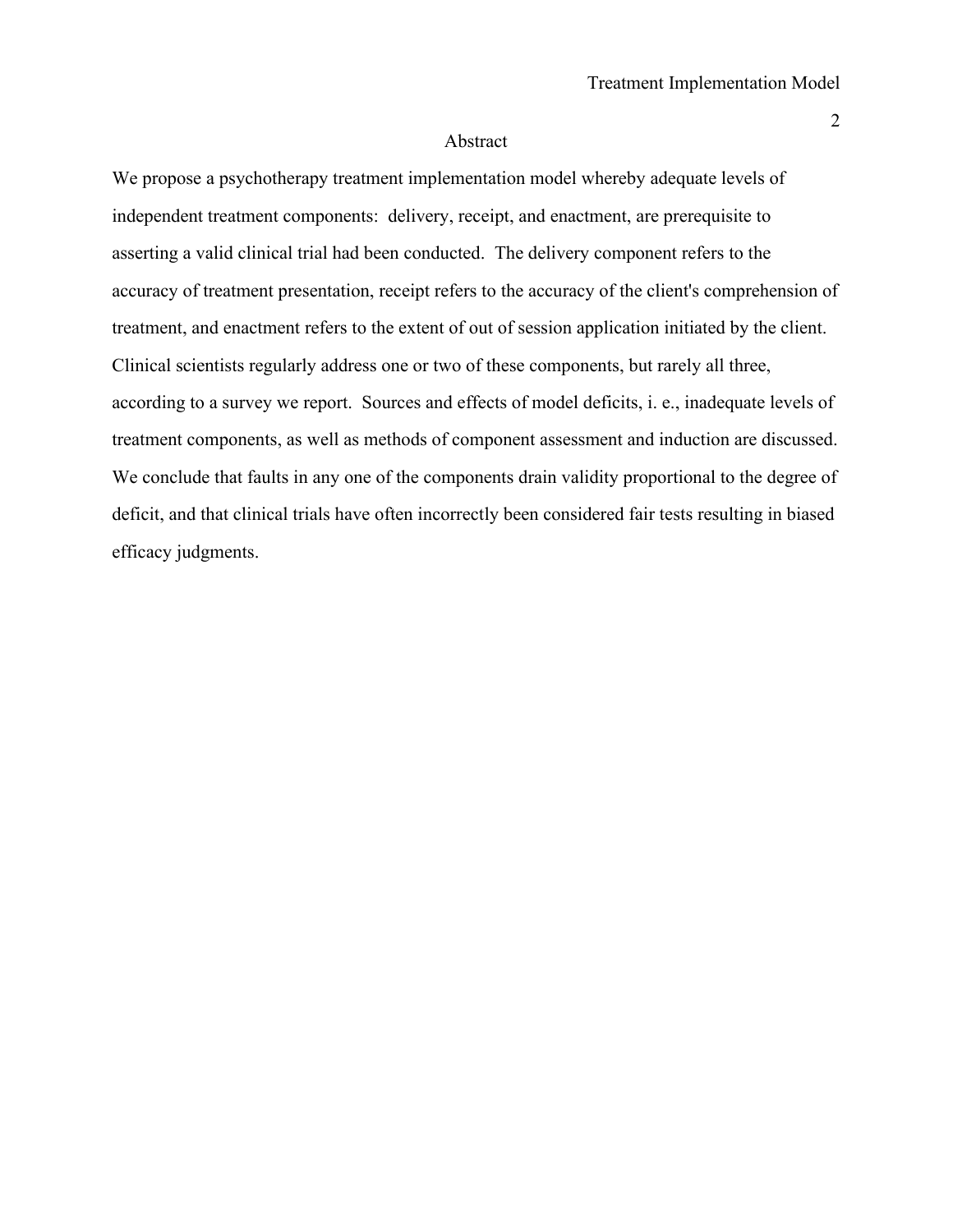#### Abstract

We propose a psychotherapy treatment implementation model whereby adequate levels of independent treatment components: delivery, receipt, and enactment, are prerequisite to asserting a valid clinical trial had been conducted. The delivery component refers to the accuracy of treatment presentation, receipt refers to the accuracy of the client's comprehension of treatment, and enactment refers to the extent of out of session application initiated by the client. Clinical scientists regularly address one or two of these components, but rarely all three, according to a survey we report. Sources and effects of model deficits, i. e., inadequate levels of treatment components, as well as methods of component assessment and induction are discussed. We conclude that faults in any one of the components drain validity proportional to the degree of deficit, and that clinical trials have often incorrectly been considered fair tests resulting in biased efficacy judgments.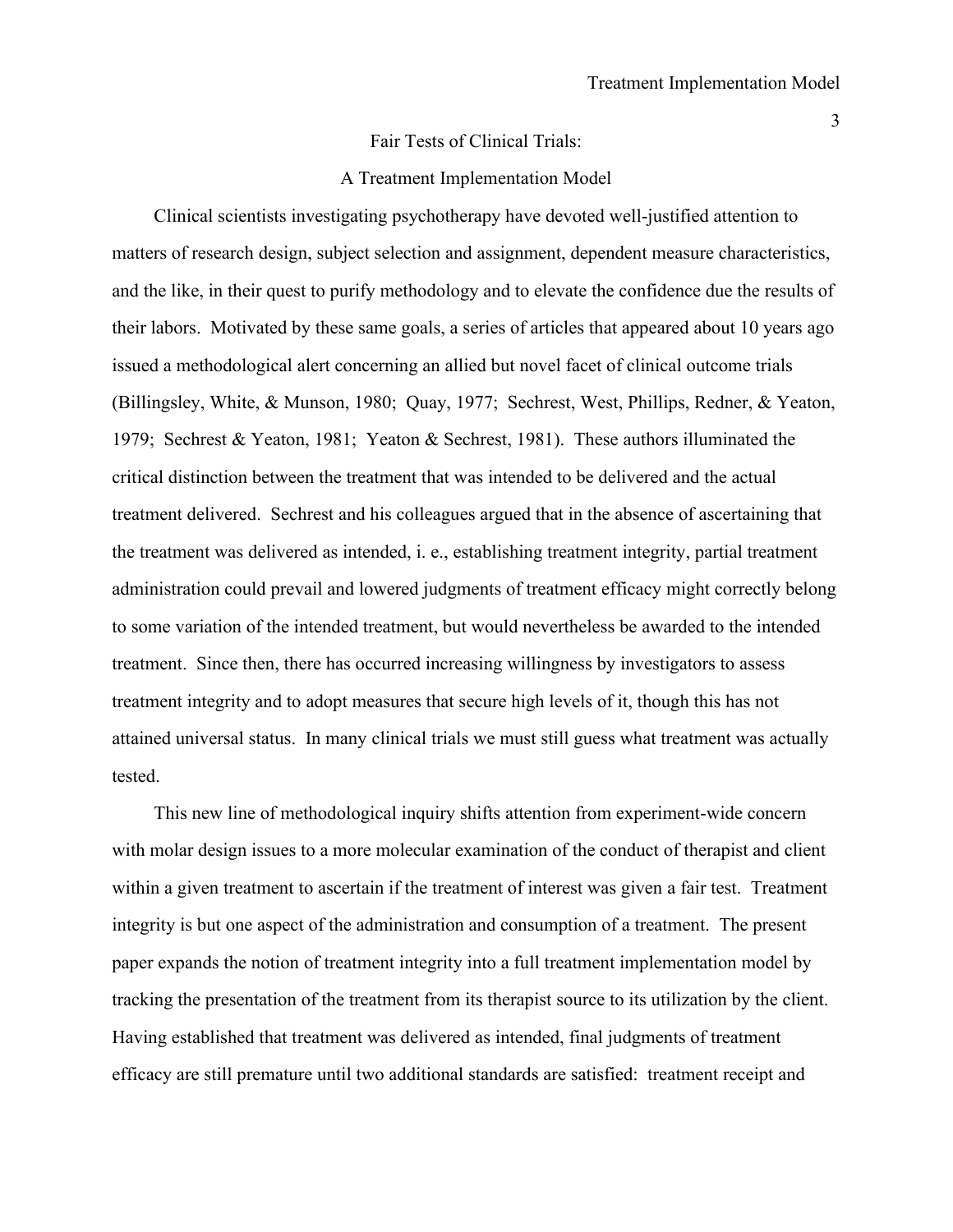#### Fair Tests of Clinical Trials:

#### A Treatment Implementation Model

Clinical scientists investigating psychotherapy have devoted well-justified attention to matters of research design, subject selection and assignment, dependent measure characteristics, and the like, in their quest to purify methodology and to elevate the confidence due the results of their labors. Motivated by these same goals, a series of articles that appeared about 10 years ago issued a methodological alert concerning an allied but novel facet of clinical outcome trials (Billingsley, White, & Munson, 1980; Quay, 1977; Sechrest, West, Phillips, Redner, & Yeaton, 1979; Sechrest & Yeaton, 1981; Yeaton & Sechrest, 1981). These authors illuminated the critical distinction between the treatment that was intended to be delivered and the actual treatment delivered. Sechrest and his colleagues argued that in the absence of ascertaining that the treatment was delivered as intended, i. e., establishing treatment integrity, partial treatment administration could prevail and lowered judgments of treatment efficacy might correctly belong to some variation of the intended treatment, but would nevertheless be awarded to the intended treatment. Since then, there has occurred increasing willingness by investigators to assess treatment integrity and to adopt measures that secure high levels of it, though this has not attained universal status. In many clinical trials we must still guess what treatment was actually tested.

This new line of methodological inquiry shifts attention from experiment-wide concern with molar design issues to a more molecular examination of the conduct of therapist and client within a given treatment to ascertain if the treatment of interest was given a fair test. Treatment integrity is but one aspect of the administration and consumption of a treatment. The present paper expands the notion of treatment integrity into a full treatment implementation model by tracking the presentation of the treatment from its therapist source to its utilization by the client. Having established that treatment was delivered as intended, final judgments of treatment efficacy are still premature until two additional standards are satisfied: treatment receipt and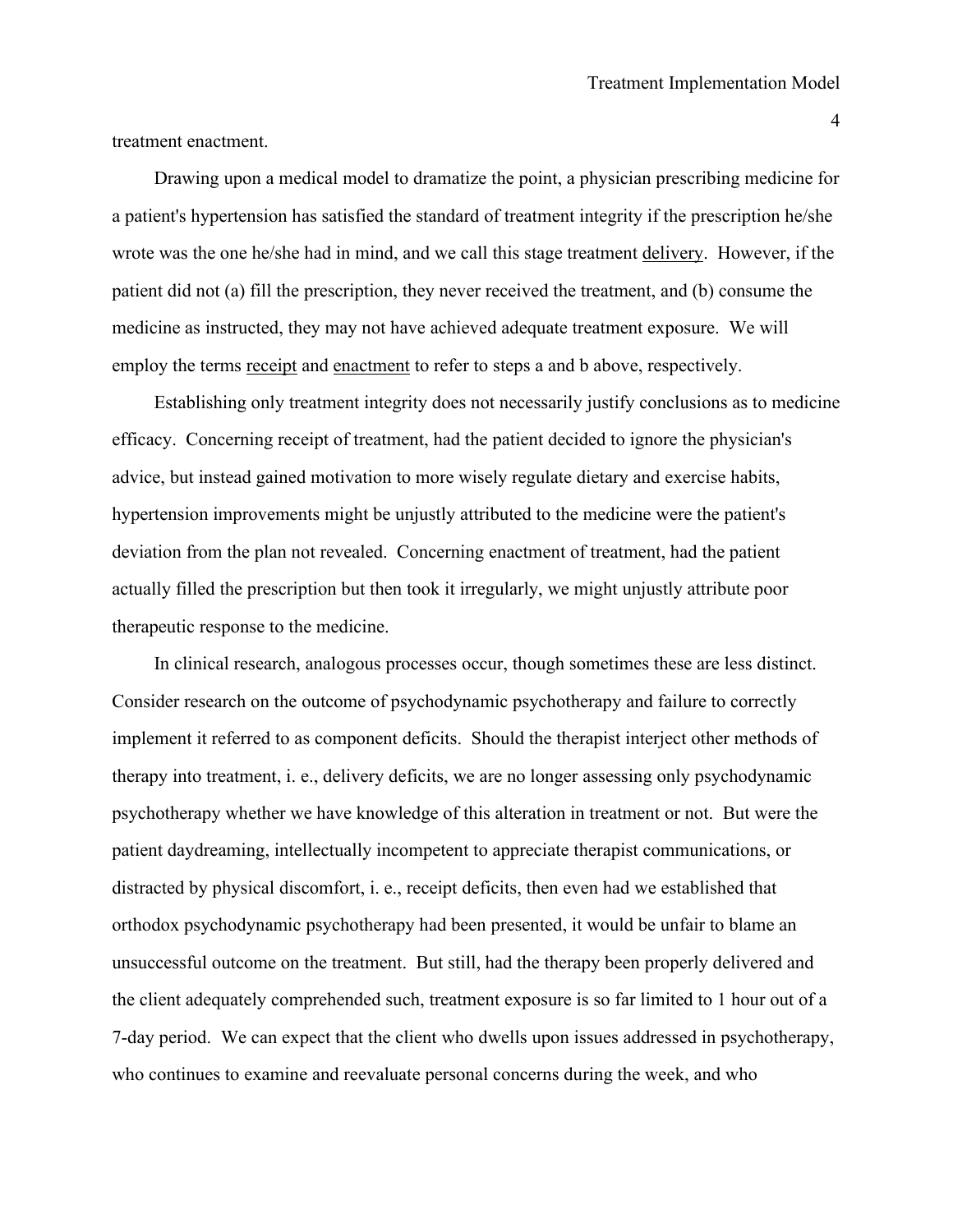treatment enactment.

Drawing upon a medical model to dramatize the point, a physician prescribing medicine for a patient's hypertension has satisfied the standard of treatment integrity if the prescription he/she wrote was the one he/she had in mind, and we call this stage treatment delivery. However, if the patient did not (a) fill the prescription, they never received the treatment, and (b) consume the medicine as instructed, they may not have achieved adequate treatment exposure. We will employ the terms receipt and enactment to refer to steps a and b above, respectively.

Establishing only treatment integrity does not necessarily justify conclusions as to medicine efficacy. Concerning receipt of treatment, had the patient decided to ignore the physician's advice, but instead gained motivation to more wisely regulate dietary and exercise habits, hypertension improvements might be unjustly attributed to the medicine were the patient's deviation from the plan not revealed. Concerning enactment of treatment, had the patient actually filled the prescription but then took it irregularly, we might unjustly attribute poor therapeutic response to the medicine.

In clinical research, analogous processes occur, though sometimes these are less distinct. Consider research on the outcome of psychodynamic psychotherapy and failure to correctly implement it referred to as component deficits. Should the therapist interject other methods of therapy into treatment, i. e., delivery deficits, we are no longer assessing only psychodynamic psychotherapy whether we have knowledge of this alteration in treatment or not. But were the patient daydreaming, intellectually incompetent to appreciate therapist communications, or distracted by physical discomfort, i. e., receipt deficits, then even had we established that orthodox psychodynamic psychotherapy had been presented, it would be unfair to blame an unsuccessful outcome on the treatment. But still, had the therapy been properly delivered and the client adequately comprehended such, treatment exposure is so far limited to 1 hour out of a 7-day period. We can expect that the client who dwells upon issues addressed in psychotherapy, who continues to examine and reevaluate personal concerns during the week, and who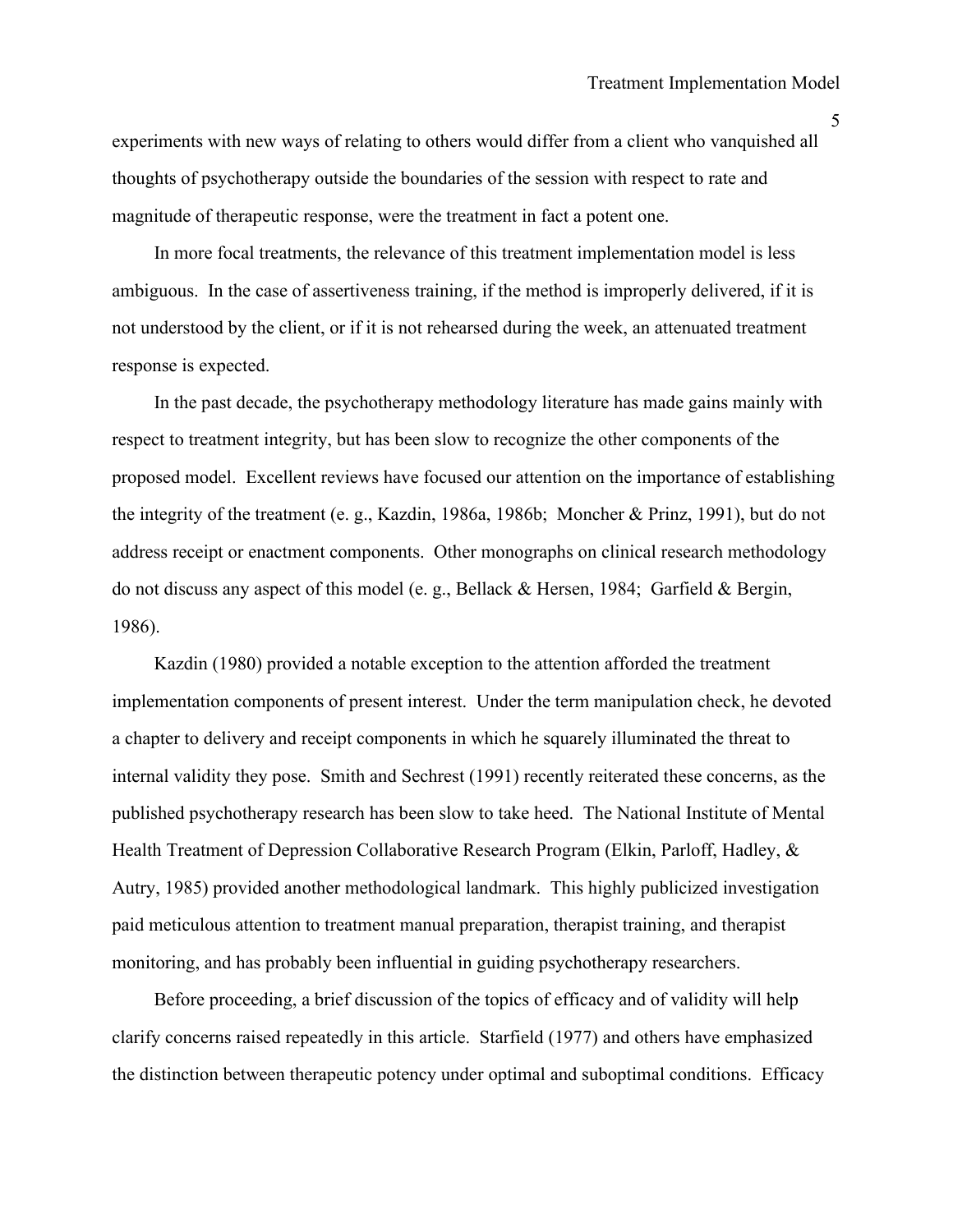experiments with new ways of relating to others would differ from a client who vanquished all thoughts of psychotherapy outside the boundaries of the session with respect to rate and magnitude of therapeutic response, were the treatment in fact a potent one.

In more focal treatments, the relevance of this treatment implementation model is less ambiguous. In the case of assertiveness training, if the method is improperly delivered, if it is not understood by the client, or if it is not rehearsed during the week, an attenuated treatment response is expected.

In the past decade, the psychotherapy methodology literature has made gains mainly with respect to treatment integrity, but has been slow to recognize the other components of the proposed model. Excellent reviews have focused our attention on the importance of establishing the integrity of the treatment (e. g., Kazdin, 1986a, 1986b; Moncher & Prinz, 1991), but do not address receipt or enactment components. Other monographs on clinical research methodology do not discuss any aspect of this model (e. g., Bellack & Hersen, 1984; Garfield & Bergin, 1986).

Kazdin (1980) provided a notable exception to the attention afforded the treatment implementation components of present interest. Under the term manipulation check, he devoted a chapter to delivery and receipt components in which he squarely illuminated the threat to internal validity they pose. Smith and Sechrest (1991) recently reiterated these concerns, as the published psychotherapy research has been slow to take heed. The National Institute of Mental Health Treatment of Depression Collaborative Research Program (Elkin, Parloff, Hadley, & Autry, 1985) provided another methodological landmark. This highly publicized investigation paid meticulous attention to treatment manual preparation, therapist training, and therapist monitoring, and has probably been influential in guiding psychotherapy researchers.

Before proceeding, a brief discussion of the topics of efficacy and of validity will help clarify concerns raised repeatedly in this article. Starfield (1977) and others have emphasized the distinction between therapeutic potency under optimal and suboptimal conditions. Efficacy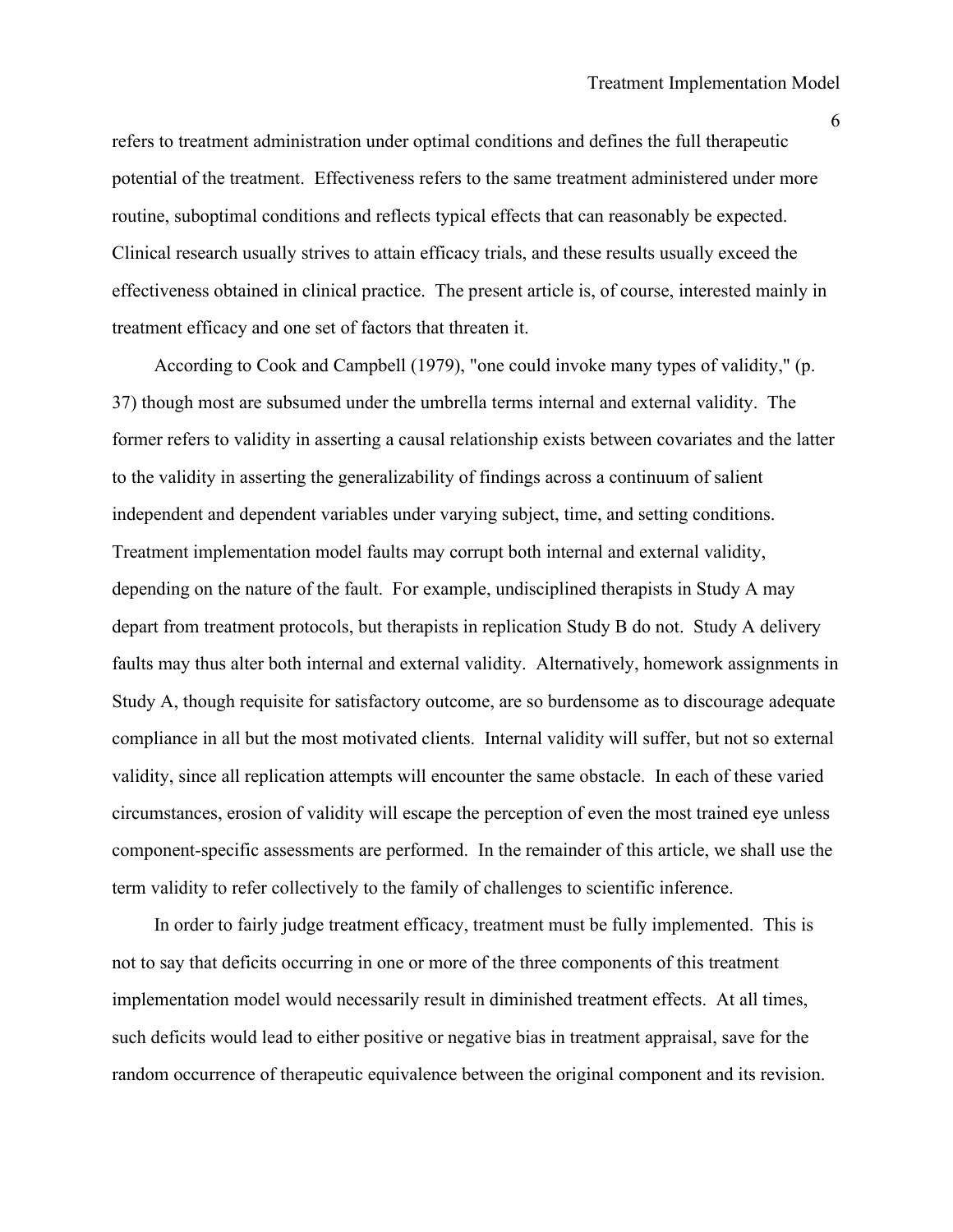refers to treatment administration under optimal conditions and defines the full therapeutic potential of the treatment. Effectiveness refers to the same treatment administered under more routine, suboptimal conditions and reflects typical effects that can reasonably be expected. Clinical research usually strives to attain efficacy trials, and these results usually exceed the effectiveness obtained in clinical practice. The present article is, of course, interested mainly in treatment efficacy and one set of factors that threaten it.

According to Cook and Campbell (1979), "one could invoke many types of validity," (p. 37) though most are subsumed under the umbrella terms internal and external validity. The former refers to validity in asserting a causal relationship exists between covariates and the latter to the validity in asserting the generalizability of findings across a continuum of salient independent and dependent variables under varying subject, time, and setting conditions. Treatment implementation model faults may corrupt both internal and external validity, depending on the nature of the fault. For example, undisciplined therapists in Study A may depart from treatment protocols, but therapists in replication Study B do not. Study A delivery faults may thus alter both internal and external validity. Alternatively, homework assignments in Study A, though requisite for satisfactory outcome, are so burdensome as to discourage adequate compliance in all but the most motivated clients. Internal validity will suffer, but not so external validity, since all replication attempts will encounter the same obstacle. In each of these varied circumstances, erosion of validity will escape the perception of even the most trained eye unless component-specific assessments are performed. In the remainder of this article, we shall use the term validity to refer collectively to the family of challenges to scientific inference.

In order to fairly judge treatment efficacy, treatment must be fully implemented. This is not to say that deficits occurring in one or more of the three components of this treatment implementation model would necessarily result in diminished treatment effects. At all times, such deficits would lead to either positive or negative bias in treatment appraisal, save for the random occurrence of therapeutic equivalence between the original component and its revision.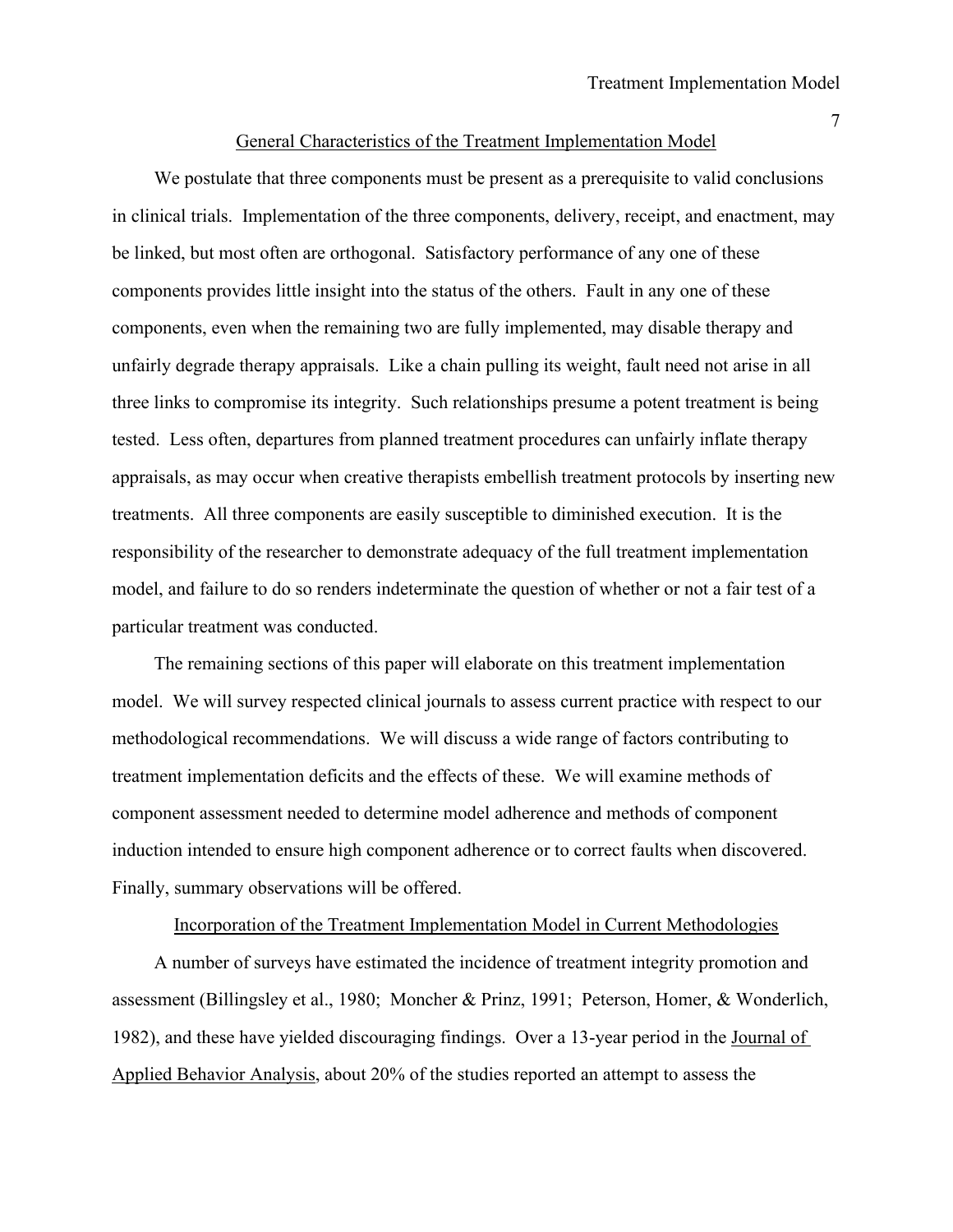#### General Characteristics of the Treatment Implementation Model

We postulate that three components must be present as a prerequisite to valid conclusions in clinical trials. Implementation of the three components, delivery, receipt, and enactment, may be linked, but most often are orthogonal. Satisfactory performance of any one of these components provides little insight into the status of the others. Fault in any one of these components, even when the remaining two are fully implemented, may disable therapy and unfairly degrade therapy appraisals. Like a chain pulling its weight, fault need not arise in all three links to compromise its integrity. Such relationships presume a potent treatment is being tested. Less often, departures from planned treatment procedures can unfairly inflate therapy appraisals, as may occur when creative therapists embellish treatment protocols by inserting new treatments. All three components are easily susceptible to diminished execution. It is the responsibility of the researcher to demonstrate adequacy of the full treatment implementation model, and failure to do so renders indeterminate the question of whether or not a fair test of a particular treatment was conducted.

The remaining sections of this paper will elaborate on this treatment implementation model. We will survey respected clinical journals to assess current practice with respect to our methodological recommendations. We will discuss a wide range of factors contributing to treatment implementation deficits and the effects of these. We will examine methods of component assessment needed to determine model adherence and methods of component induction intended to ensure high component adherence or to correct faults when discovered. Finally, summary observations will be offered.

#### Incorporation of the Treatment Implementation Model in Current Methodologies

A number of surveys have estimated the incidence of treatment integrity promotion and assessment (Billingsley et al., 1980; Moncher & Prinz, 1991; Peterson, Homer, & Wonderlich, 1982), and these have yielded discouraging findings. Over a 13-year period in the Journal of Applied Behavior Analysis, about 20% of the studies reported an attempt to assess the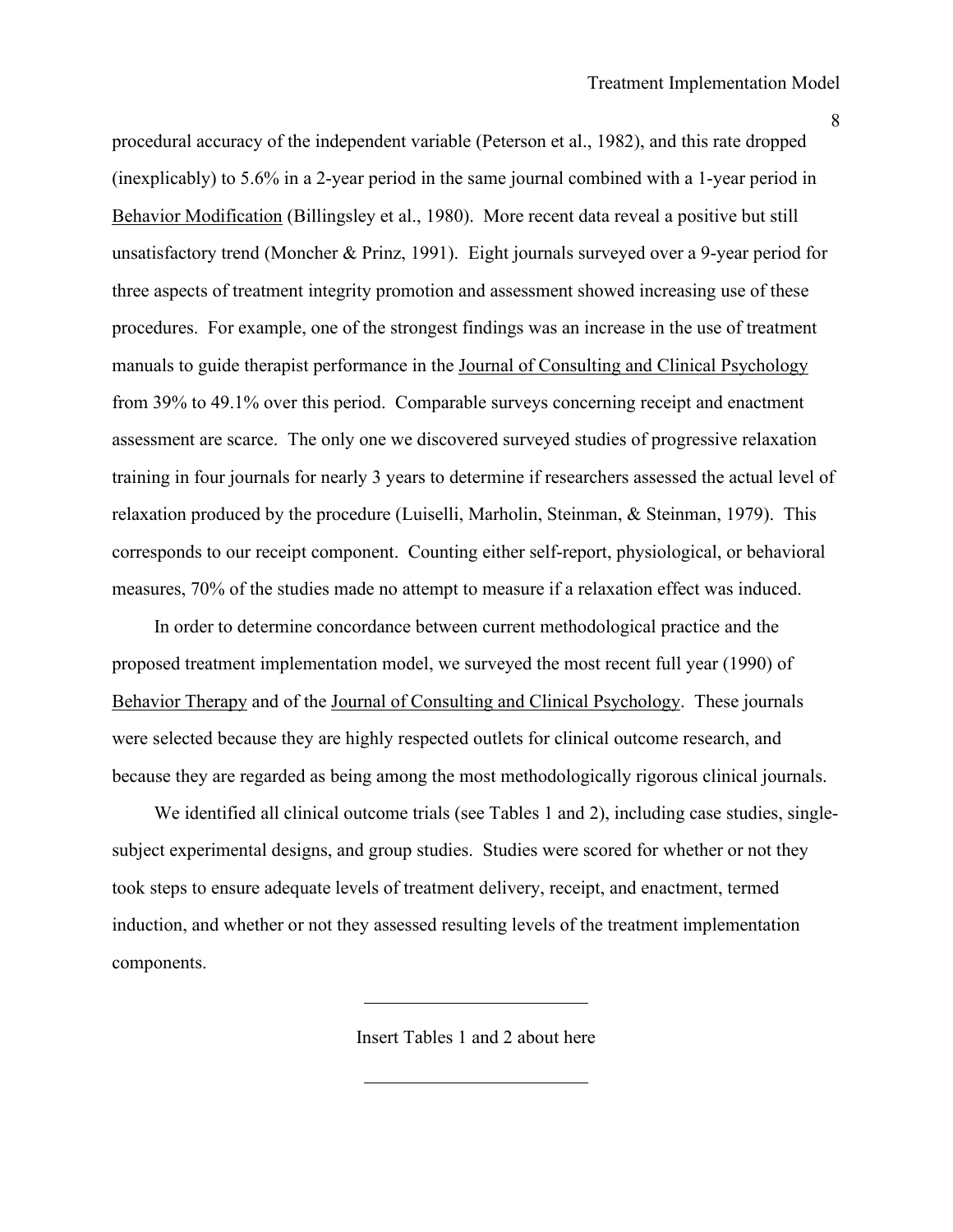procedural accuracy of the independent variable (Peterson et al., 1982), and this rate dropped (inexplicably) to 5.6% in a 2-year period in the same journal combined with a 1-year period in Behavior Modification (Billingsley et al., 1980). More recent data reveal a positive but still unsatisfactory trend (Moncher & Prinz, 1991). Eight journals surveyed over a 9-year period for three aspects of treatment integrity promotion and assessment showed increasing use of these procedures. For example, one of the strongest findings was an increase in the use of treatment manuals to guide therapist performance in the Journal of Consulting and Clinical Psychology from 39% to 49.1% over this period. Comparable surveys concerning receipt and enactment assessment are scarce. The only one we discovered surveyed studies of progressive relaxation training in four journals for nearly 3 years to determine if researchers assessed the actual level of relaxation produced by the procedure (Luiselli, Marholin, Steinman, & Steinman, 1979). This corresponds to our receipt component. Counting either self-report, physiological, or behavioral measures, 70% of the studies made no attempt to measure if a relaxation effect was induced.

In order to determine concordance between current methodological practice and the proposed treatment implementation model, we surveyed the most recent full year (1990) of Behavior Therapy and of the Journal of Consulting and Clinical Psychology. These journals were selected because they are highly respected outlets for clinical outcome research, and because they are regarded as being among the most methodologically rigorous clinical journals.

We identified all clinical outcome trials (see Tables 1 and 2), including case studies, singlesubject experimental designs, and group studies. Studies were scored for whether or not they took steps to ensure adequate levels of treatment delivery, receipt, and enactment, termed induction, and whether or not they assessed resulting levels of the treatment implementation components.

Insert Tables 1 and 2 about here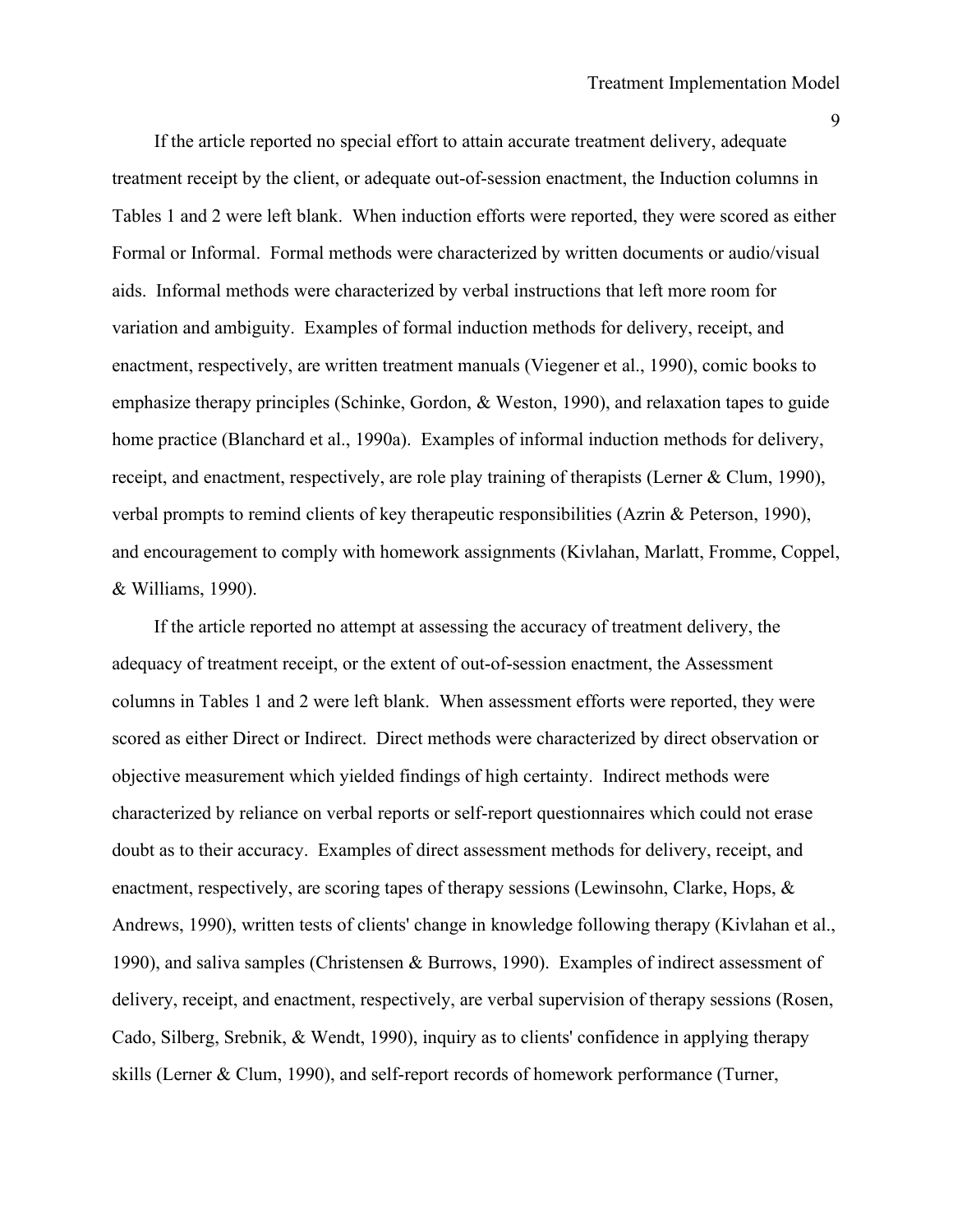If the article reported no special effort to attain accurate treatment delivery, adequate treatment receipt by the client, or adequate out-of-session enactment, the Induction columns in Tables 1 and 2 were left blank. When induction efforts were reported, they were scored as either Formal or Informal. Formal methods were characterized by written documents or audio/visual aids. Informal methods were characterized by verbal instructions that left more room for variation and ambiguity. Examples of formal induction methods for delivery, receipt, and enactment, respectively, are written treatment manuals (Viegener et al., 1990), comic books to emphasize therapy principles (Schinke, Gordon, & Weston, 1990), and relaxation tapes to guide home practice (Blanchard et al., 1990a). Examples of informal induction methods for delivery, receipt, and enactment, respectively, are role play training of therapists (Lerner & Clum, 1990), verbal prompts to remind clients of key therapeutic responsibilities (Azrin & Peterson, 1990), and encouragement to comply with homework assignments (Kivlahan, Marlatt, Fromme, Coppel, & Williams, 1990).

If the article reported no attempt at assessing the accuracy of treatment delivery, the adequacy of treatment receipt, or the extent of out-of-session enactment, the Assessment columns in Tables 1 and 2 were left blank. When assessment efforts were reported, they were scored as either Direct or Indirect. Direct methods were characterized by direct observation or objective measurement which yielded findings of high certainty. Indirect methods were characterized by reliance on verbal reports or self-report questionnaires which could not erase doubt as to their accuracy. Examples of direct assessment methods for delivery, receipt, and enactment, respectively, are scoring tapes of therapy sessions (Lewinsohn, Clarke, Hops, & Andrews, 1990), written tests of clients' change in knowledge following therapy (Kivlahan et al., 1990), and saliva samples (Christensen & Burrows, 1990). Examples of indirect assessment of delivery, receipt, and enactment, respectively, are verbal supervision of therapy sessions (Rosen, Cado, Silberg, Srebnik, & Wendt, 1990), inquiry as to clients' confidence in applying therapy skills (Lerner & Clum, 1990), and self-report records of homework performance (Turner,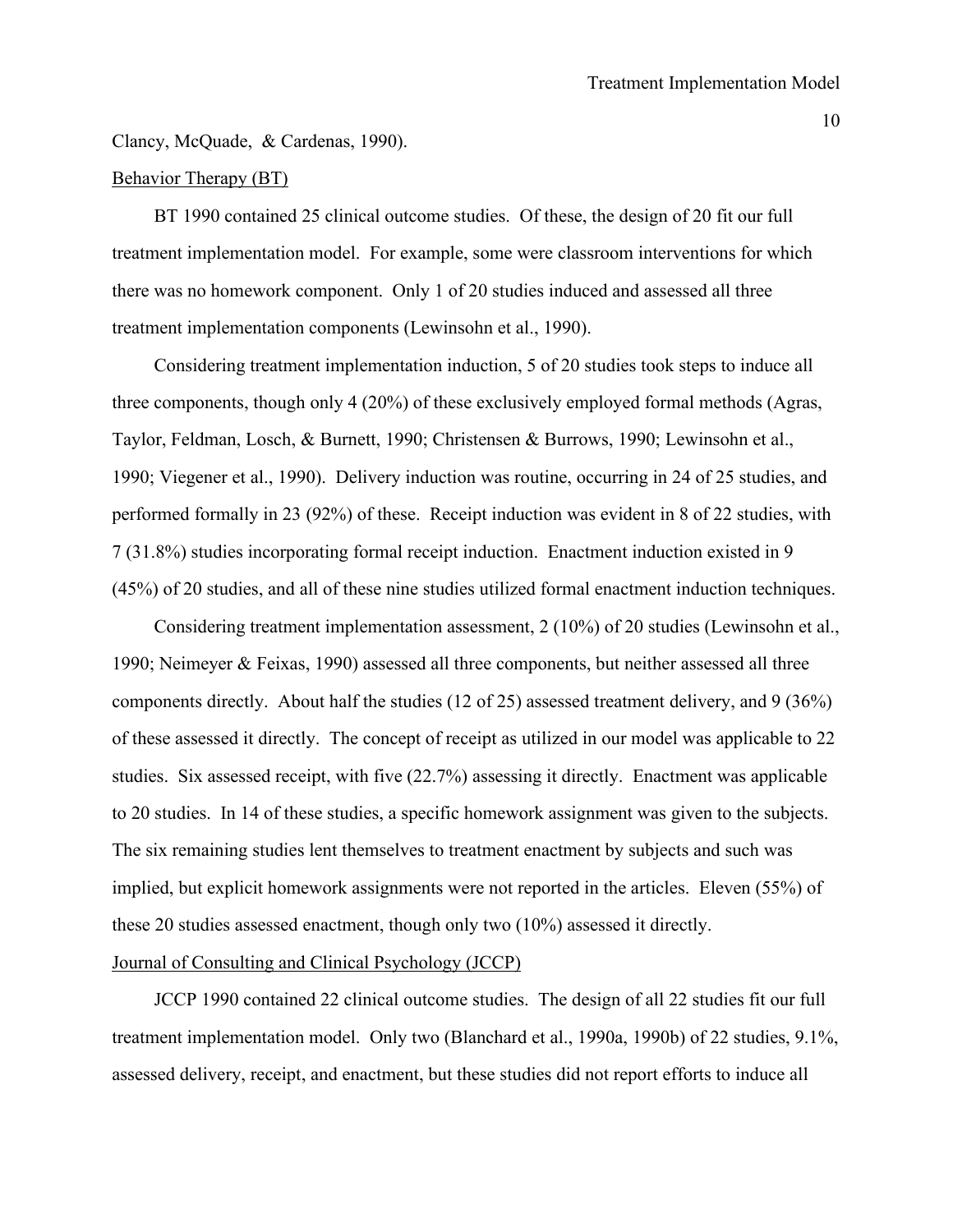Clancy, McQuade, & Cardenas, 1990).

#### Behavior Therapy (BT)

BT 1990 contained 25 clinical outcome studies. Of these, the design of 20 fit our full treatment implementation model. For example, some were classroom interventions for which there was no homework component. Only 1 of 20 studies induced and assessed all three treatment implementation components (Lewinsohn et al., 1990).

Considering treatment implementation induction, 5 of 20 studies took steps to induce all three components, though only 4 (20%) of these exclusively employed formal methods (Agras, Taylor, Feldman, Losch, & Burnett, 1990; Christensen & Burrows, 1990; Lewinsohn et al., 1990; Viegener et al., 1990). Delivery induction was routine, occurring in 24 of 25 studies, and performed formally in 23 (92%) of these. Receipt induction was evident in 8 of 22 studies, with 7 (31.8%) studies incorporating formal receipt induction. Enactment induction existed in 9 (45%) of 20 studies, and all of these nine studies utilized formal enactment induction techniques.

Considering treatment implementation assessment, 2 (10%) of 20 studies (Lewinsohn et al., 1990; Neimeyer & Feixas, 1990) assessed all three components, but neither assessed all three components directly. About half the studies (12 of 25) assessed treatment delivery, and 9 (36%) of these assessed it directly. The concept of receipt as utilized in our model was applicable to 22 studies. Six assessed receipt, with five (22.7%) assessing it directly. Enactment was applicable to 20 studies. In 14 of these studies, a specific homework assignment was given to the subjects. The six remaining studies lent themselves to treatment enactment by subjects and such was implied, but explicit homework assignments were not reported in the articles. Eleven (55%) of these 20 studies assessed enactment, though only two (10%) assessed it directly.

#### Journal of Consulting and Clinical Psychology (JCCP)

JCCP 1990 contained 22 clinical outcome studies. The design of all 22 studies fit our full treatment implementation model. Only two (Blanchard et al., 1990a, 1990b) of 22 studies, 9.1%, assessed delivery, receipt, and enactment, but these studies did not report efforts to induce all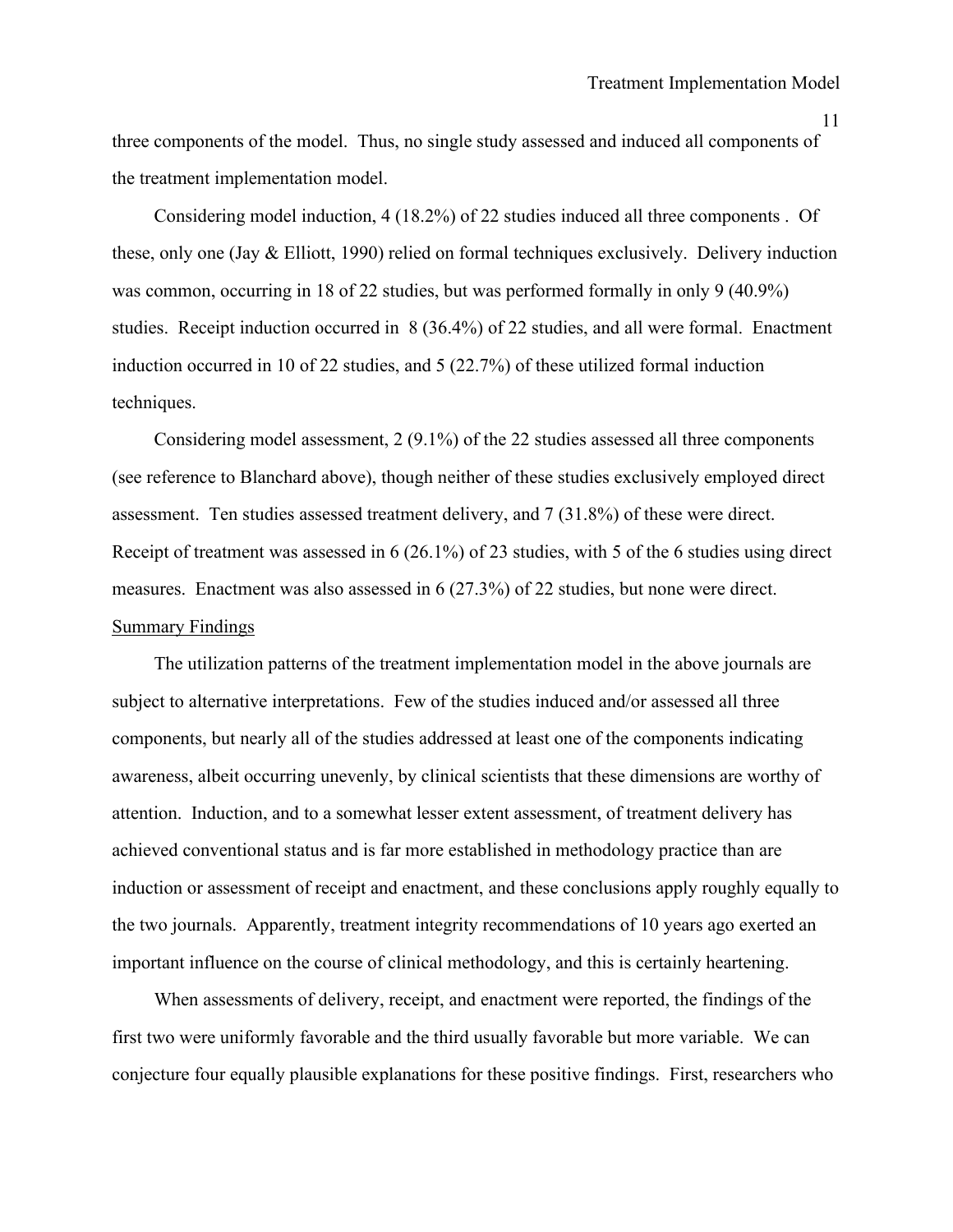three components of the model. Thus, no single study assessed and induced all components of the treatment implementation model.

Considering model induction, 4 (18.2%) of 22 studies induced all three components . Of these, only one (Jay & Elliott, 1990) relied on formal techniques exclusively. Delivery induction was common, occurring in 18 of 22 studies, but was performed formally in only 9 (40.9%) studies. Receipt induction occurred in 8 (36.4%) of 22 studies, and all were formal. Enactment induction occurred in 10 of 22 studies, and 5 (22.7%) of these utilized formal induction techniques.

Considering model assessment, 2 (9.1%) of the 22 studies assessed all three components (see reference to Blanchard above), though neither of these studies exclusively employed direct assessment. Ten studies assessed treatment delivery, and 7 (31.8%) of these were direct. Receipt of treatment was assessed in 6 (26.1%) of 23 studies, with 5 of the 6 studies using direct measures. Enactment was also assessed in 6 (27.3%) of 22 studies, but none were direct. Summary Findings

The utilization patterns of the treatment implementation model in the above journals are subject to alternative interpretations. Few of the studies induced and/or assessed all three components, but nearly all of the studies addressed at least one of the components indicating awareness, albeit occurring unevenly, by clinical scientists that these dimensions are worthy of attention. Induction, and to a somewhat lesser extent assessment, of treatment delivery has achieved conventional status and is far more established in methodology practice than are induction or assessment of receipt and enactment, and these conclusions apply roughly equally to the two journals. Apparently, treatment integrity recommendations of 10 years ago exerted an important influence on the course of clinical methodology, and this is certainly heartening.

When assessments of delivery, receipt, and enactment were reported, the findings of the first two were uniformly favorable and the third usually favorable but more variable. We can conjecture four equally plausible explanations for these positive findings. First, researchers who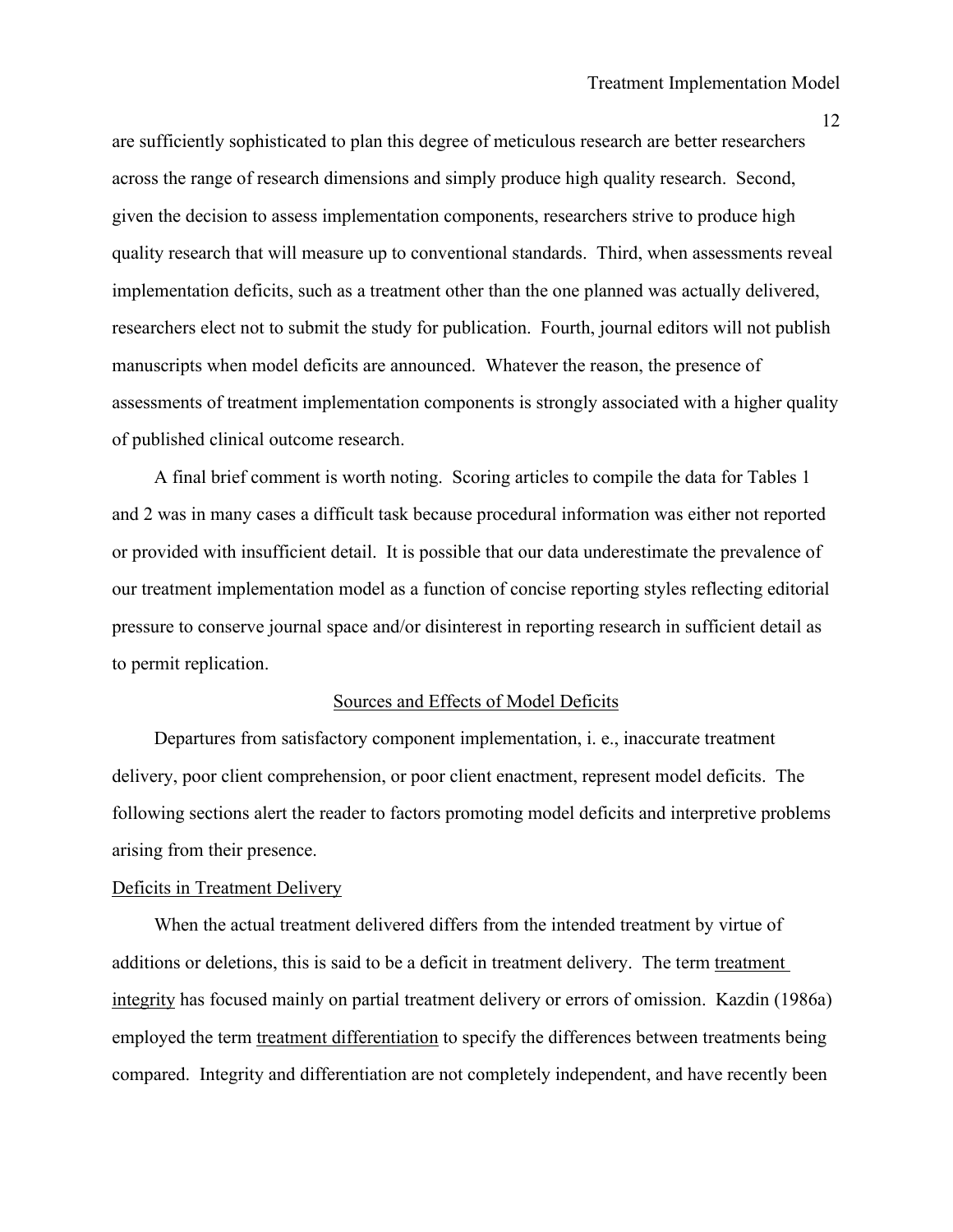are sufficiently sophisticated to plan this degree of meticulous research are better researchers across the range of research dimensions and simply produce high quality research. Second, given the decision to assess implementation components, researchers strive to produce high quality research that will measure up to conventional standards. Third, when assessments reveal implementation deficits, such as a treatment other than the one planned was actually delivered, researchers elect not to submit the study for publication. Fourth, journal editors will not publish manuscripts when model deficits are announced. Whatever the reason, the presence of assessments of treatment implementation components is strongly associated with a higher quality of published clinical outcome research.

A final brief comment is worth noting. Scoring articles to compile the data for Tables 1 and 2 was in many cases a difficult task because procedural information was either not reported or provided with insufficient detail. It is possible that our data underestimate the prevalence of our treatment implementation model as a function of concise reporting styles reflecting editorial pressure to conserve journal space and/or disinterest in reporting research in sufficient detail as to permit replication.

#### Sources and Effects of Model Deficits

Departures from satisfactory component implementation, i. e., inaccurate treatment delivery, poor client comprehension, or poor client enactment, represent model deficits. The following sections alert the reader to factors promoting model deficits and interpretive problems arising from their presence.

#### Deficits in Treatment Delivery

When the actual treatment delivered differs from the intended treatment by virtue of additions or deletions, this is said to be a deficit in treatment delivery. The term treatment integrity has focused mainly on partial treatment delivery or errors of omission. Kazdin (1986a) employed the term treatment differentiation to specify the differences between treatments being compared. Integrity and differentiation are not completely independent, and have recently been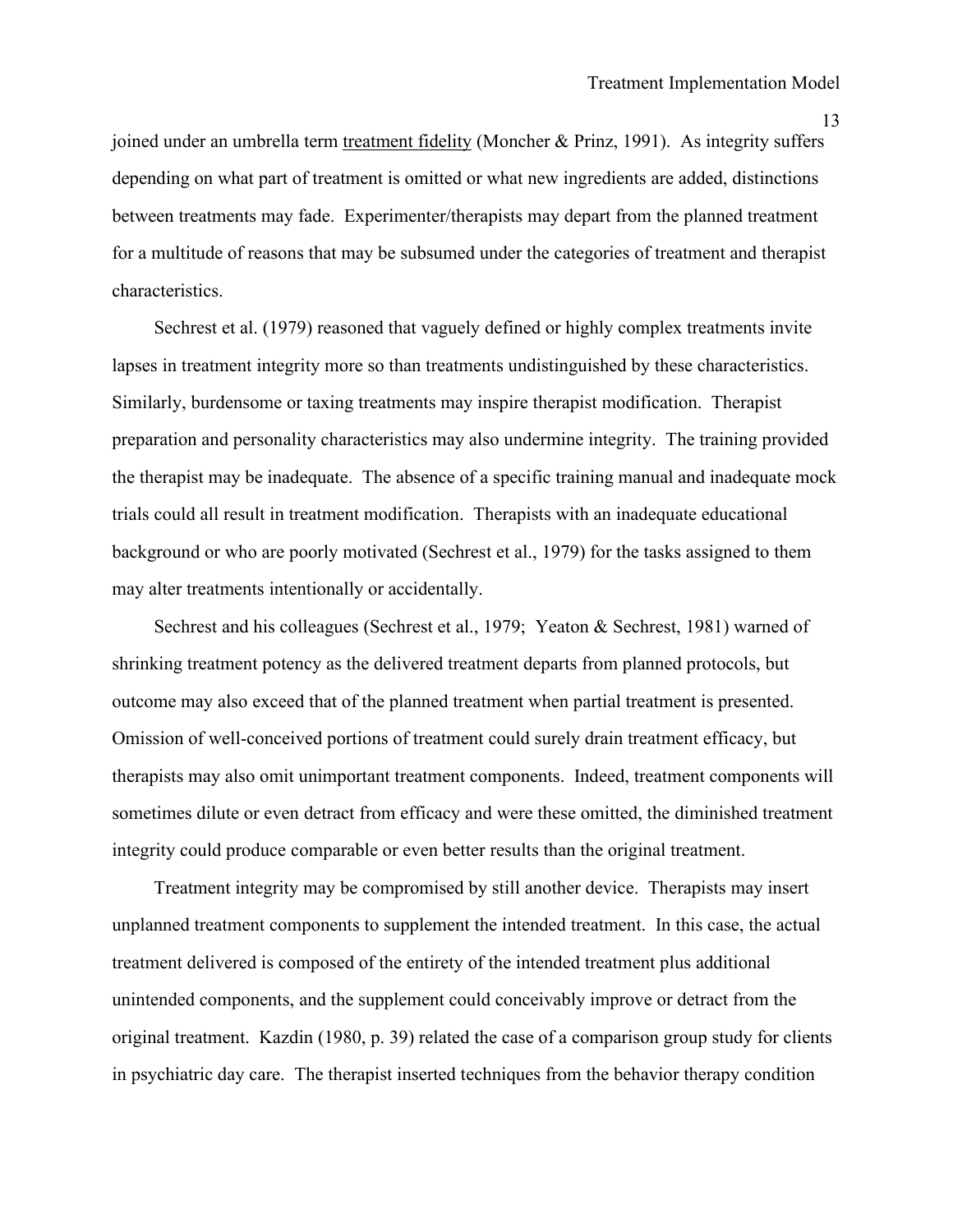joined under an umbrella term treatment fidelity (Moncher & Prinz, 1991). As integrity suffers depending on what part of treatment is omitted or what new ingredients are added, distinctions between treatments may fade. Experimenter/therapists may depart from the planned treatment for a multitude of reasons that may be subsumed under the categories of treatment and therapist characteristics.

Sechrest et al. (1979) reasoned that vaguely defined or highly complex treatments invite lapses in treatment integrity more so than treatments undistinguished by these characteristics. Similarly, burdensome or taxing treatments may inspire therapist modification. Therapist preparation and personality characteristics may also undermine integrity. The training provided the therapist may be inadequate. The absence of a specific training manual and inadequate mock trials could all result in treatment modification. Therapists with an inadequate educational background or who are poorly motivated (Sechrest et al., 1979) for the tasks assigned to them may alter treatments intentionally or accidentally.

Sechrest and his colleagues (Sechrest et al., 1979; Yeaton & Sechrest, 1981) warned of shrinking treatment potency as the delivered treatment departs from planned protocols, but outcome may also exceed that of the planned treatment when partial treatment is presented. Omission of well-conceived portions of treatment could surely drain treatment efficacy, but therapists may also omit unimportant treatment components. Indeed, treatment components will sometimes dilute or even detract from efficacy and were these omitted, the diminished treatment integrity could produce comparable or even better results than the original treatment.

Treatment integrity may be compromised by still another device. Therapists may insert unplanned treatment components to supplement the intended treatment. In this case, the actual treatment delivered is composed of the entirety of the intended treatment plus additional unintended components, and the supplement could conceivably improve or detract from the original treatment. Kazdin (1980, p. 39) related the case of a comparison group study for clients in psychiatric day care. The therapist inserted techniques from the behavior therapy condition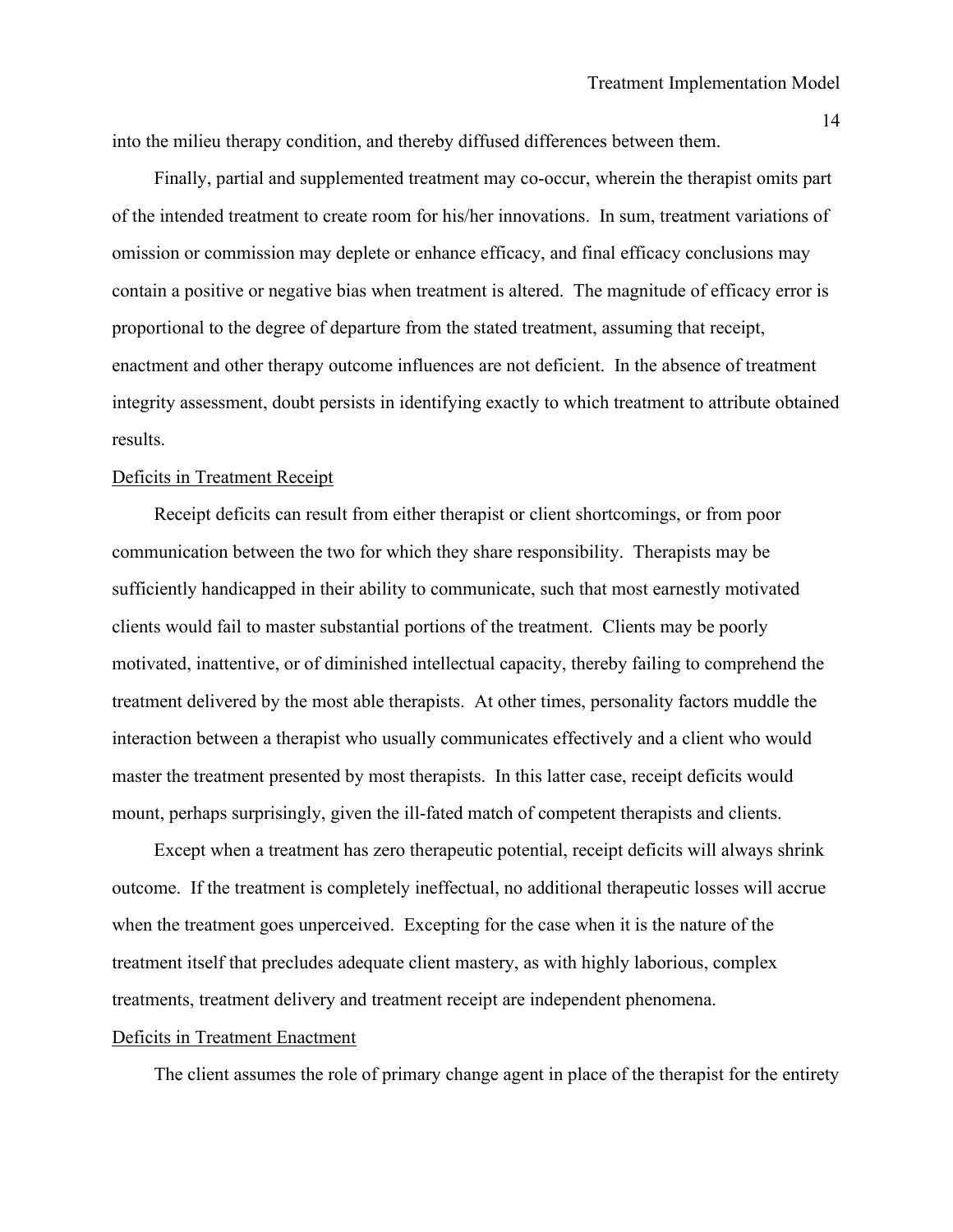into the milieu therapy condition, and thereby diffused differences between them.

Finally, partial and supplemented treatment may co-occur, wherein the therapist omits part of the intended treatment to create room for his/her innovations. In sum, treatment variations of omission or commission may deplete or enhance efficacy, and final efficacy conclusions may contain a positive or negative bias when treatment is altered. The magnitude of efficacy error is proportional to the degree of departure from the stated treatment, assuming that receipt, enactment and other therapy outcome influences are not deficient. In the absence of treatment integrity assessment, doubt persists in identifying exactly to which treatment to attribute obtained results.

#### Deficits in Treatment Receipt

Receipt deficits can result from either therapist or client shortcomings, or from poor communication between the two for which they share responsibility. Therapists may be sufficiently handicapped in their ability to communicate, such that most earnestly motivated clients would fail to master substantial portions of the treatment. Clients may be poorly motivated, inattentive, or of diminished intellectual capacity, thereby failing to comprehend the treatment delivered by the most able therapists. At other times, personality factors muddle the interaction between a therapist who usually communicates effectively and a client who would master the treatment presented by most therapists. In this latter case, receipt deficits would mount, perhaps surprisingly, given the ill-fated match of competent therapists and clients.

Except when a treatment has zero therapeutic potential, receipt deficits will always shrink outcome. If the treatment is completely ineffectual, no additional therapeutic losses will accrue when the treatment goes unperceived. Excepting for the case when it is the nature of the treatment itself that precludes adequate client mastery, as with highly laborious, complex treatments, treatment delivery and treatment receipt are independent phenomena.

#### Deficits in Treatment Enactment

The client assumes the role of primary change agent in place of the therapist for the entirety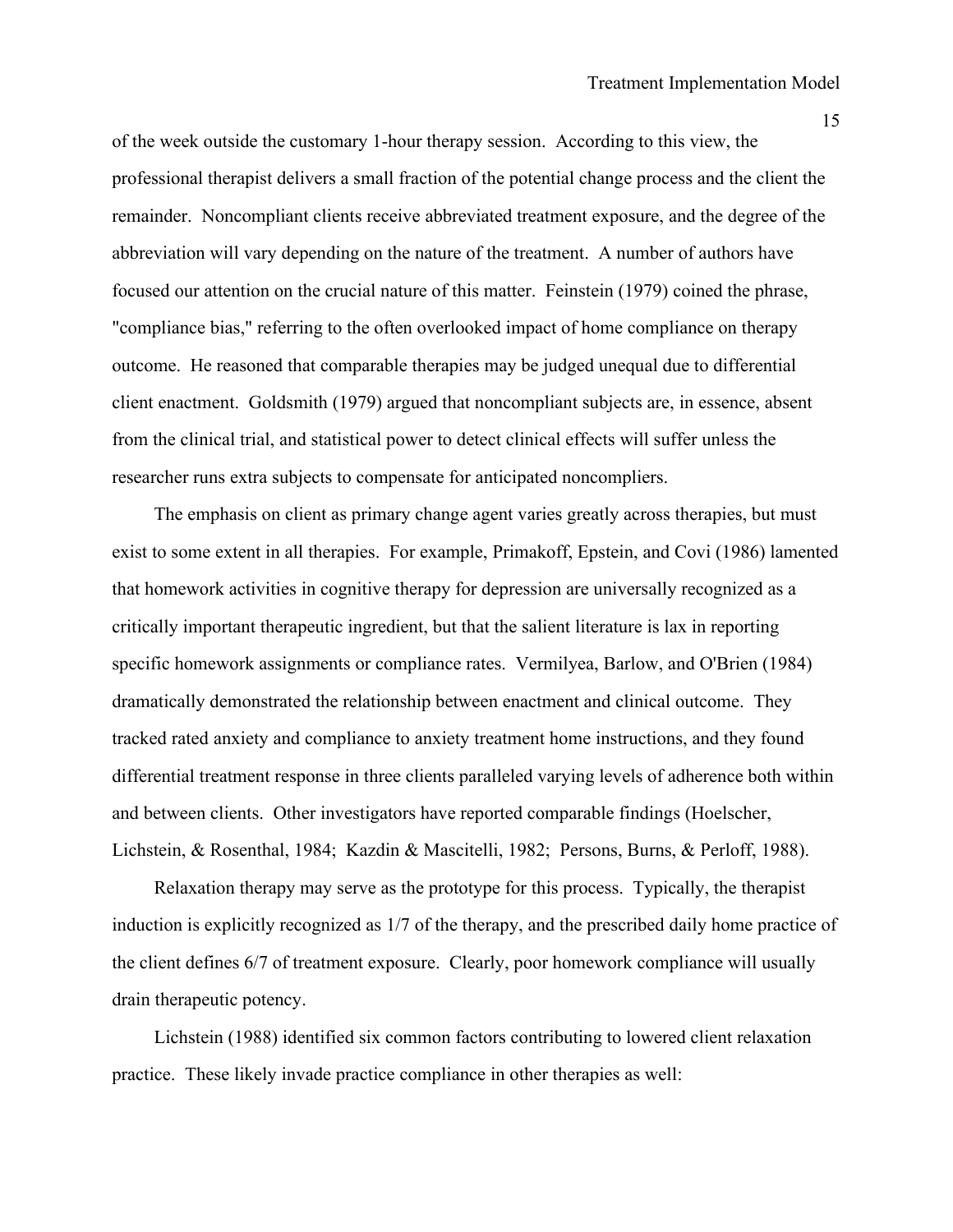of the week outside the customary 1-hour therapy session. According to this view, the professional therapist delivers a small fraction of the potential change process and the client the remainder. Noncompliant clients receive abbreviated treatment exposure, and the degree of the abbreviation will vary depending on the nature of the treatment. A number of authors have focused our attention on the crucial nature of this matter. Feinstein (1979) coined the phrase, "compliance bias," referring to the often overlooked impact of home compliance on therapy outcome. He reasoned that comparable therapies may be judged unequal due to differential client enactment. Goldsmith (1979) argued that noncompliant subjects are, in essence, absent from the clinical trial, and statistical power to detect clinical effects will suffer unless the researcher runs extra subjects to compensate for anticipated noncompliers.

The emphasis on client as primary change agent varies greatly across therapies, but must exist to some extent in all therapies. For example, Primakoff, Epstein, and Covi (1986) lamented that homework activities in cognitive therapy for depression are universally recognized as a critically important therapeutic ingredient, but that the salient literature is lax in reporting specific homework assignments or compliance rates. Vermilyea, Barlow, and O'Brien (1984) dramatically demonstrated the relationship between enactment and clinical outcome. They tracked rated anxiety and compliance to anxiety treatment home instructions, and they found differential treatment response in three clients paralleled varying levels of adherence both within and between clients. Other investigators have reported comparable findings (Hoelscher, Lichstein, & Rosenthal, 1984; Kazdin & Mascitelli, 1982; Persons, Burns, & Perloff, 1988).

Relaxation therapy may serve as the prototype for this process. Typically, the therapist induction is explicitly recognized as 1/7 of the therapy, and the prescribed daily home practice of the client defines 6/7 of treatment exposure. Clearly, poor homework compliance will usually drain therapeutic potency.

Lichstein (1988) identified six common factors contributing to lowered client relaxation practice. These likely invade practice compliance in other therapies as well: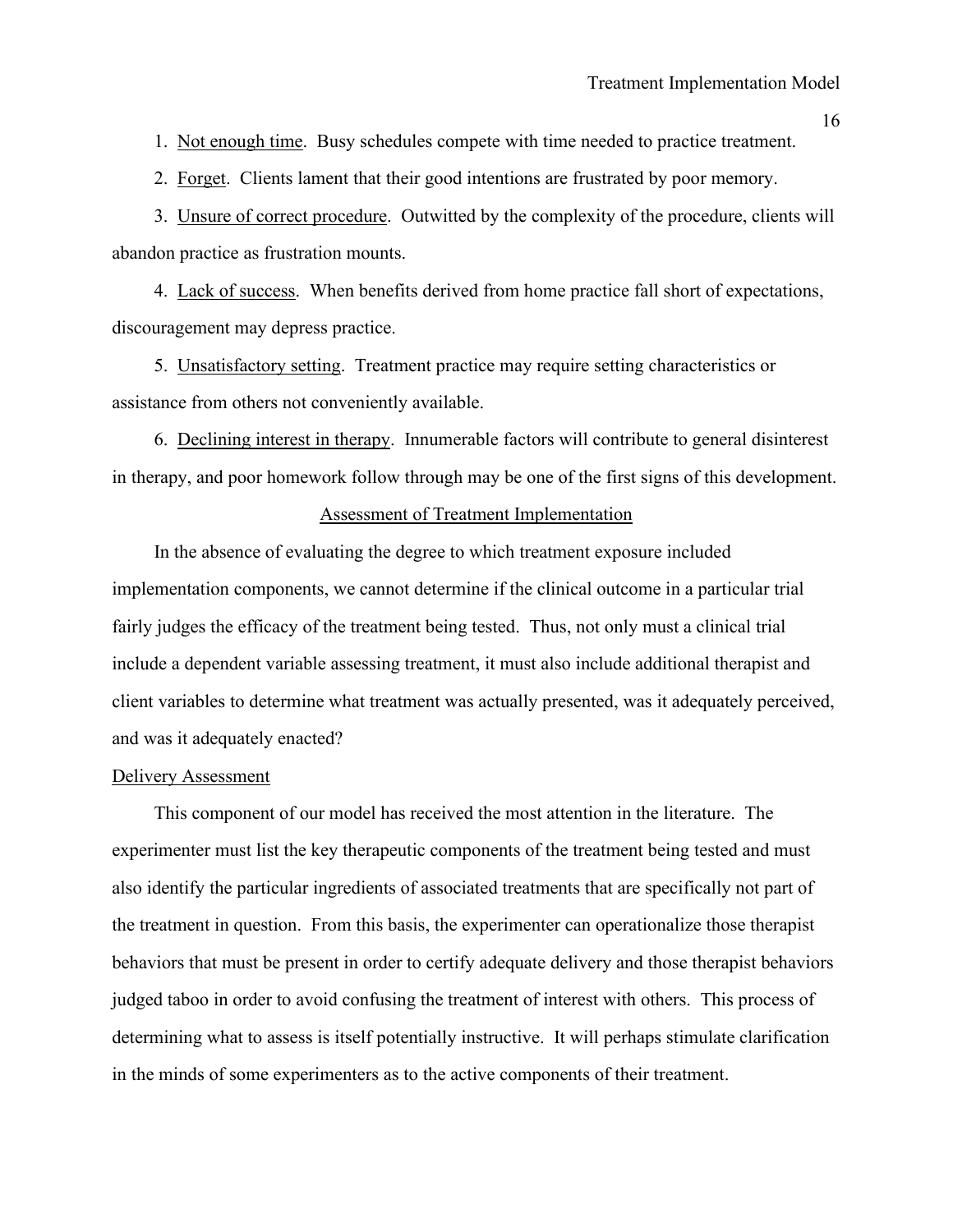1. Not enough time. Busy schedules compete with time needed to practice treatment.

2. Forget. Clients lament that their good intentions are frustrated by poor memory.

3. Unsure of correct procedure. Outwitted by the complexity of the procedure, clients will abandon practice as frustration mounts.

4. Lack of success. When benefits derived from home practice fall short of expectations, discouragement may depress practice.

5. Unsatisfactory setting. Treatment practice may require setting characteristics or assistance from others not conveniently available.

6. Declining interest in therapy. Innumerable factors will contribute to general disinterest in therapy, and poor homework follow through may be one of the first signs of this development.

#### Assessment of Treatment Implementation

In the absence of evaluating the degree to which treatment exposure included implementation components, we cannot determine if the clinical outcome in a particular trial fairly judges the efficacy of the treatment being tested. Thus, not only must a clinical trial include a dependent variable assessing treatment, it must also include additional therapist and client variables to determine what treatment was actually presented, was it adequately perceived, and was it adequately enacted?

#### Delivery Assessment

This component of our model has received the most attention in the literature. The experimenter must list the key therapeutic components of the treatment being tested and must also identify the particular ingredients of associated treatments that are specifically not part of the treatment in question. From this basis, the experimenter can operationalize those therapist behaviors that must be present in order to certify adequate delivery and those therapist behaviors judged taboo in order to avoid confusing the treatment of interest with others. This process of determining what to assess is itself potentially instructive. It will perhaps stimulate clarification in the minds of some experimenters as to the active components of their treatment.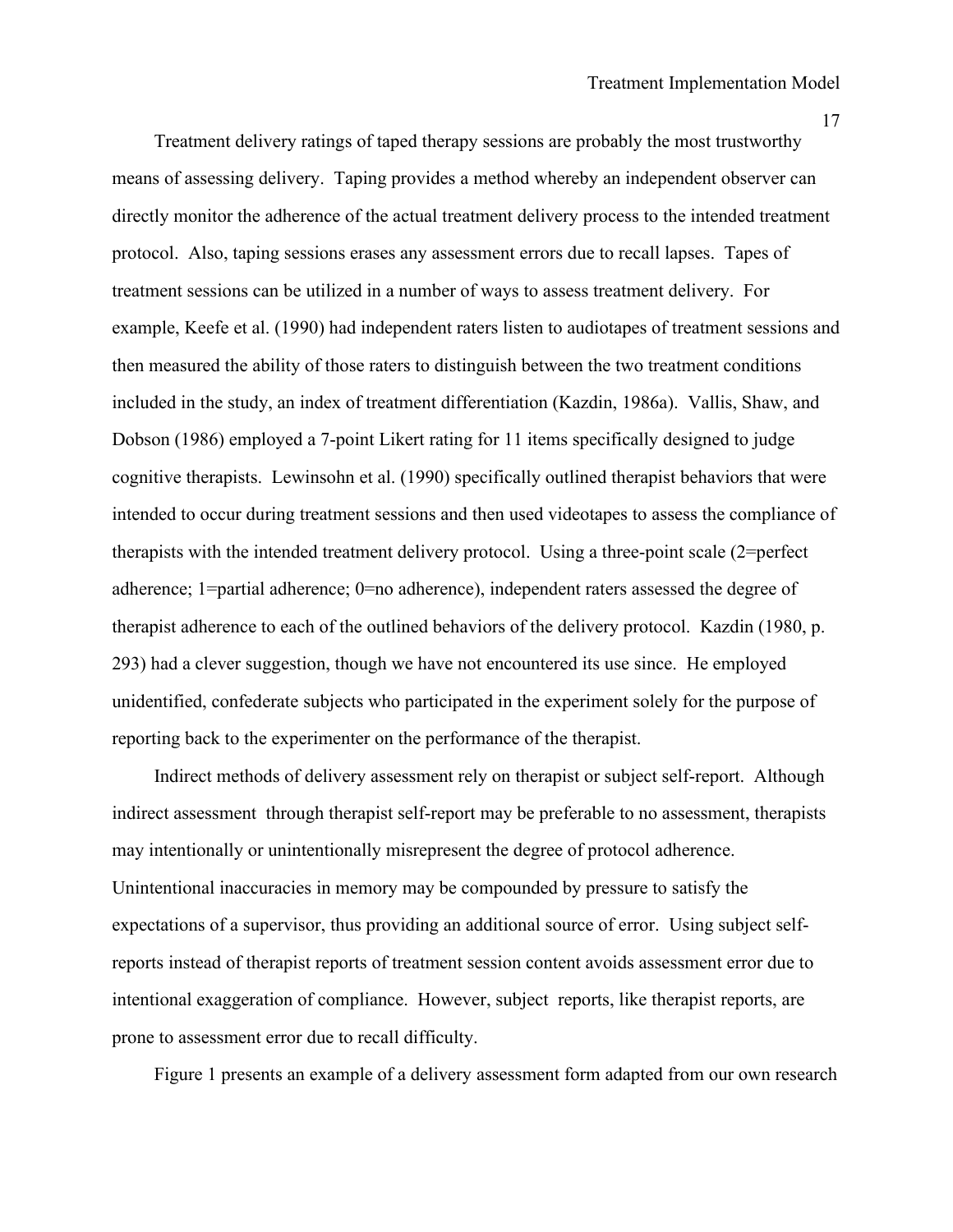Treatment delivery ratings of taped therapy sessions are probably the most trustworthy means of assessing delivery. Taping provides a method whereby an independent observer can directly monitor the adherence of the actual treatment delivery process to the intended treatment protocol. Also, taping sessions erases any assessment errors due to recall lapses. Tapes of treatment sessions can be utilized in a number of ways to assess treatment delivery. For example, Keefe et al. (1990) had independent raters listen to audiotapes of treatment sessions and then measured the ability of those raters to distinguish between the two treatment conditions included in the study, an index of treatment differentiation (Kazdin, 1986a). Vallis, Shaw, and Dobson (1986) employed a 7-point Likert rating for 11 items specifically designed to judge cognitive therapists. Lewinsohn et al. (1990) specifically outlined therapist behaviors that were intended to occur during treatment sessions and then used videotapes to assess the compliance of therapists with the intended treatment delivery protocol. Using a three-point scale (2=perfect adherence; 1=partial adherence; 0=no adherence), independent raters assessed the degree of therapist adherence to each of the outlined behaviors of the delivery protocol. Kazdin (1980, p. 293) had a clever suggestion, though we have not encountered its use since. He employed unidentified, confederate subjects who participated in the experiment solely for the purpose of reporting back to the experimenter on the performance of the therapist.

Indirect methods of delivery assessment rely on therapist or subject self-report. Although indirect assessment through therapist self-report may be preferable to no assessment, therapists may intentionally or unintentionally misrepresent the degree of protocol adherence. Unintentional inaccuracies in memory may be compounded by pressure to satisfy the expectations of a supervisor, thus providing an additional source of error. Using subject selfreports instead of therapist reports of treatment session content avoids assessment error due to intentional exaggeration of compliance. However, subject reports, like therapist reports, are prone to assessment error due to recall difficulty.

Figure 1 presents an example of a delivery assessment form adapted from our own research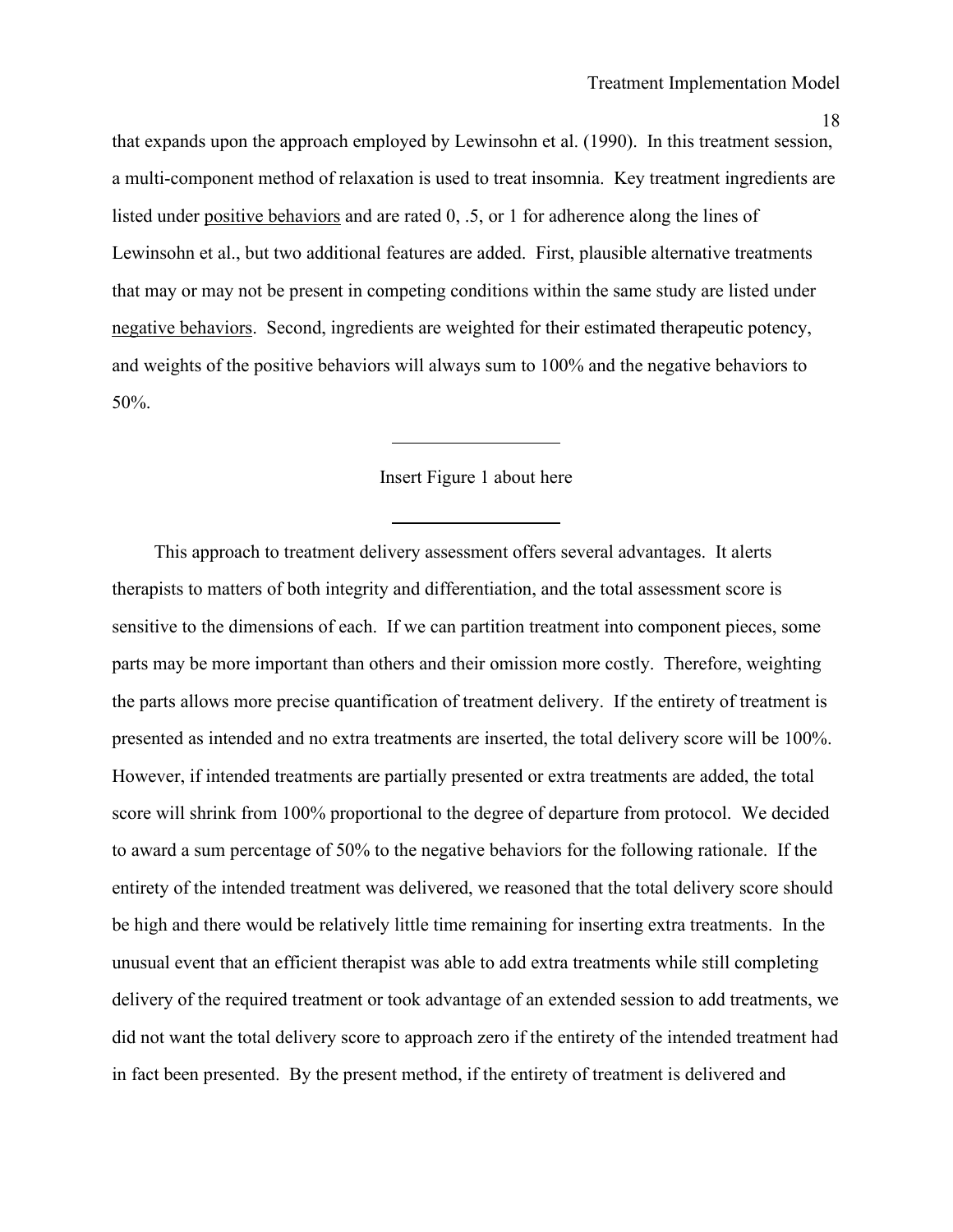that expands upon the approach employed by Lewinsohn et al. (1990). In this treatment session, a multi-component method of relaxation is used to treat insomnia. Key treatment ingredients are listed under positive behaviors and are rated 0, .5, or 1 for adherence along the lines of Lewinsohn et al., but two additional features are added. First, plausible alternative treatments that may or may not be present in competing conditions within the same study are listed under negative behaviors. Second, ingredients are weighted for their estimated therapeutic potency, and weights of the positive behaviors will always sum to 100% and the negative behaviors to 50%.

#### Insert Figure 1 about here

This approach to treatment delivery assessment offers several advantages. It alerts therapists to matters of both integrity and differentiation, and the total assessment score is sensitive to the dimensions of each. If we can partition treatment into component pieces, some parts may be more important than others and their omission more costly. Therefore, weighting the parts allows more precise quantification of treatment delivery. If the entirety of treatment is presented as intended and no extra treatments are inserted, the total delivery score will be 100%. However, if intended treatments are partially presented or extra treatments are added, the total score will shrink from 100% proportional to the degree of departure from protocol. We decided to award a sum percentage of 50% to the negative behaviors for the following rationale. If the entirety of the intended treatment was delivered, we reasoned that the total delivery score should be high and there would be relatively little time remaining for inserting extra treatments. In the unusual event that an efficient therapist was able to add extra treatments while still completing delivery of the required treatment or took advantage of an extended session to add treatments, we did not want the total delivery score to approach zero if the entirety of the intended treatment had in fact been presented. By the present method, if the entirety of treatment is delivered and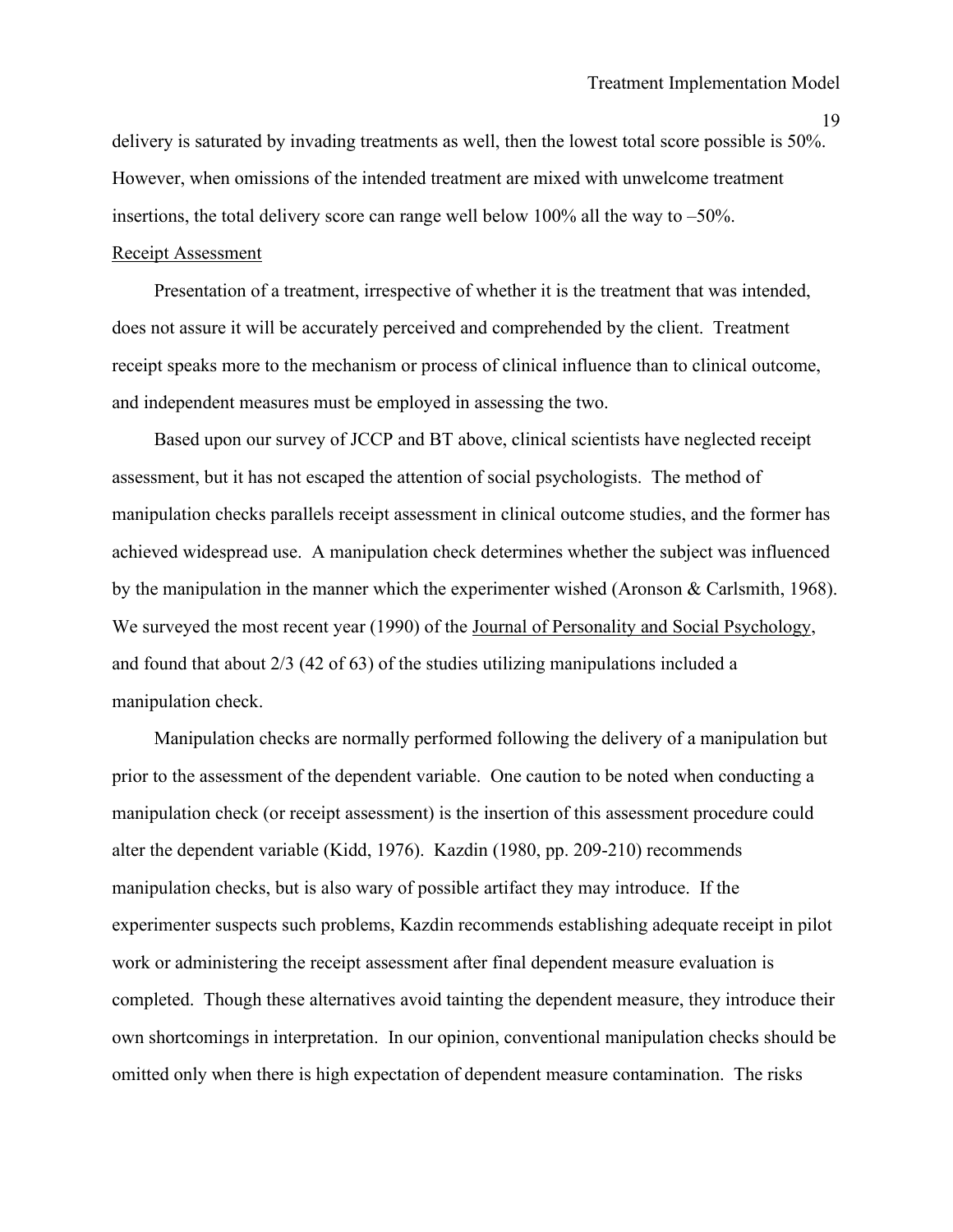delivery is saturated by invading treatments as well, then the lowest total score possible is 50%. However, when omissions of the intended treatment are mixed with unwelcome treatment insertions, the total delivery score can range well below 100% all the way to –50%.

#### Receipt Assessment

Presentation of a treatment, irrespective of whether it is the treatment that was intended, does not assure it will be accurately perceived and comprehended by the client. Treatment receipt speaks more to the mechanism or process of clinical influence than to clinical outcome, and independent measures must be employed in assessing the two.

Based upon our survey of JCCP and BT above, clinical scientists have neglected receipt assessment, but it has not escaped the attention of social psychologists. The method of manipulation checks parallels receipt assessment in clinical outcome studies, and the former has achieved widespread use. A manipulation check determines whether the subject was influenced by the manipulation in the manner which the experimenter wished (Aronson & Carlsmith, 1968). We surveyed the most recent year (1990) of the Journal of Personality and Social Psychology, and found that about 2/3 (42 of 63) of the studies utilizing manipulations included a manipulation check.

Manipulation checks are normally performed following the delivery of a manipulation but prior to the assessment of the dependent variable. One caution to be noted when conducting a manipulation check (or receipt assessment) is the insertion of this assessment procedure could alter the dependent variable (Kidd, 1976). Kazdin (1980, pp. 209-210) recommends manipulation checks, but is also wary of possible artifact they may introduce. If the experimenter suspects such problems, Kazdin recommends establishing adequate receipt in pilot work or administering the receipt assessment after final dependent measure evaluation is completed. Though these alternatives avoid tainting the dependent measure, they introduce their own shortcomings in interpretation. In our opinion, conventional manipulation checks should be omitted only when there is high expectation of dependent measure contamination. The risks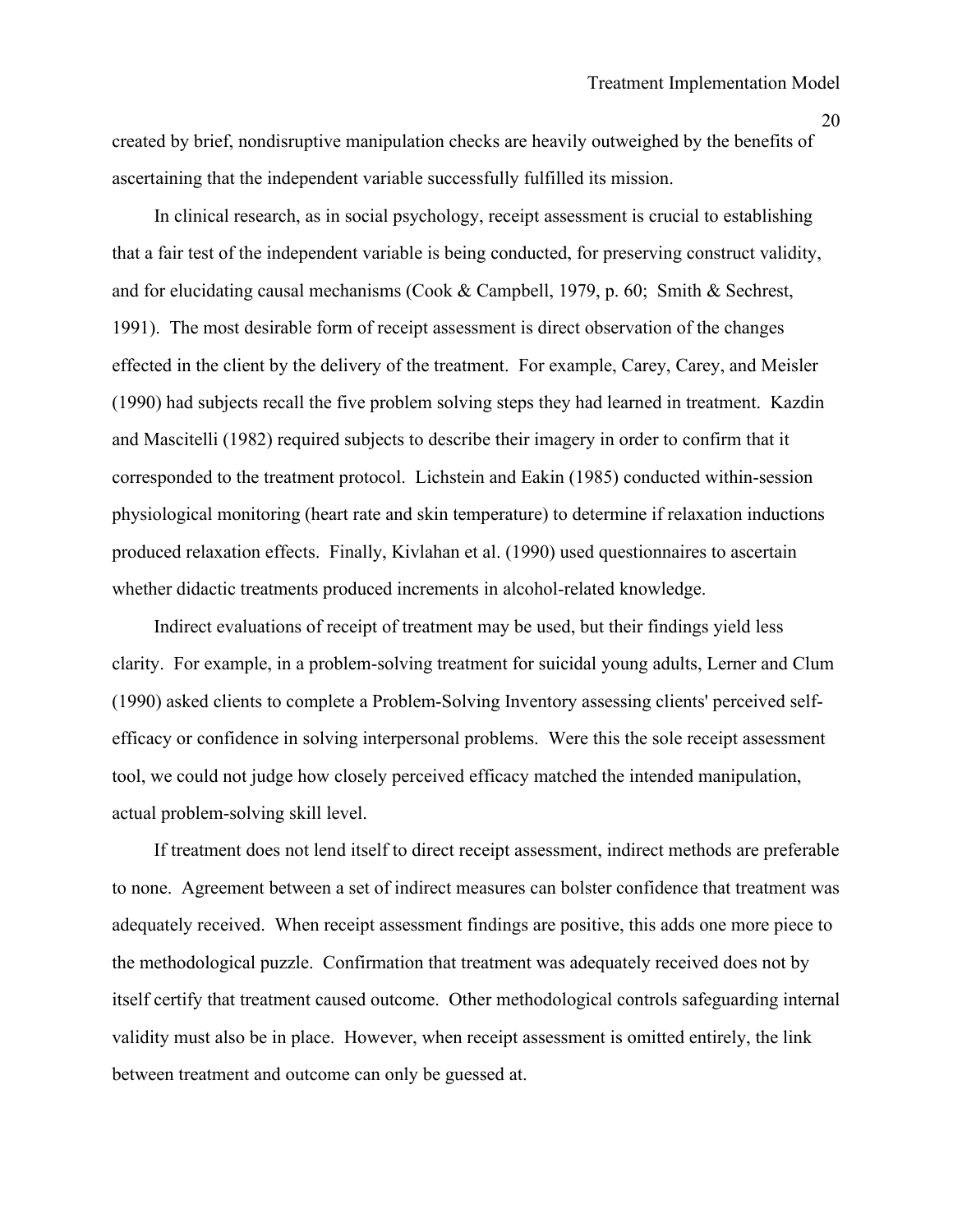created by brief, nondisruptive manipulation checks are heavily outweighed by the benefits of ascertaining that the independent variable successfully fulfilled its mission.

In clinical research, as in social psychology, receipt assessment is crucial to establishing that a fair test of the independent variable is being conducted, for preserving construct validity, and for elucidating causal mechanisms (Cook & Campbell, 1979, p. 60; Smith & Sechrest, 1991). The most desirable form of receipt assessment is direct observation of the changes effected in the client by the delivery of the treatment. For example, Carey, Carey, and Meisler (1990) had subjects recall the five problem solving steps they had learned in treatment. Kazdin and Mascitelli (1982) required subjects to describe their imagery in order to confirm that it corresponded to the treatment protocol. Lichstein and Eakin (1985) conducted within-session physiological monitoring (heart rate and skin temperature) to determine if relaxation inductions produced relaxation effects. Finally, Kivlahan et al. (1990) used questionnaires to ascertain whether didactic treatments produced increments in alcohol-related knowledge.

Indirect evaluations of receipt of treatment may be used, but their findings yield less clarity. For example, in a problem-solving treatment for suicidal young adults, Lerner and Clum (1990) asked clients to complete a Problem-Solving Inventory assessing clients' perceived selfefficacy or confidence in solving interpersonal problems. Were this the sole receipt assessment tool, we could not judge how closely perceived efficacy matched the intended manipulation, actual problem-solving skill level.

If treatment does not lend itself to direct receipt assessment, indirect methods are preferable to none. Agreement between a set of indirect measures can bolster confidence that treatment was adequately received. When receipt assessment findings are positive, this adds one more piece to the methodological puzzle. Confirmation that treatment was adequately received does not by itself certify that treatment caused outcome. Other methodological controls safeguarding internal validity must also be in place. However, when receipt assessment is omitted entirely, the link between treatment and outcome can only be guessed at.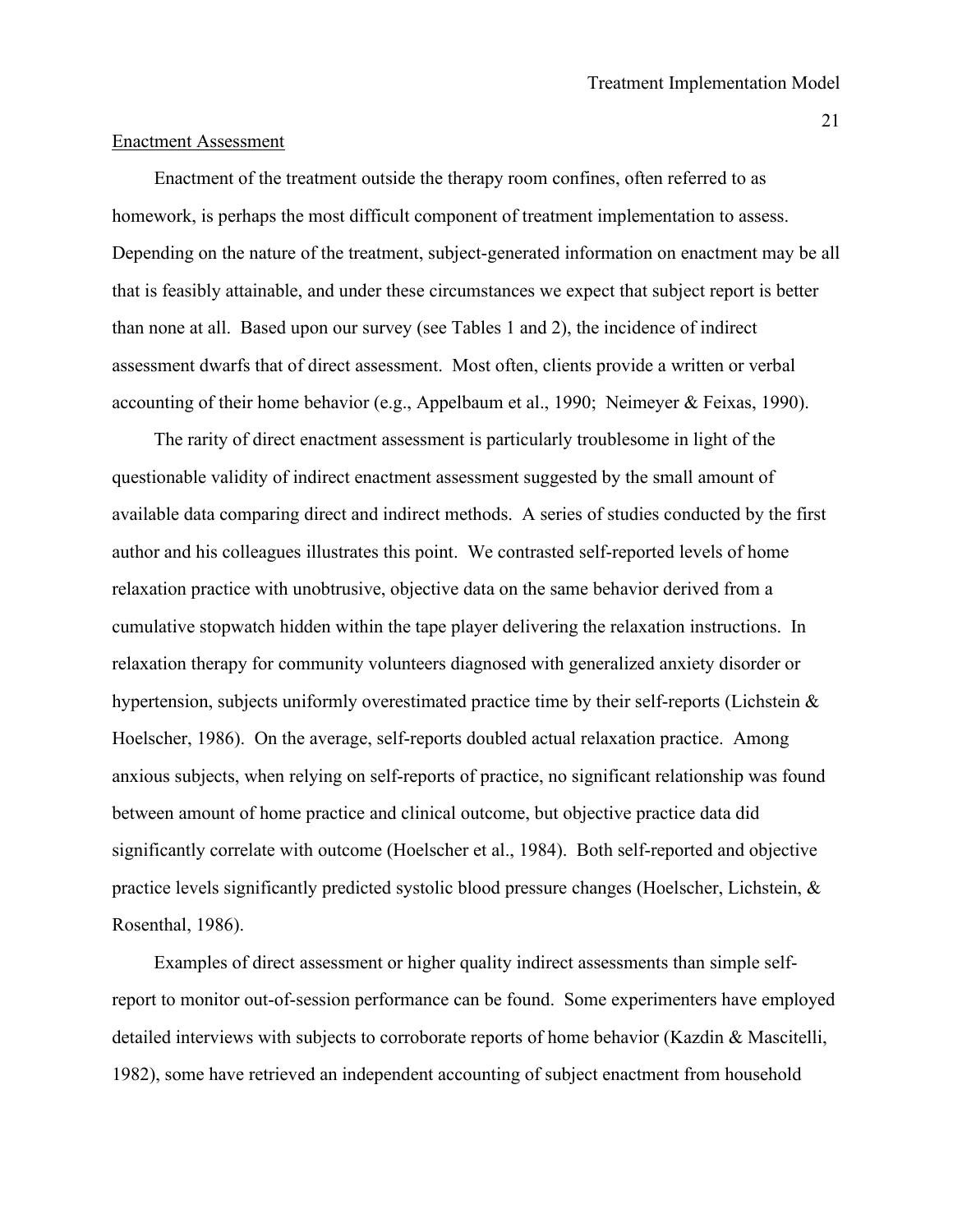#### Enactment Assessment

Enactment of the treatment outside the therapy room confines, often referred to as homework, is perhaps the most difficult component of treatment implementation to assess. Depending on the nature of the treatment, subject-generated information on enactment may be all that is feasibly attainable, and under these circumstances we expect that subject report is better than none at all. Based upon our survey (see Tables 1 and 2), the incidence of indirect assessment dwarfs that of direct assessment. Most often, clients provide a written or verbal accounting of their home behavior (e.g., Appelbaum et al., 1990; Neimeyer & Feixas, 1990).

The rarity of direct enactment assessment is particularly troublesome in light of the questionable validity of indirect enactment assessment suggested by the small amount of available data comparing direct and indirect methods. A series of studies conducted by the first author and his colleagues illustrates this point. We contrasted self-reported levels of home relaxation practice with unobtrusive, objective data on the same behavior derived from a cumulative stopwatch hidden within the tape player delivering the relaxation instructions. In relaxation therapy for community volunteers diagnosed with generalized anxiety disorder or hypertension, subjects uniformly overestimated practice time by their self-reports (Lichstein & Hoelscher, 1986). On the average, self-reports doubled actual relaxation practice. Among anxious subjects, when relying on self-reports of practice, no significant relationship was found between amount of home practice and clinical outcome, but objective practice data did significantly correlate with outcome (Hoelscher et al., 1984). Both self-reported and objective practice levels significantly predicted systolic blood pressure changes (Hoelscher, Lichstein, & Rosenthal, 1986).

Examples of direct assessment or higher quality indirect assessments than simple selfreport to monitor out-of-session performance can be found. Some experimenters have employed detailed interviews with subjects to corroborate reports of home behavior (Kazdin & Mascitelli, 1982), some have retrieved an independent accounting of subject enactment from household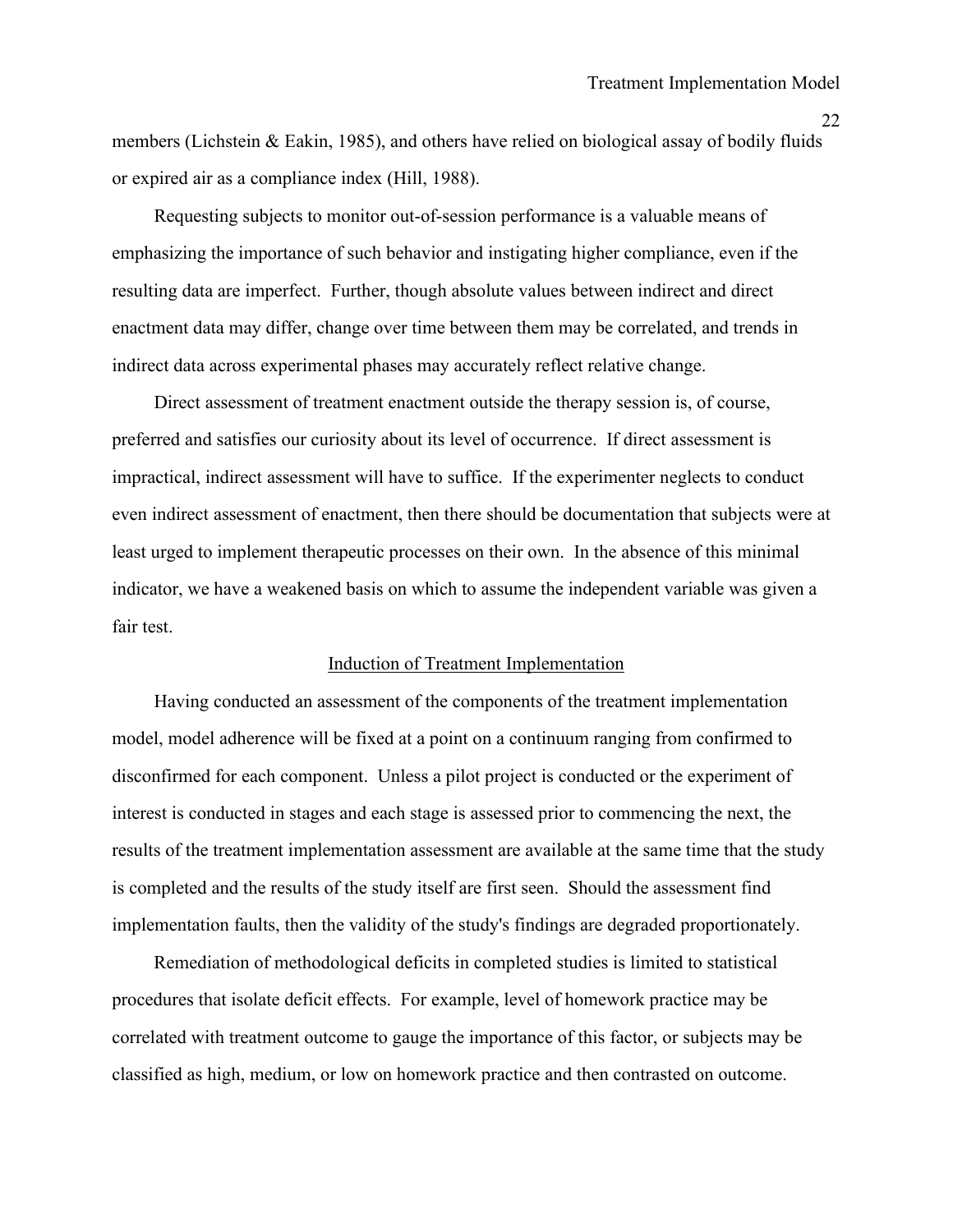members (Lichstein & Eakin, 1985), and others have relied on biological assay of bodily fluids or expired air as a compliance index (Hill, 1988).

Requesting subjects to monitor out-of-session performance is a valuable means of emphasizing the importance of such behavior and instigating higher compliance, even if the resulting data are imperfect. Further, though absolute values between indirect and direct enactment data may differ, change over time between them may be correlated, and trends in indirect data across experimental phases may accurately reflect relative change.

Direct assessment of treatment enactment outside the therapy session is, of course, preferred and satisfies our curiosity about its level of occurrence. If direct assessment is impractical, indirect assessment will have to suffice. If the experimenter neglects to conduct even indirect assessment of enactment, then there should be documentation that subjects were at least urged to implement therapeutic processes on their own. In the absence of this minimal indicator, we have a weakened basis on which to assume the independent variable was given a fair test.

#### Induction of Treatment Implementation

Having conducted an assessment of the components of the treatment implementation model, model adherence will be fixed at a point on a continuum ranging from confirmed to disconfirmed for each component. Unless a pilot project is conducted or the experiment of interest is conducted in stages and each stage is assessed prior to commencing the next, the results of the treatment implementation assessment are available at the same time that the study is completed and the results of the study itself are first seen. Should the assessment find implementation faults, then the validity of the study's findings are degraded proportionately.

Remediation of methodological deficits in completed studies is limited to statistical procedures that isolate deficit effects. For example, level of homework practice may be correlated with treatment outcome to gauge the importance of this factor, or subjects may be classified as high, medium, or low on homework practice and then contrasted on outcome.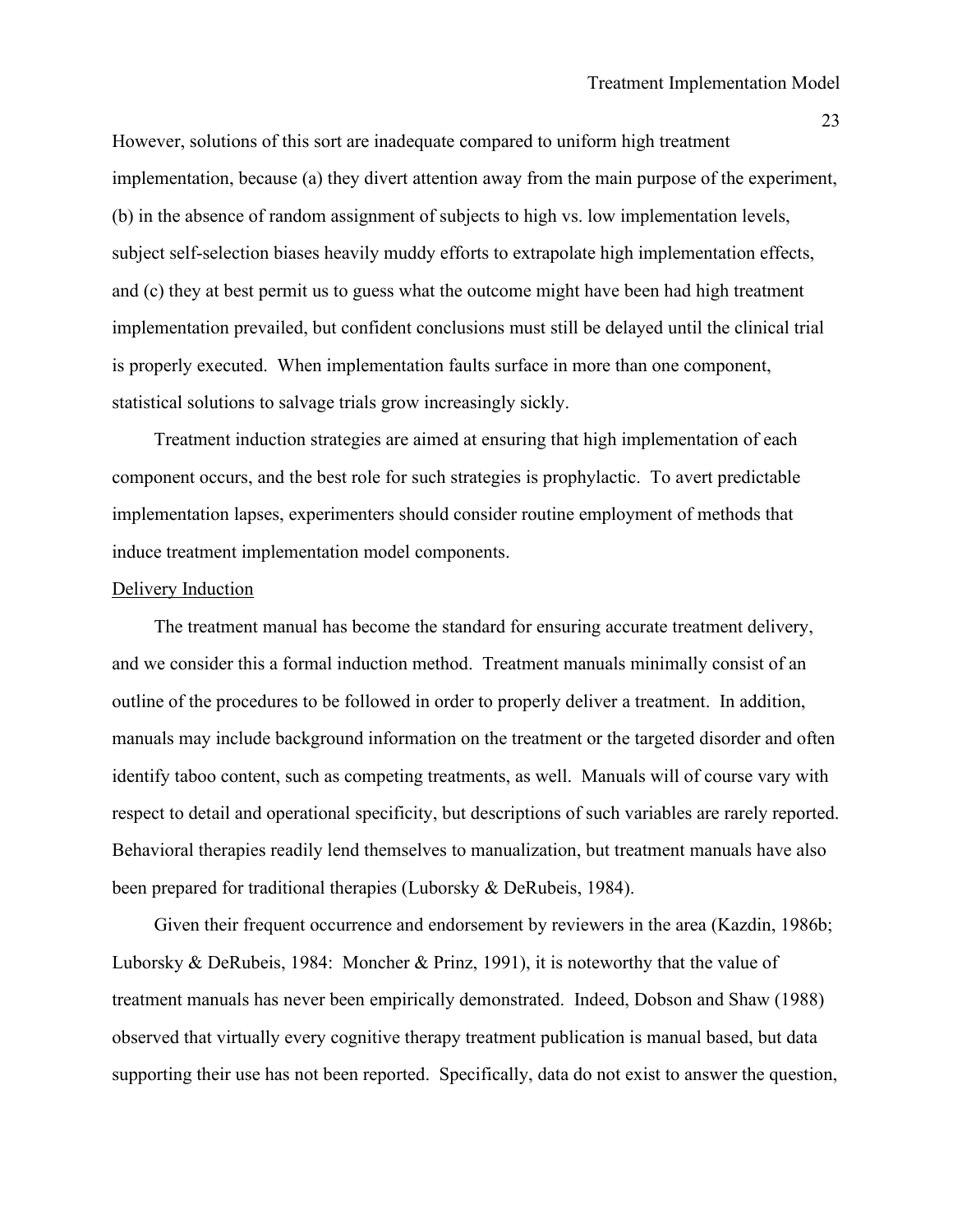However, solutions of this sort are inadequate compared to uniform high treatment implementation, because (a) they divert attention away from the main purpose of the experiment, (b) in the absence of random assignment of subjects to high vs. low implementation levels, subject self-selection biases heavily muddy efforts to extrapolate high implementation effects, and (c) they at best permit us to guess what the outcome might have been had high treatment implementation prevailed, but confident conclusions must still be delayed until the clinical trial is properly executed. When implementation faults surface in more than one component, statistical solutions to salvage trials grow increasingly sickly.

Treatment induction strategies are aimed at ensuring that high implementation of each component occurs, and the best role for such strategies is prophylactic. To avert predictable implementation lapses, experimenters should consider routine employment of methods that induce treatment implementation model components.

#### Delivery Induction

The treatment manual has become the standard for ensuring accurate treatment delivery, and we consider this a formal induction method. Treatment manuals minimally consist of an outline of the procedures to be followed in order to properly deliver a treatment. In addition, manuals may include background information on the treatment or the targeted disorder and often identify taboo content, such as competing treatments, as well. Manuals will of course vary with respect to detail and operational specificity, but descriptions of such variables are rarely reported. Behavioral therapies readily lend themselves to manualization, but treatment manuals have also been prepared for traditional therapies (Luborsky & DeRubeis, 1984).

Given their frequent occurrence and endorsement by reviewers in the area (Kazdin, 1986b; Luborsky & DeRubeis, 1984: Moncher & Prinz, 1991), it is noteworthy that the value of treatment manuals has never been empirically demonstrated. Indeed, Dobson and Shaw (1988) observed that virtually every cognitive therapy treatment publication is manual based, but data supporting their use has not been reported. Specifically, data do not exist to answer the question,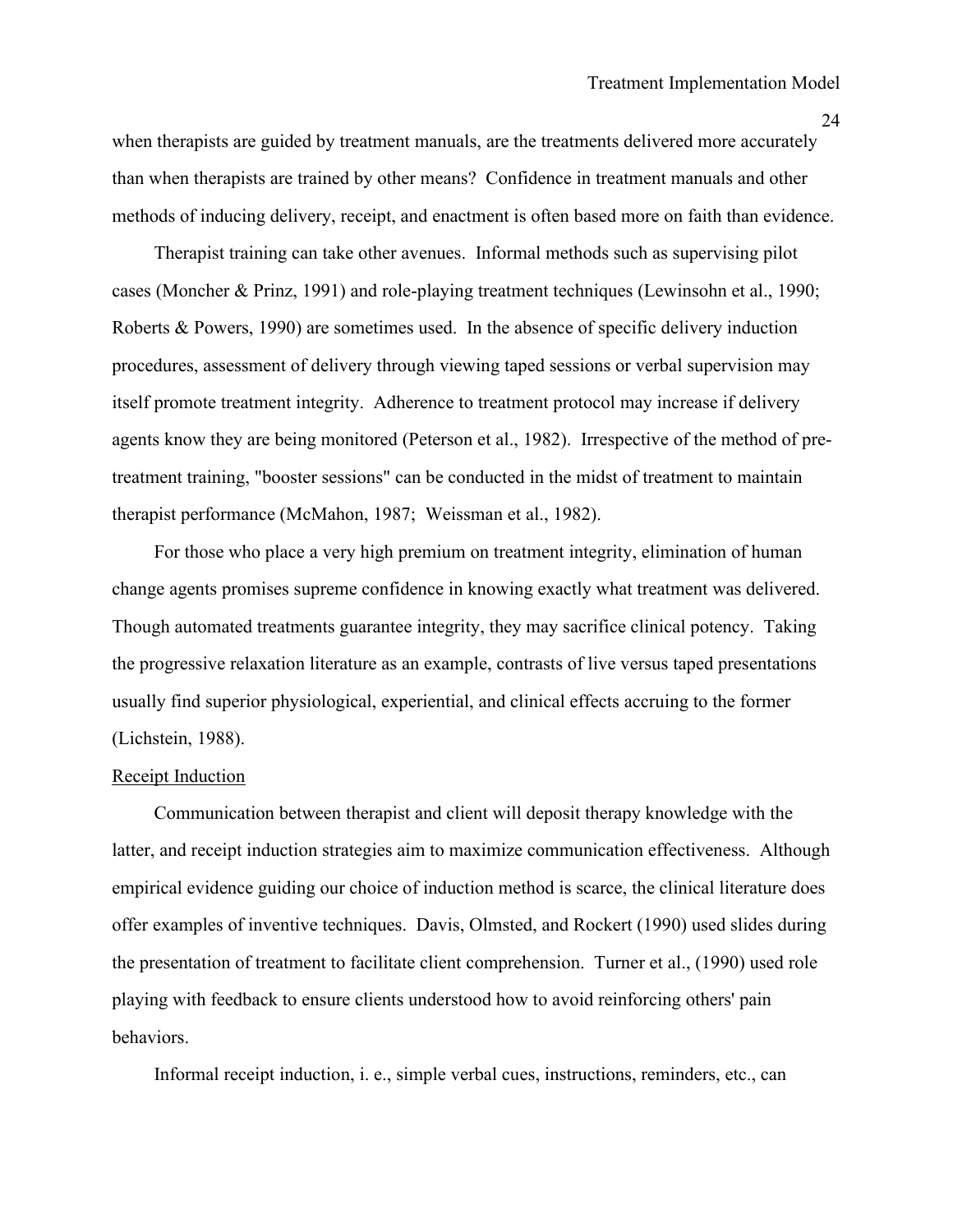when therapists are guided by treatment manuals, are the treatments delivered more accurately than when therapists are trained by other means? Confidence in treatment manuals and other methods of inducing delivery, receipt, and enactment is often based more on faith than evidence.

Therapist training can take other avenues. Informal methods such as supervising pilot cases (Moncher & Prinz, 1991) and role-playing treatment techniques (Lewinsohn et al., 1990; Roberts & Powers, 1990) are sometimes used. In the absence of specific delivery induction procedures, assessment of delivery through viewing taped sessions or verbal supervision may itself promote treatment integrity. Adherence to treatment protocol may increase if delivery agents know they are being monitored (Peterson et al., 1982). Irrespective of the method of pretreatment training, "booster sessions" can be conducted in the midst of treatment to maintain therapist performance (McMahon, 1987; Weissman et al., 1982).

For those who place a very high premium on treatment integrity, elimination of human change agents promises supreme confidence in knowing exactly what treatment was delivered. Though automated treatments guarantee integrity, they may sacrifice clinical potency. Taking the progressive relaxation literature as an example, contrasts of live versus taped presentations usually find superior physiological, experiential, and clinical effects accruing to the former (Lichstein, 1988).

#### Receipt Induction

Communication between therapist and client will deposit therapy knowledge with the latter, and receipt induction strategies aim to maximize communication effectiveness. Although empirical evidence guiding our choice of induction method is scarce, the clinical literature does offer examples of inventive techniques. Davis, Olmsted, and Rockert (1990) used slides during the presentation of treatment to facilitate client comprehension. Turner et al., (1990) used role playing with feedback to ensure clients understood how to avoid reinforcing others' pain behaviors.

Informal receipt induction, i. e., simple verbal cues, instructions, reminders, etc., can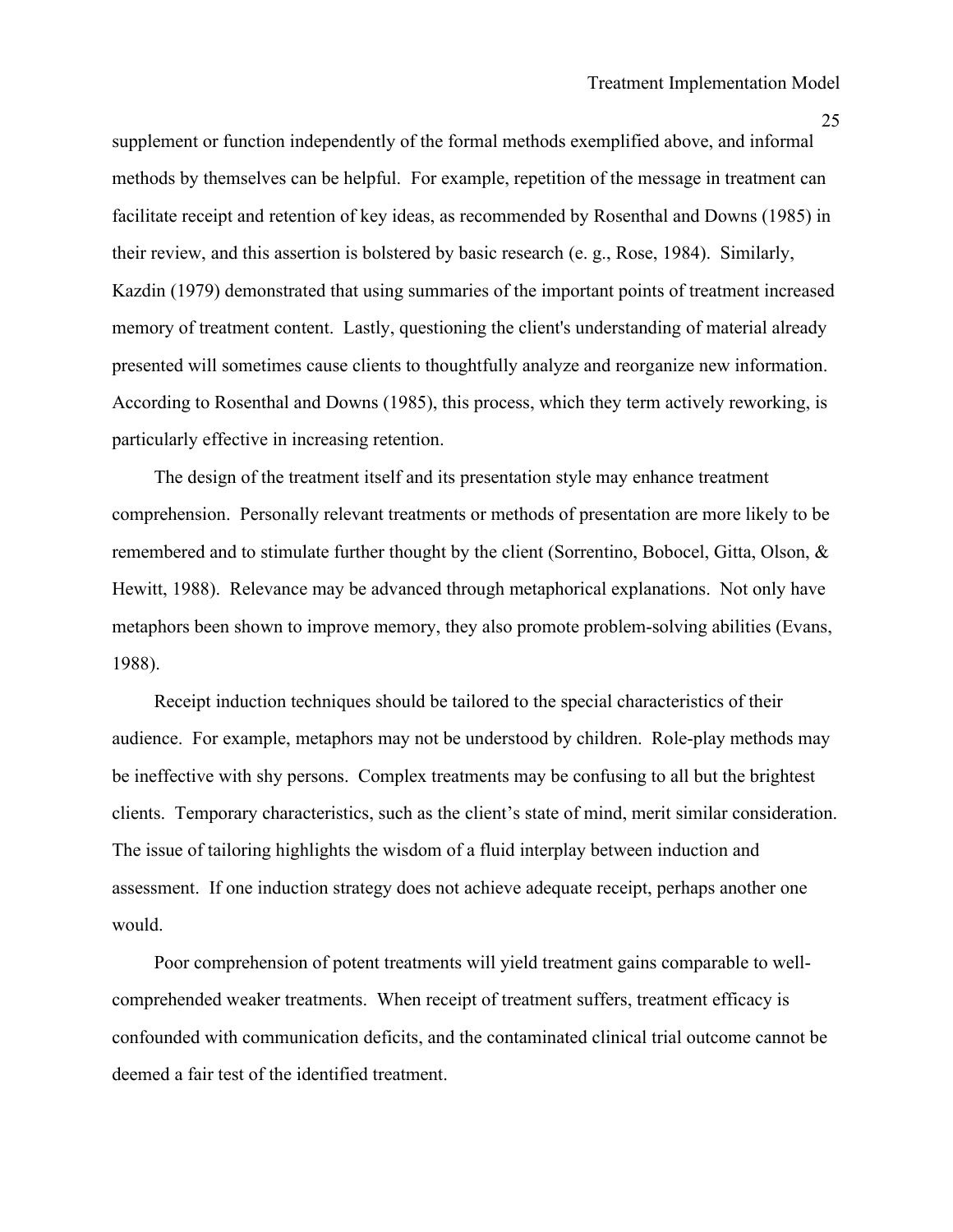supplement or function independently of the formal methods exemplified above, and informal methods by themselves can be helpful. For example, repetition of the message in treatment can facilitate receipt and retention of key ideas, as recommended by Rosenthal and Downs (1985) in their review, and this assertion is bolstered by basic research (e. g., Rose, 1984). Similarly, Kazdin (1979) demonstrated that using summaries of the important points of treatment increased memory of treatment content. Lastly, questioning the client's understanding of material already presented will sometimes cause clients to thoughtfully analyze and reorganize new information. According to Rosenthal and Downs (1985), this process, which they term actively reworking, is particularly effective in increasing retention.

The design of the treatment itself and its presentation style may enhance treatment comprehension. Personally relevant treatments or methods of presentation are more likely to be remembered and to stimulate further thought by the client (Sorrentino, Bobocel, Gitta, Olson, & Hewitt, 1988). Relevance may be advanced through metaphorical explanations. Not only have metaphors been shown to improve memory, they also promote problem-solving abilities (Evans, 1988).

Receipt induction techniques should be tailored to the special characteristics of their audience. For example, metaphors may not be understood by children. Role-play methods may be ineffective with shy persons. Complex treatments may be confusing to all but the brightest clients. Temporary characteristics, such as the client's state of mind, merit similar consideration. The issue of tailoring highlights the wisdom of a fluid interplay between induction and assessment. If one induction strategy does not achieve adequate receipt, perhaps another one would.

Poor comprehension of potent treatments will yield treatment gains comparable to wellcomprehended weaker treatments. When receipt of treatment suffers, treatment efficacy is confounded with communication deficits, and the contaminated clinical trial outcome cannot be deemed a fair test of the identified treatment.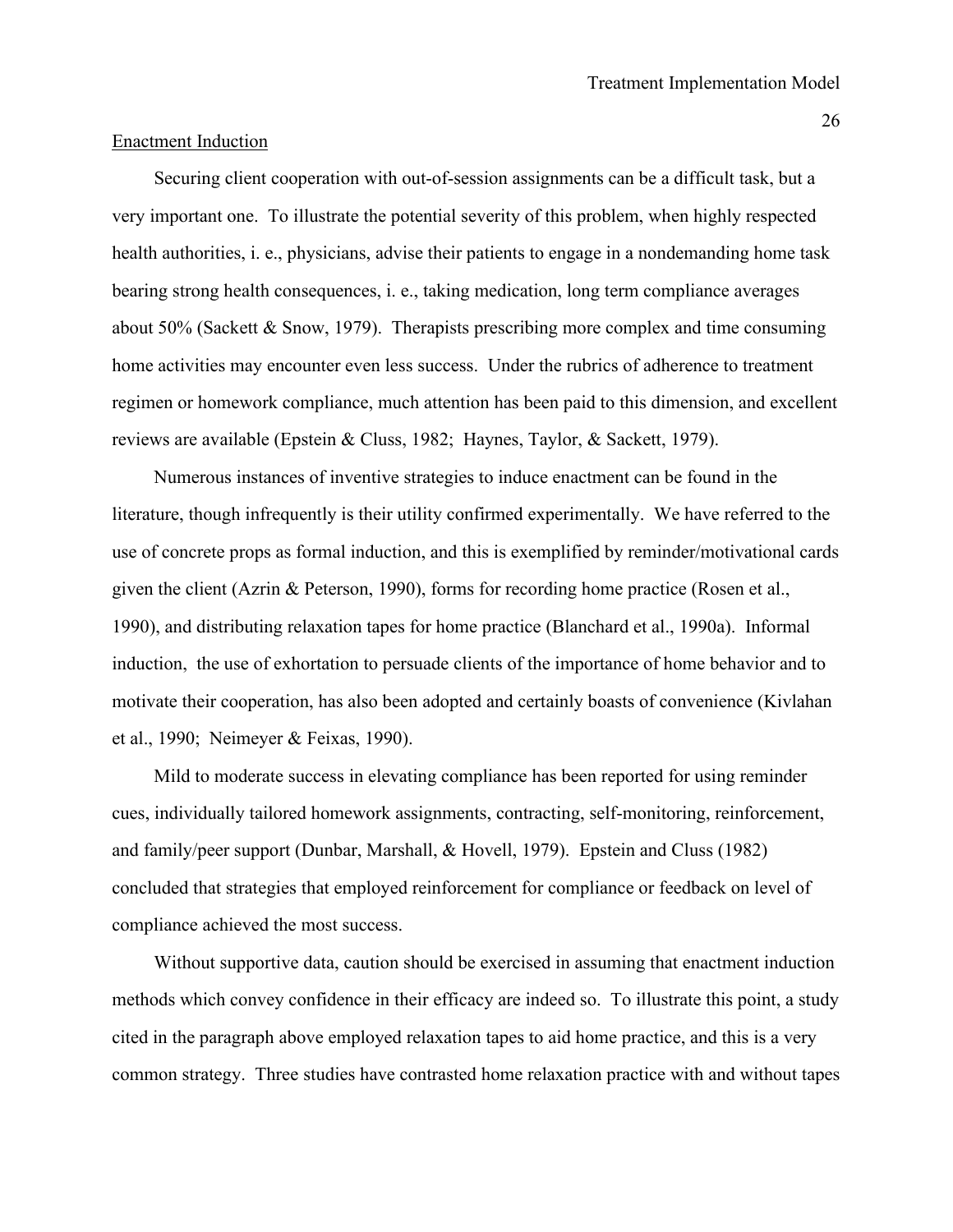#### Enactment Induction

Securing client cooperation with out-of-session assignments can be a difficult task, but a very important one. To illustrate the potential severity of this problem, when highly respected health authorities, i. e., physicians, advise their patients to engage in a nondemanding home task bearing strong health consequences, i. e., taking medication, long term compliance averages about 50% (Sackett & Snow, 1979). Therapists prescribing more complex and time consuming home activities may encounter even less success. Under the rubrics of adherence to treatment regimen or homework compliance, much attention has been paid to this dimension, and excellent reviews are available (Epstein & Cluss, 1982; Haynes, Taylor, & Sackett, 1979).

Numerous instances of inventive strategies to induce enactment can be found in the literature, though infrequently is their utility confirmed experimentally. We have referred to the use of concrete props as formal induction, and this is exemplified by reminder/motivational cards given the client (Azrin & Peterson, 1990), forms for recording home practice (Rosen et al., 1990), and distributing relaxation tapes for home practice (Blanchard et al., 1990a). Informal induction, the use of exhortation to persuade clients of the importance of home behavior and to motivate their cooperation, has also been adopted and certainly boasts of convenience (Kivlahan et al., 1990; Neimeyer & Feixas, 1990).

Mild to moderate success in elevating compliance has been reported for using reminder cues, individually tailored homework assignments, contracting, self-monitoring, reinforcement, and family/peer support (Dunbar, Marshall, & Hovell, 1979). Epstein and Cluss (1982) concluded that strategies that employed reinforcement for compliance or feedback on level of compliance achieved the most success.

Without supportive data, caution should be exercised in assuming that enactment induction methods which convey confidence in their efficacy are indeed so. To illustrate this point, a study cited in the paragraph above employed relaxation tapes to aid home practice, and this is a very common strategy. Three studies have contrasted home relaxation practice with and without tapes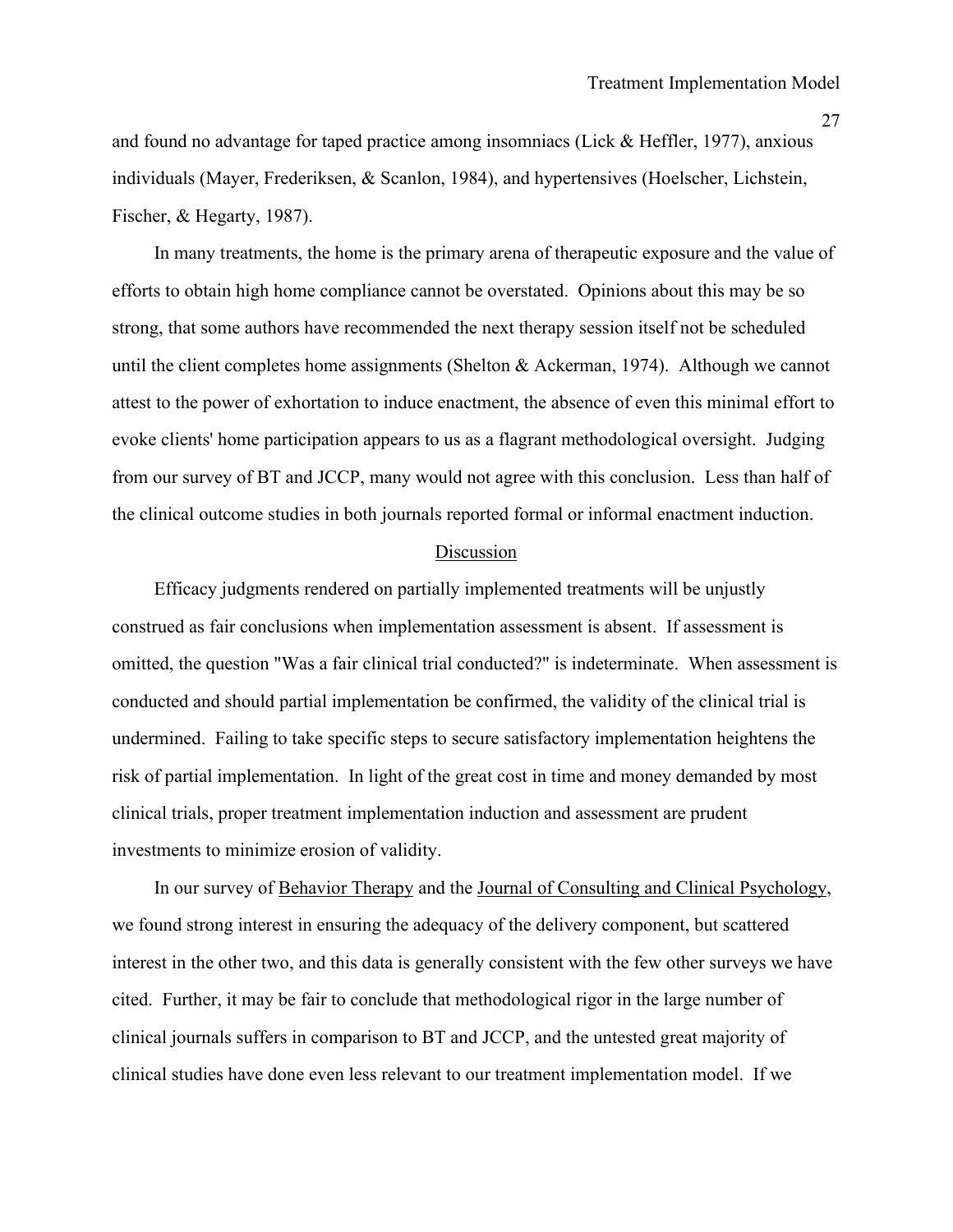and found no advantage for taped practice among insomniacs (Lick & Heffler, 1977), anxious individuals (Mayer, Frederiksen, & Scanlon, 1984), and hypertensives (Hoelscher, Lichstein, Fischer, & Hegarty, 1987).

In many treatments, the home is the primary arena of therapeutic exposure and the value of efforts to obtain high home compliance cannot be overstated. Opinions about this may be so strong, that some authors have recommended the next therapy session itself not be scheduled until the client completes home assignments (Shelton & Ackerman, 1974). Although we cannot attest to the power of exhortation to induce enactment, the absence of even this minimal effort to evoke clients' home participation appears to us as a flagrant methodological oversight. Judging from our survey of BT and JCCP, many would not agree with this conclusion. Less than half of the clinical outcome studies in both journals reported formal or informal enactment induction.

#### Discussion

Efficacy judgments rendered on partially implemented treatments will be unjustly construed as fair conclusions when implementation assessment is absent. If assessment is omitted, the question "Was a fair clinical trial conducted?" is indeterminate. When assessment is conducted and should partial implementation be confirmed, the validity of the clinical trial is undermined. Failing to take specific steps to secure satisfactory implementation heightens the risk of partial implementation. In light of the great cost in time and money demanded by most clinical trials, proper treatment implementation induction and assessment are prudent investments to minimize erosion of validity.

In our survey of Behavior Therapy and the Journal of Consulting and Clinical Psychology, we found strong interest in ensuring the adequacy of the delivery component, but scattered interest in the other two, and this data is generally consistent with the few other surveys we have cited. Further, it may be fair to conclude that methodological rigor in the large number of clinical journals suffers in comparison to BT and JCCP, and the untested great majority of clinical studies have done even less relevant to our treatment implementation model. If we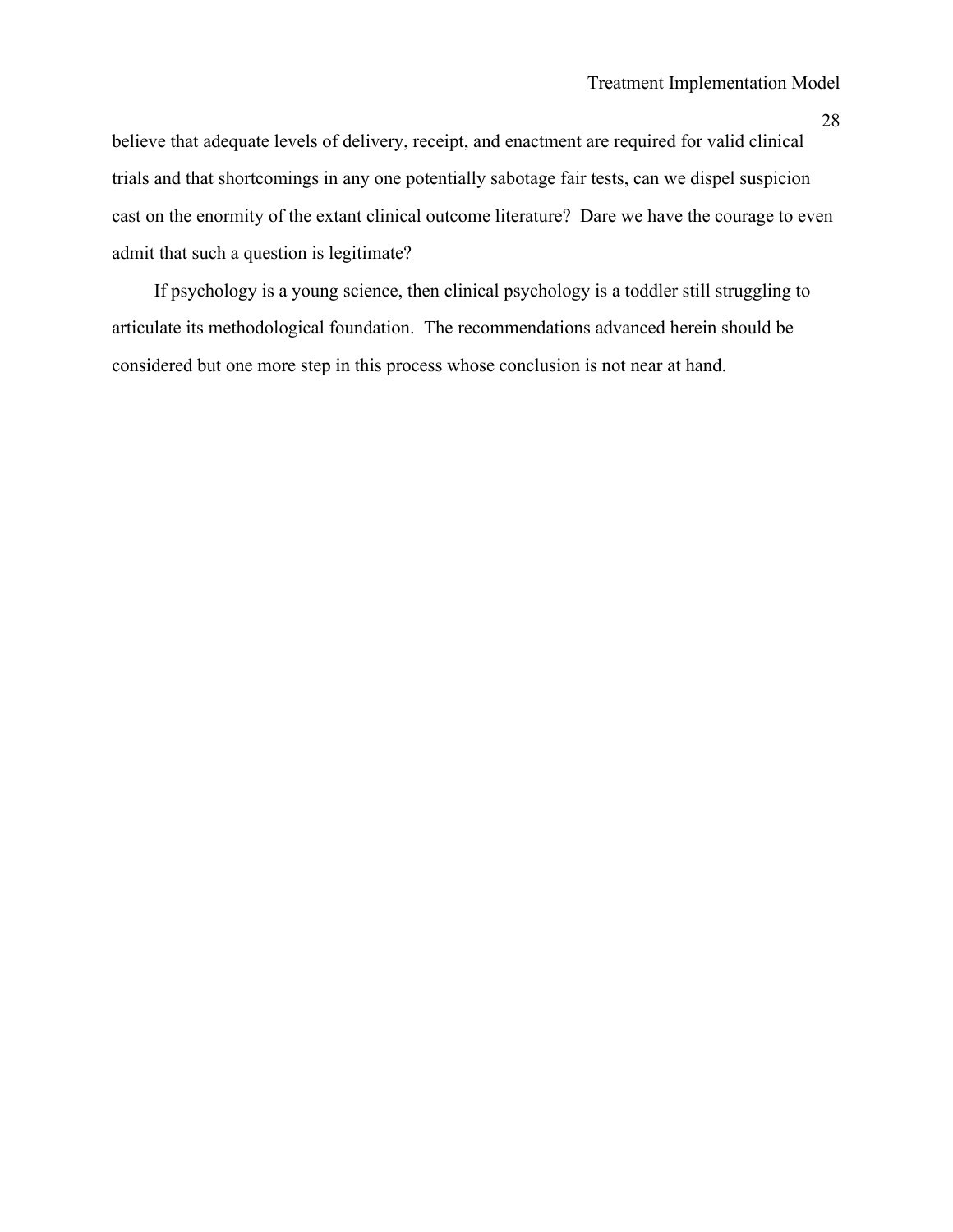believe that adequate levels of delivery, receipt, and enactment are required for valid clinical trials and that shortcomings in any one potentially sabotage fair tests, can we dispel suspicion cast on the enormity of the extant clinical outcome literature? Dare we have the courage to even admit that such a question is legitimate?

If psychology is a young science, then clinical psychology is a toddler still struggling to articulate its methodological foundation. The recommendations advanced herein should be considered but one more step in this process whose conclusion is not near at hand.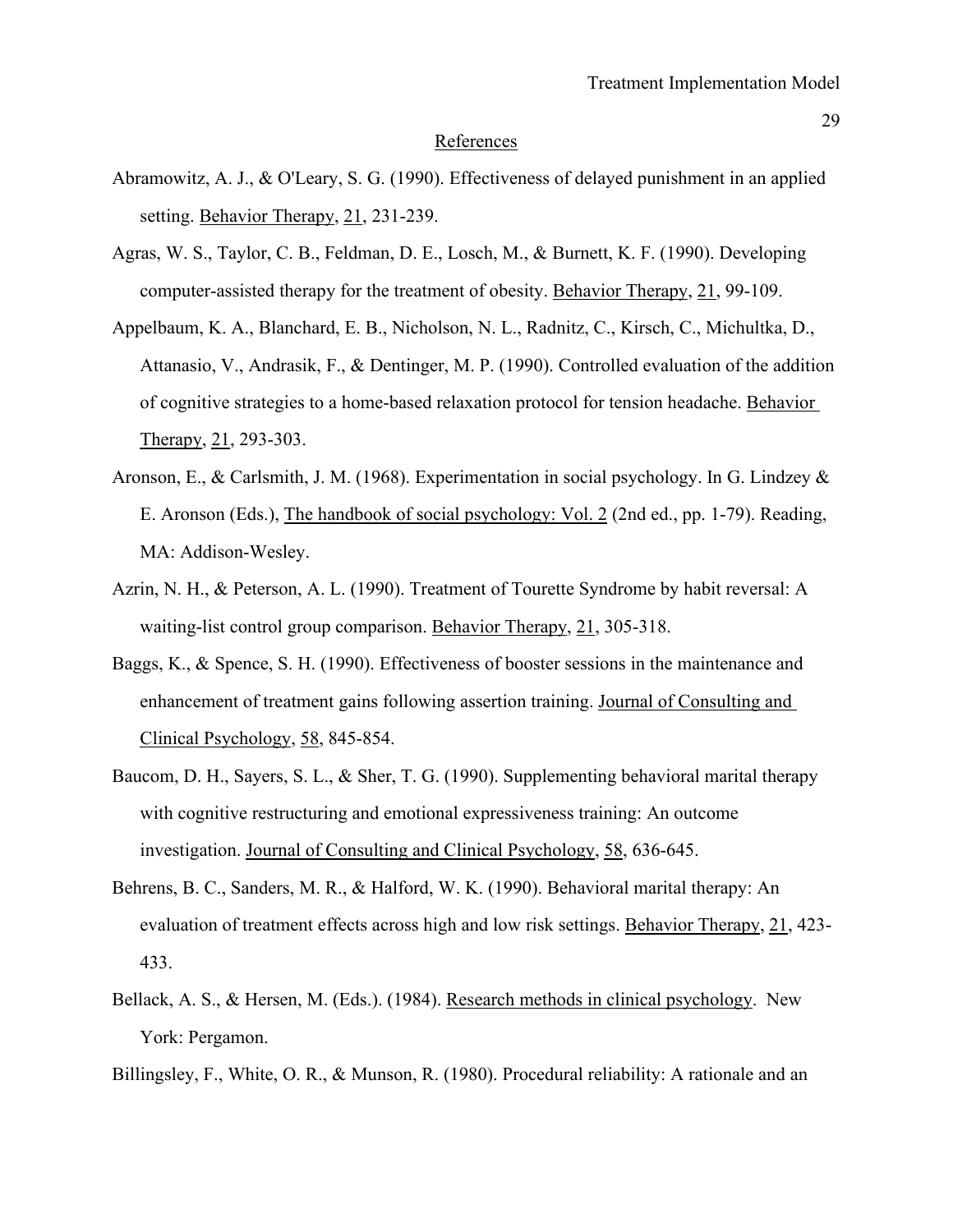#### References

- Abramowitz, A. J., & O'Leary, S. G. (1990). Effectiveness of delayed punishment in an applied setting. Behavior Therapy, 21, 231-239.
- Agras, W. S., Taylor, C. B., Feldman, D. E., Losch, M., & Burnett, K. F. (1990). Developing computer-assisted therapy for the treatment of obesity. Behavior Therapy, 21, 99-109.
- Appelbaum, K. A., Blanchard, E. B., Nicholson, N. L., Radnitz, C., Kirsch, C., Michultka, D., Attanasio, V., Andrasik, F., & Dentinger, M. P. (1990). Controlled evaluation of the addition of cognitive strategies to a home-based relaxation protocol for tension headache. Behavior Therapy, 21, 293-303.
- Aronson, E., & Carlsmith, J. M. (1968). Experimentation in social psychology. In G. Lindzey & E. Aronson (Eds.), The handbook of social psychology: Vol. 2 (2nd ed., pp. 1-79). Reading, MA: Addison-Wesley.
- Azrin, N. H., & Peterson, A. L. (1990). Treatment of Tourette Syndrome by habit reversal: A waiting-list control group comparison. Behavior Therapy, 21, 305-318.
- Baggs, K., & Spence, S. H. (1990). Effectiveness of booster sessions in the maintenance and enhancement of treatment gains following assertion training. Journal of Consulting and Clinical Psychology, 58, 845-854.
- Baucom, D. H., Sayers, S. L., & Sher, T. G. (1990). Supplementing behavioral marital therapy with cognitive restructuring and emotional expressiveness training: An outcome investigation. Journal of Consulting and Clinical Psychology, 58, 636-645.
- Behrens, B. C., Sanders, M. R., & Halford, W. K. (1990). Behavioral marital therapy: An evaluation of treatment effects across high and low risk settings. Behavior Therapy, 21, 423- 433.
- Bellack, A. S., & Hersen, M. (Eds.). (1984). Research methods in clinical psychology. New York: Pergamon.
- Billingsley, F., White, O. R., & Munson, R. (1980). Procedural reliability: A rationale and an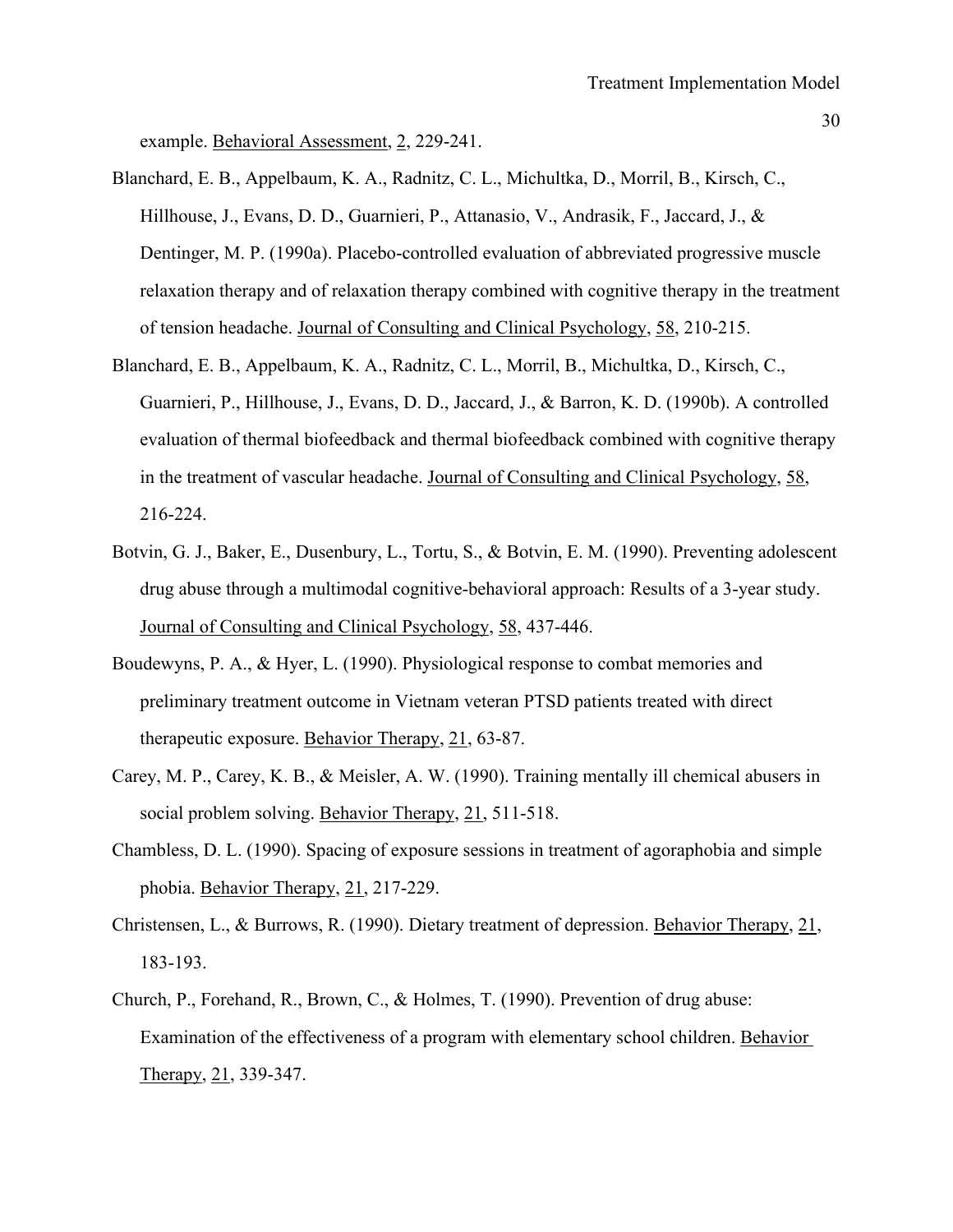example. Behavioral Assessment, 2, 229-241.

- Blanchard, E. B., Appelbaum, K. A., Radnitz, C. L., Michultka, D., Morril, B., Kirsch, C., Hillhouse, J., Evans, D. D., Guarnieri, P., Attanasio, V., Andrasik, F., Jaccard, J., & Dentinger, M. P. (1990a). Placebo-controlled evaluation of abbreviated progressive muscle relaxation therapy and of relaxation therapy combined with cognitive therapy in the treatment of tension headache. Journal of Consulting and Clinical Psychology, 58, 210-215.
- Blanchard, E. B., Appelbaum, K. A., Radnitz, C. L., Morril, B., Michultka, D., Kirsch, C., Guarnieri, P., Hillhouse, J., Evans, D. D., Jaccard, J., & Barron, K. D. (1990b). A controlled evaluation of thermal biofeedback and thermal biofeedback combined with cognitive therapy in the treatment of vascular headache. Journal of Consulting and Clinical Psychology, 58, 216-224.
- Botvin, G. J., Baker, E., Dusenbury, L., Tortu, S., & Botvin, E. M. (1990). Preventing adolescent drug abuse through a multimodal cognitive-behavioral approach: Results of a 3-year study. Journal of Consulting and Clinical Psychology, 58, 437-446.
- Boudewyns, P. A., & Hyer, L. (1990). Physiological response to combat memories and preliminary treatment outcome in Vietnam veteran PTSD patients treated with direct therapeutic exposure. Behavior Therapy, 21, 63-87.
- Carey, M. P., Carey, K. B., & Meisler, A. W. (1990). Training mentally ill chemical abusers in social problem solving. Behavior Therapy, 21, 511-518.
- Chambless, D. L. (1990). Spacing of exposure sessions in treatment of agoraphobia and simple phobia. Behavior Therapy, 21, 217-229.
- Christensen, L., & Burrows, R. (1990). Dietary treatment of depression. Behavior Therapy, 21, 183-193.
- Church, P., Forehand, R., Brown, C., & Holmes, T. (1990). Prevention of drug abuse: Examination of the effectiveness of a program with elementary school children. Behavior Therapy, 21, 339-347.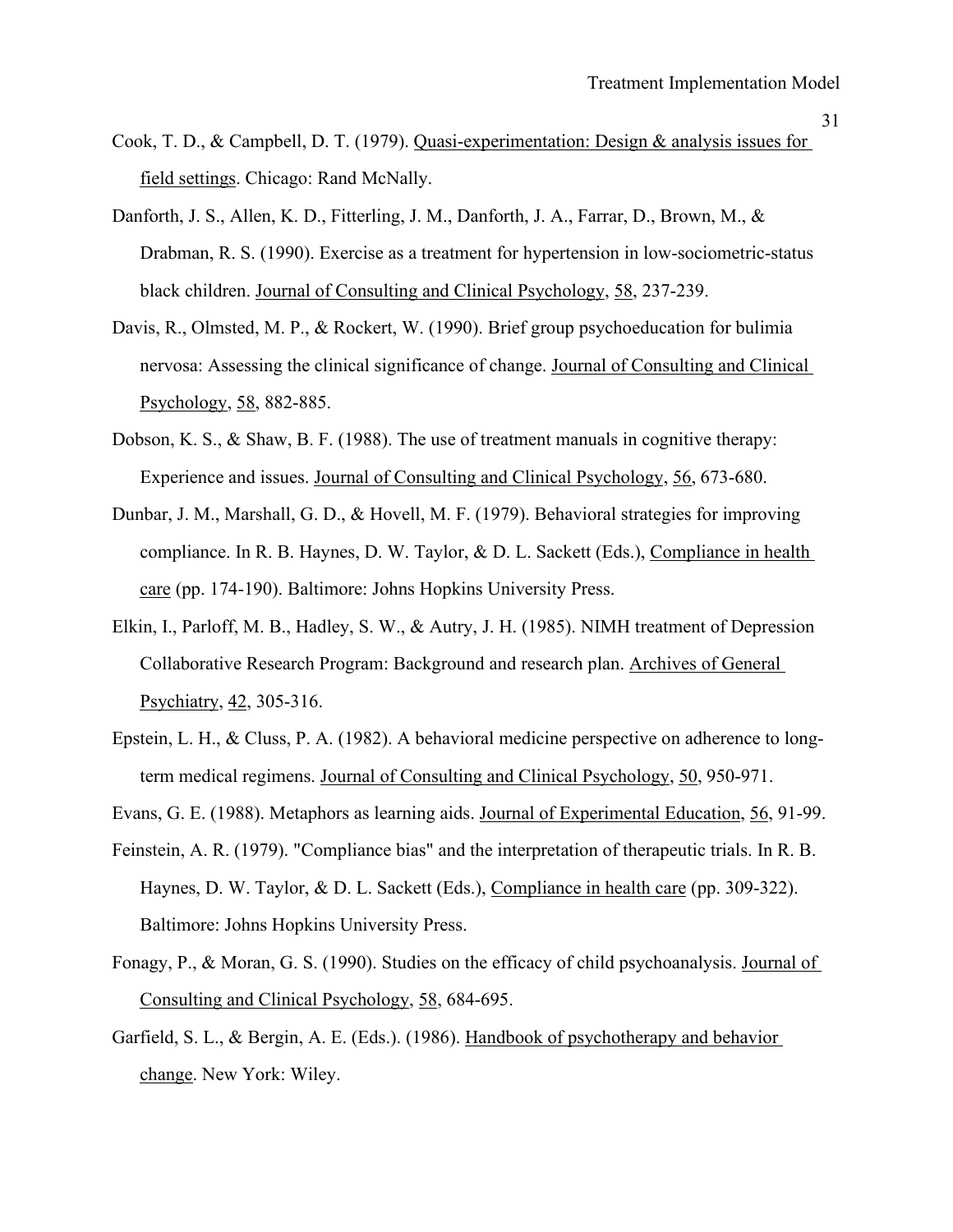- Cook, T. D., & Campbell, D. T. (1979). Quasi-experimentation: Design & analysis issues for field settings. Chicago: Rand McNally.
- Danforth, J. S., Allen, K. D., Fitterling, J. M., Danforth, J. A., Farrar, D., Brown, M., & Drabman, R. S. (1990). Exercise as a treatment for hypertension in low-sociometric-status black children. Journal of Consulting and Clinical Psychology, 58, 237-239.
- Davis, R., Olmsted, M. P., & Rockert, W. (1990). Brief group psychoeducation for bulimia nervosa: Assessing the clinical significance of change. Journal of Consulting and Clinical Psychology, 58, 882-885.
- Dobson, K. S., & Shaw, B. F. (1988). The use of treatment manuals in cognitive therapy: Experience and issues. Journal of Consulting and Clinical Psychology, 56, 673-680.
- Dunbar, J. M., Marshall, G. D., & Hovell, M. F. (1979). Behavioral strategies for improving compliance. In R. B. Haynes, D. W. Taylor, & D. L. Sackett (Eds.), Compliance in health care (pp. 174-190). Baltimore: Johns Hopkins University Press.
- Elkin, I., Parloff, M. B., Hadley, S. W., & Autry, J. H. (1985). NIMH treatment of Depression Collaborative Research Program: Background and research plan. Archives of General Psychiatry, 42, 305-316.
- Epstein, L. H., & Cluss, P. A. (1982). A behavioral medicine perspective on adherence to longterm medical regimens. Journal of Consulting and Clinical Psychology, 50, 950-971.
- Evans, G. E. (1988). Metaphors as learning aids. Journal of Experimental Education, 56, 91-99.
- Feinstein, A. R. (1979). "Compliance bias" and the interpretation of therapeutic trials. In R. B. Haynes, D. W. Taylor, & D. L. Sackett (Eds.), Compliance in health care (pp. 309-322). Baltimore: Johns Hopkins University Press.
- Fonagy, P., & Moran, G. S. (1990). Studies on the efficacy of child psychoanalysis. Journal of Consulting and Clinical Psychology, 58, 684-695.
- Garfield, S. L., & Bergin, A. E. (Eds.). (1986). Handbook of psychotherapy and behavior change. New York: Wiley.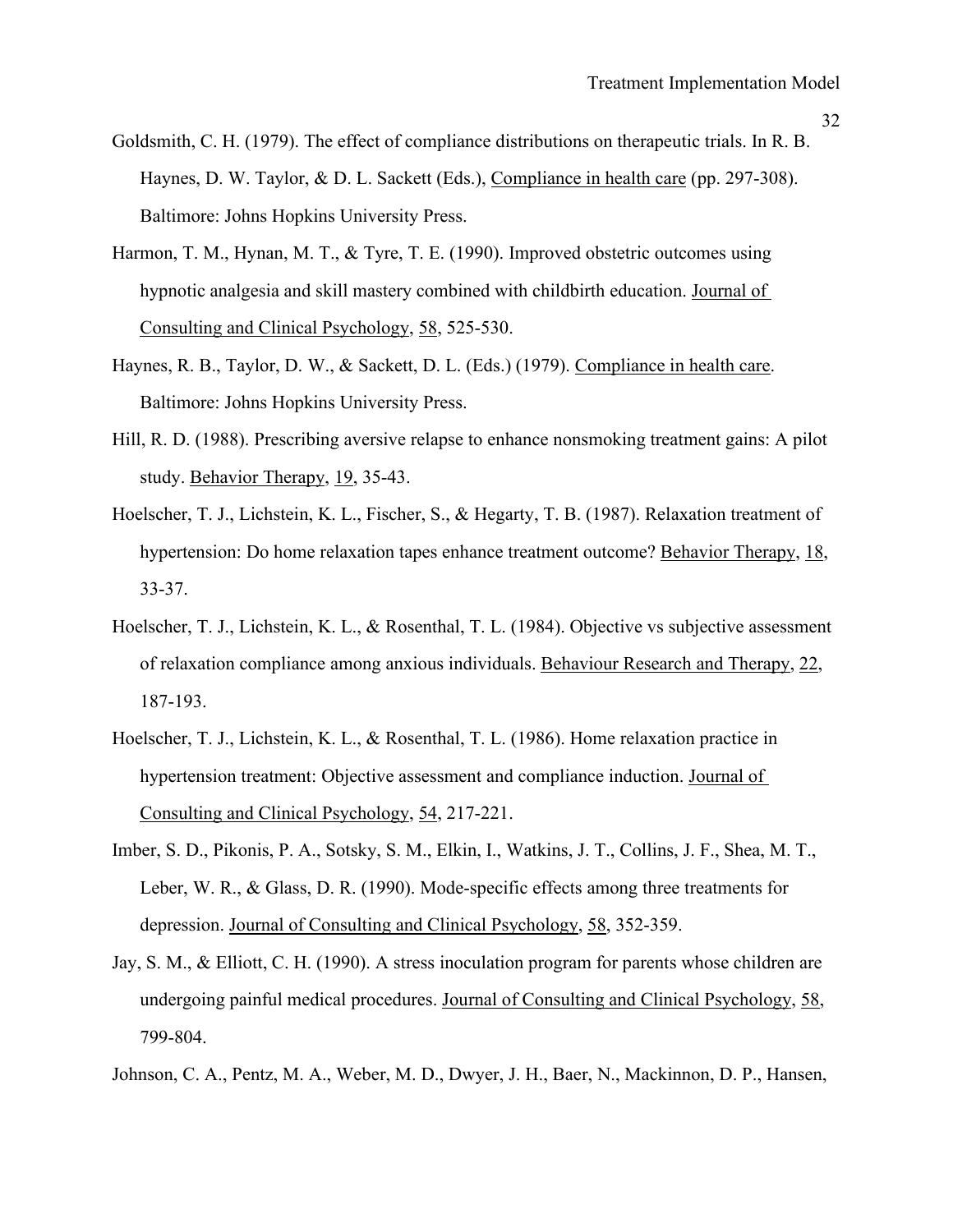Goldsmith, C. H. (1979). The effect of compliance distributions on therapeutic trials. In R. B. Haynes, D. W. Taylor, & D. L. Sackett (Eds.), Compliance in health care (pp. 297-308). Baltimore: Johns Hopkins University Press.

- Harmon, T. M., Hynan, M. T., & Tyre, T. E. (1990). Improved obstetric outcomes using hypnotic analgesia and skill mastery combined with childbirth education. Journal of Consulting and Clinical Psychology, 58, 525-530.
- Haynes, R. B., Taylor, D. W., & Sackett, D. L. (Eds.) (1979). Compliance in health care. Baltimore: Johns Hopkins University Press.
- Hill, R. D. (1988). Prescribing aversive relapse to enhance nonsmoking treatment gains: A pilot study. Behavior Therapy, 19, 35-43.
- Hoelscher, T. J., Lichstein, K. L., Fischer, S., & Hegarty, T. B. (1987). Relaxation treatment of hypertension: Do home relaxation tapes enhance treatment outcome? Behavior Therapy, 18, 33-37.
- Hoelscher, T. J., Lichstein, K. L., & Rosenthal, T. L. (1984). Objective vs subjective assessment of relaxation compliance among anxious individuals. Behaviour Research and Therapy, 22, 187-193.
- Hoelscher, T. J., Lichstein, K. L., & Rosenthal, T. L. (1986). Home relaxation practice in hypertension treatment: Objective assessment and compliance induction. Journal of Consulting and Clinical Psychology, 54, 217-221.
- Imber, S. D., Pikonis, P. A., Sotsky, S. M., Elkin, I., Watkins, J. T., Collins, J. F., Shea, M. T., Leber, W. R., & Glass, D. R. (1990). Mode-specific effects among three treatments for depression. Journal of Consulting and Clinical Psychology, 58, 352-359.
- Jay, S. M., & Elliott, C. H. (1990). A stress inoculation program for parents whose children are undergoing painful medical procedures. Journal of Consulting and Clinical Psychology, 58, 799-804.
- Johnson, C. A., Pentz, M. A., Weber, M. D., Dwyer, J. H., Baer, N., Mackinnon, D. P., Hansen,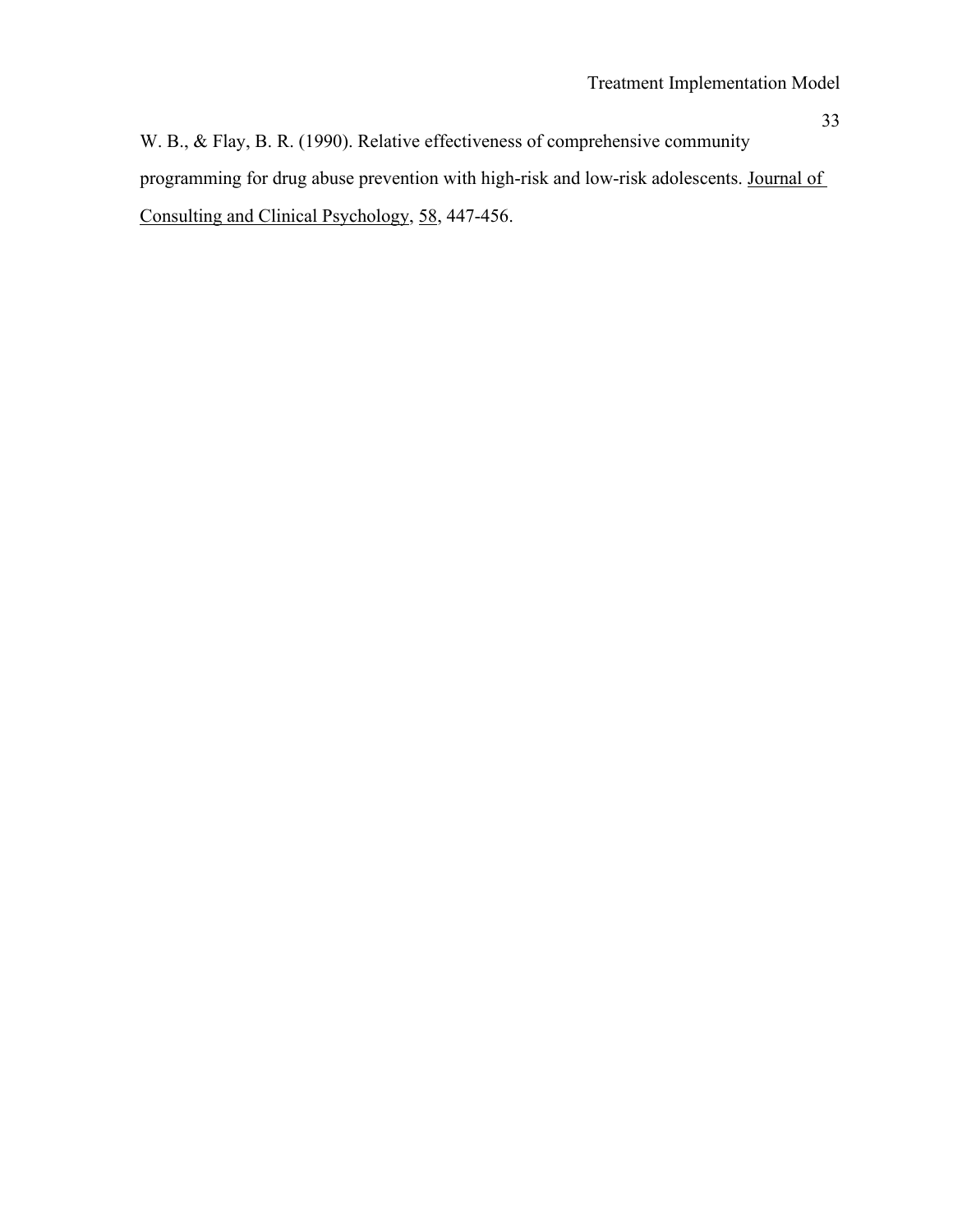33 W. B., & Flay, B. R. (1990). Relative effectiveness of comprehensive community programming for drug abuse prevention with high-risk and low-risk adolescents. Journal of Consulting and Clinical Psychology, 58, 447-456.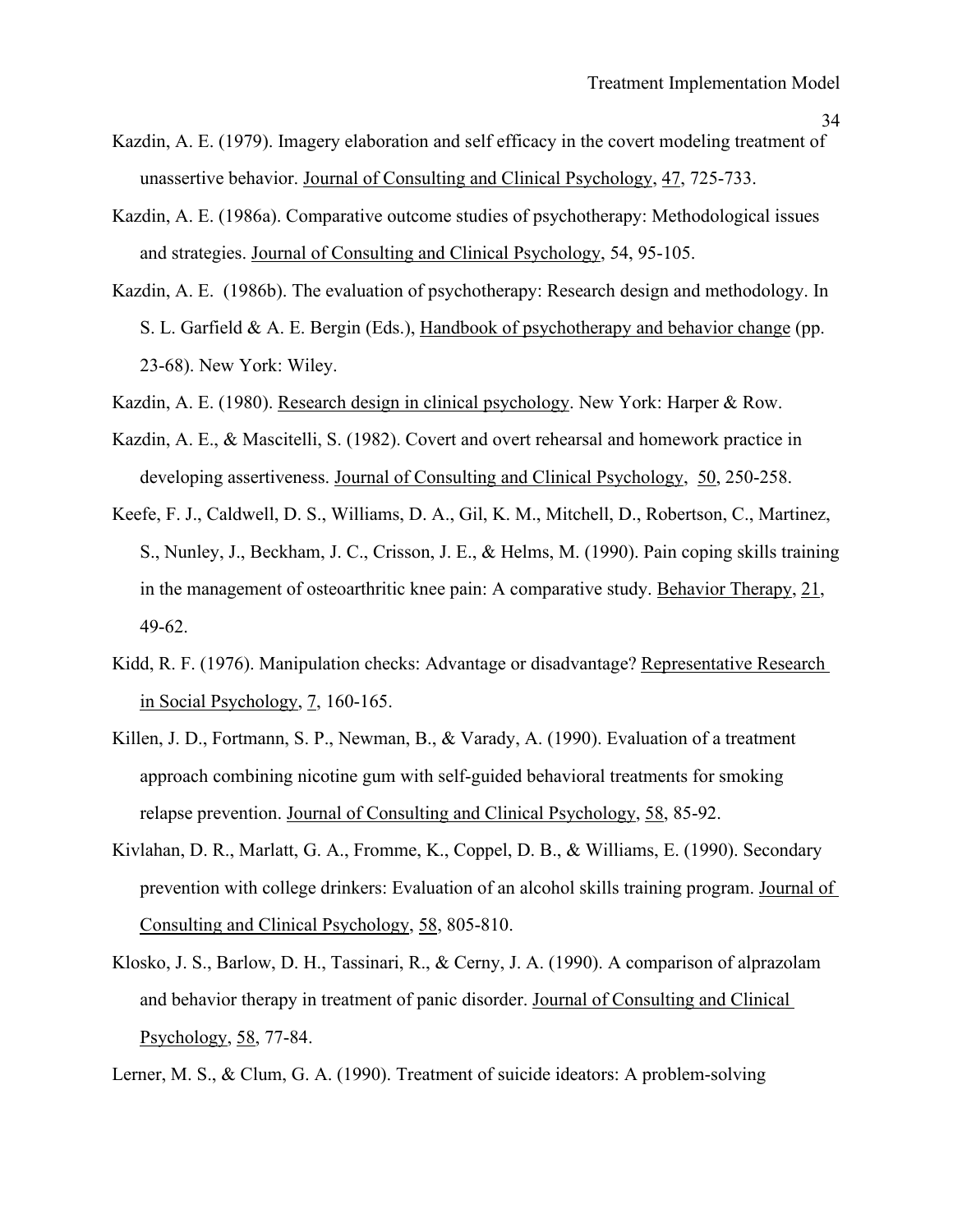- 34
- Kazdin, A. E. (1979). Imagery elaboration and self efficacy in the covert modeling treatment of unassertive behavior. Journal of Consulting and Clinical Psychology, 47, 725-733.
- Kazdin, A. E. (1986a). Comparative outcome studies of psychotherapy: Methodological issues and strategies. Journal of Consulting and Clinical Psychology, 54, 95-105.
- Kazdin, A. E. (1986b). The evaluation of psychotherapy: Research design and methodology. In S. L. Garfield & A. E. Bergin (Eds.), Handbook of psychotherapy and behavior change (pp. 23-68). New York: Wiley.
- Kazdin, A. E. (1980). Research design in clinical psychology. New York: Harper & Row.
- Kazdin, A. E., & Mascitelli, S. (1982). Covert and overt rehearsal and homework practice in developing assertiveness. Journal of Consulting and Clinical Psychology, 50, 250-258.
- Keefe, F. J., Caldwell, D. S., Williams, D. A., Gil, K. M., Mitchell, D., Robertson, C., Martinez, S., Nunley, J., Beckham, J. C., Crisson, J. E., & Helms, M. (1990). Pain coping skills training in the management of osteoarthritic knee pain: A comparative study. Behavior Therapy, 21, 49-62.
- Kidd, R. F. (1976). Manipulation checks: Advantage or disadvantage? Representative Research in Social Psychology, 7, 160-165.
- Killen, J. D., Fortmann, S. P., Newman, B., & Varady, A. (1990). Evaluation of a treatment approach combining nicotine gum with self-guided behavioral treatments for smoking relapse prevention. Journal of Consulting and Clinical Psychology, 58, 85-92.
- Kivlahan, D. R., Marlatt, G. A., Fromme, K., Coppel, D. B., & Williams, E. (1990). Secondary prevention with college drinkers: Evaluation of an alcohol skills training program. Journal of Consulting and Clinical Psychology, 58, 805-810.
- Klosko, J. S., Barlow, D. H., Tassinari, R., & Cerny, J. A. (1990). A comparison of alprazolam and behavior therapy in treatment of panic disorder. Journal of Consulting and Clinical Psychology, 58, 77-84.

Lerner, M. S., & Clum, G. A. (1990). Treatment of suicide ideators: A problem-solving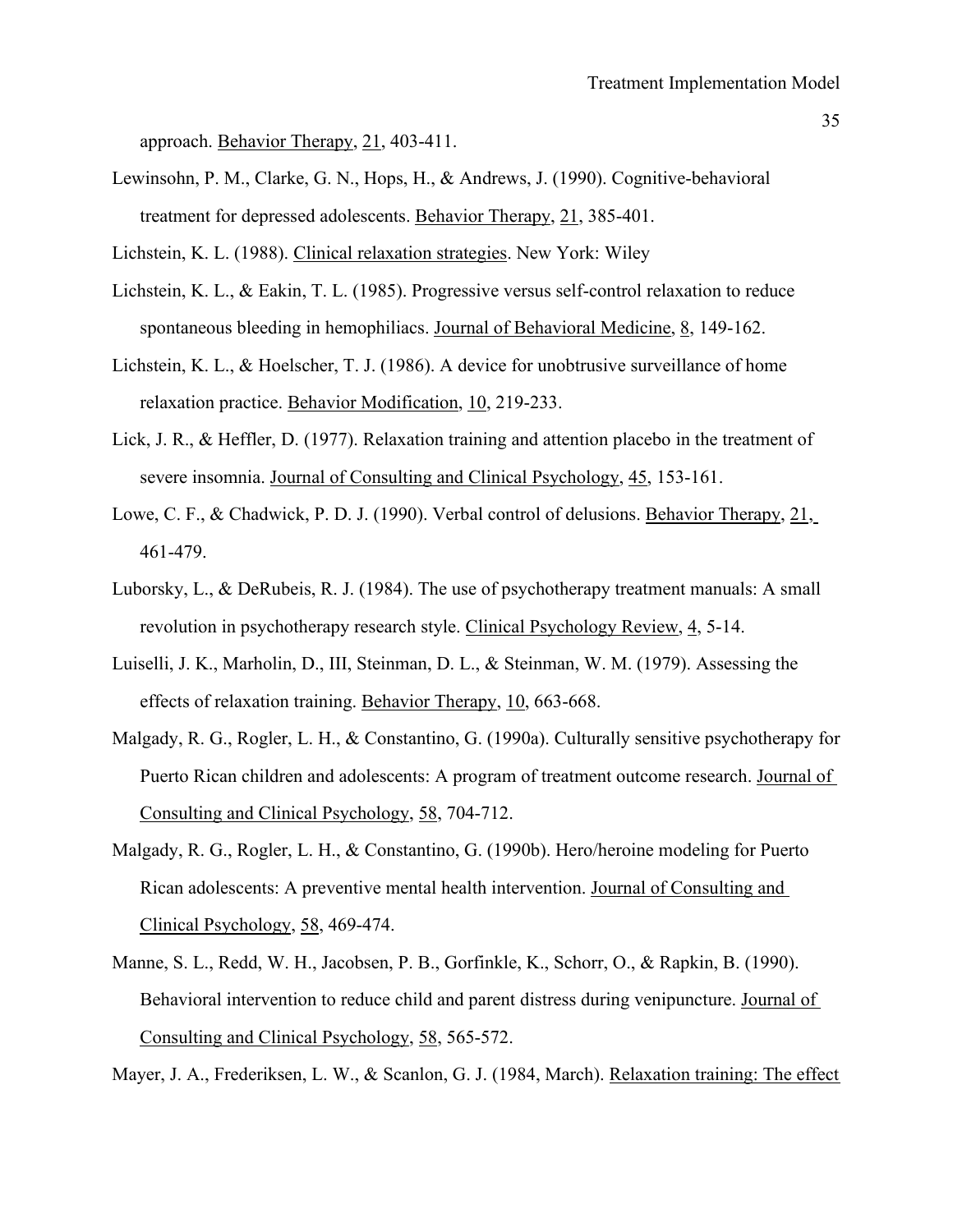approach. Behavior Therapy, 21, 403-411.

Lewinsohn, P. M., Clarke, G. N., Hops, H., & Andrews, J. (1990). Cognitive-behavioral treatment for depressed adolescents. Behavior Therapy, 21, 385-401.

Lichstein, K. L. (1988). Clinical relaxation strategies. New York: Wiley

- Lichstein, K. L., & Eakin, T. L. (1985). Progressive versus self-control relaxation to reduce spontaneous bleeding in hemophiliacs. Journal of Behavioral Medicine, 8, 149-162.
- Lichstein, K. L., & Hoelscher, T. J. (1986). A device for unobtrusive surveillance of home relaxation practice. Behavior Modification, 10, 219-233.
- Lick, J. R., & Heffler, D. (1977). Relaxation training and attention placebo in the treatment of severe insomnia. Journal of Consulting and Clinical Psychology, 45, 153-161.
- Lowe, C. F., & Chadwick, P. D. J. (1990). Verbal control of delusions. Behavior Therapy, 21, 461-479.
- Luborsky, L., & DeRubeis, R. J. (1984). The use of psychotherapy treatment manuals: A small revolution in psychotherapy research style. Clinical Psychology Review, 4, 5-14.
- Luiselli, J. K., Marholin, D., III, Steinman, D. L., & Steinman, W. M. (1979). Assessing the effects of relaxation training. Behavior Therapy, 10, 663-668.
- Malgady, R. G., Rogler, L. H., & Constantino, G. (1990a). Culturally sensitive psychotherapy for Puerto Rican children and adolescents: A program of treatment outcome research. Journal of Consulting and Clinical Psychology, 58, 704-712.
- Malgady, R. G., Rogler, L. H., & Constantino, G. (1990b). Hero/heroine modeling for Puerto Rican adolescents: A preventive mental health intervention. Journal of Consulting and Clinical Psychology, 58, 469-474.
- Manne, S. L., Redd, W. H., Jacobsen, P. B., Gorfinkle, K., Schorr, O., & Rapkin, B. (1990). Behavioral intervention to reduce child and parent distress during venipuncture. Journal of Consulting and Clinical Psychology, 58, 565-572.

Mayer, J. A., Frederiksen, L. W., & Scanlon, G. J. (1984, March). Relaxation training: The effect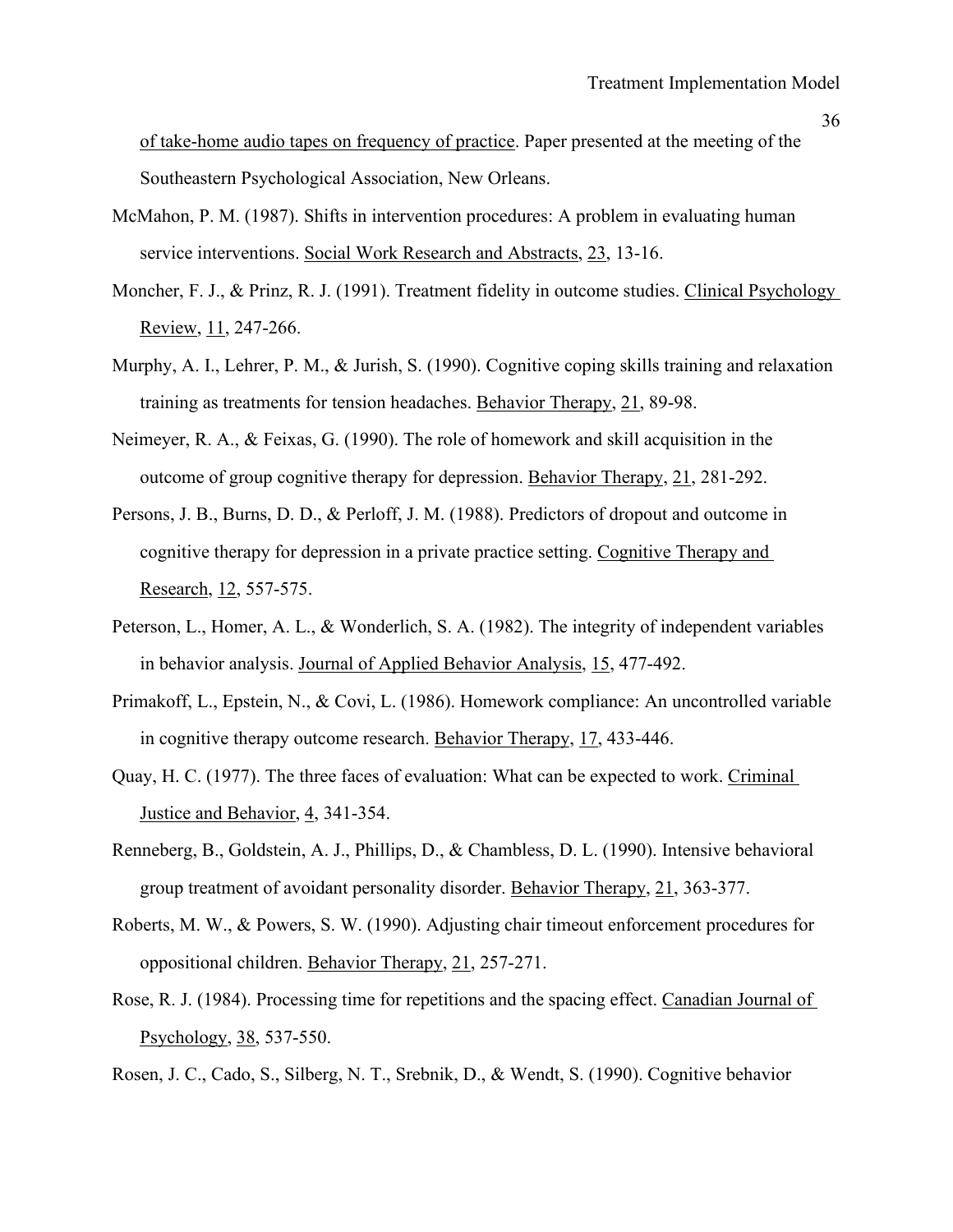of take-home audio tapes on frequency of practice. Paper presented at the meeting of the Southeastern Psychological Association, New Orleans.

- McMahon, P. M. (1987). Shifts in intervention procedures: A problem in evaluating human service interventions. Social Work Research and Abstracts, 23, 13-16.
- Moncher, F. J., & Prinz, R. J. (1991). Treatment fidelity in outcome studies. Clinical Psychology Review, 11, 247-266.
- Murphy, A. I., Lehrer, P. M., & Jurish, S. (1990). Cognitive coping skills training and relaxation training as treatments for tension headaches. Behavior Therapy, 21, 89-98.
- Neimeyer, R. A., & Feixas, G. (1990). The role of homework and skill acquisition in the outcome of group cognitive therapy for depression. Behavior Therapy, 21, 281-292.
- Persons, J. B., Burns, D. D., & Perloff, J. M. (1988). Predictors of dropout and outcome in cognitive therapy for depression in a private practice setting. Cognitive Therapy and Research, 12, 557-575.
- Peterson, L., Homer, A. L., & Wonderlich, S. A. (1982). The integrity of independent variables in behavior analysis. Journal of Applied Behavior Analysis, 15, 477-492.
- Primakoff, L., Epstein, N., & Covi, L. (1986). Homework compliance: An uncontrolled variable in cognitive therapy outcome research. Behavior Therapy, 17, 433-446.
- Quay, H. C. (1977). The three faces of evaluation: What can be expected to work. Criminal Justice and Behavior, 4, 341-354.
- Renneberg, B., Goldstein, A. J., Phillips, D., & Chambless, D. L. (1990). Intensive behavioral group treatment of avoidant personality disorder. Behavior Therapy, 21, 363-377.
- Roberts, M. W., & Powers, S. W. (1990). Adjusting chair timeout enforcement procedures for oppositional children. Behavior Therapy, 21, 257-271.
- Rose, R. J. (1984). Processing time for repetitions and the spacing effect. Canadian Journal of Psychology, 38, 537-550.
- Rosen, J. C., Cado, S., Silberg, N. T., Srebnik, D., & Wendt, S. (1990). Cognitive behavior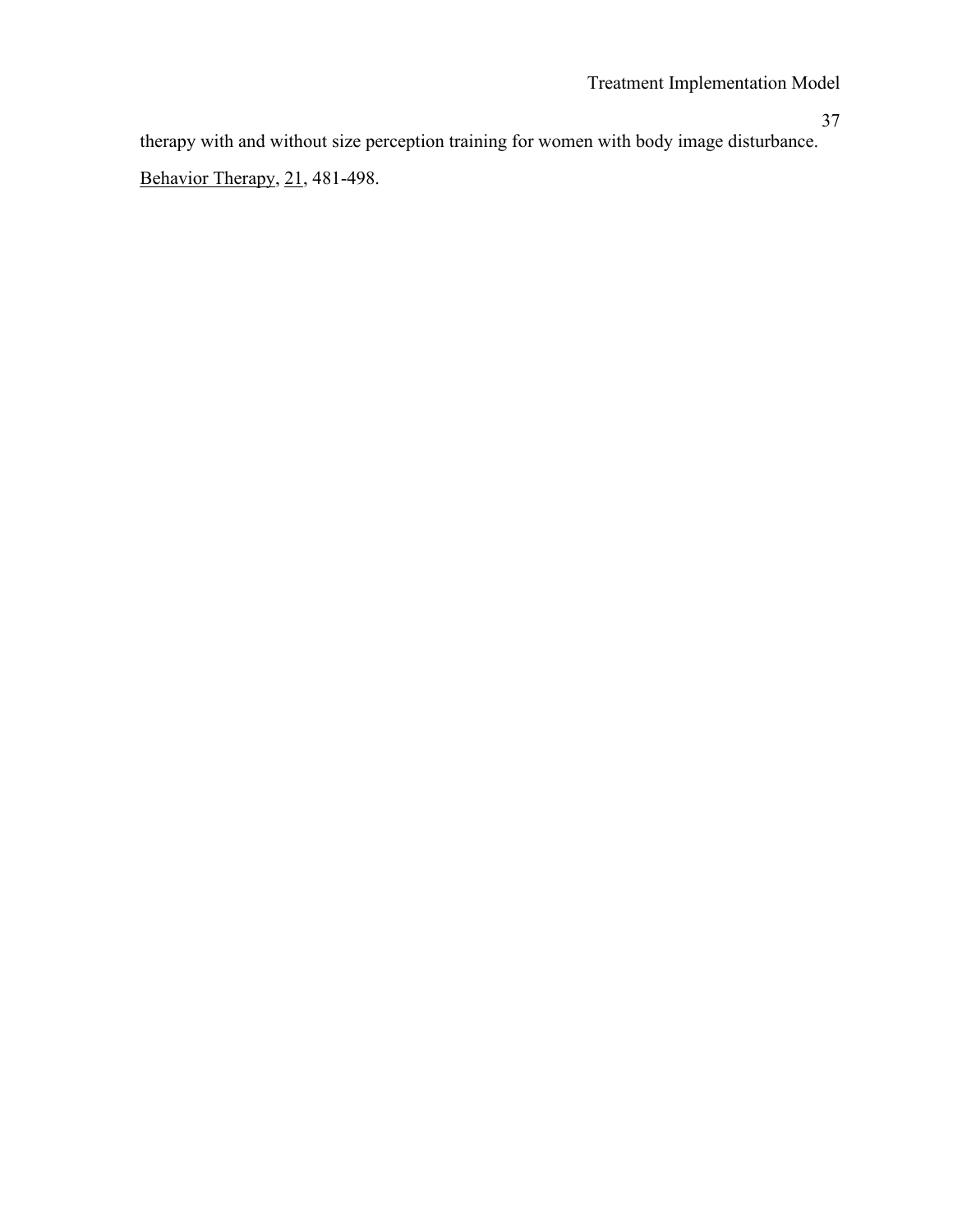therapy with and without size perception training for women with body image disturbance.

Behavior Therapy, 21, 481-498.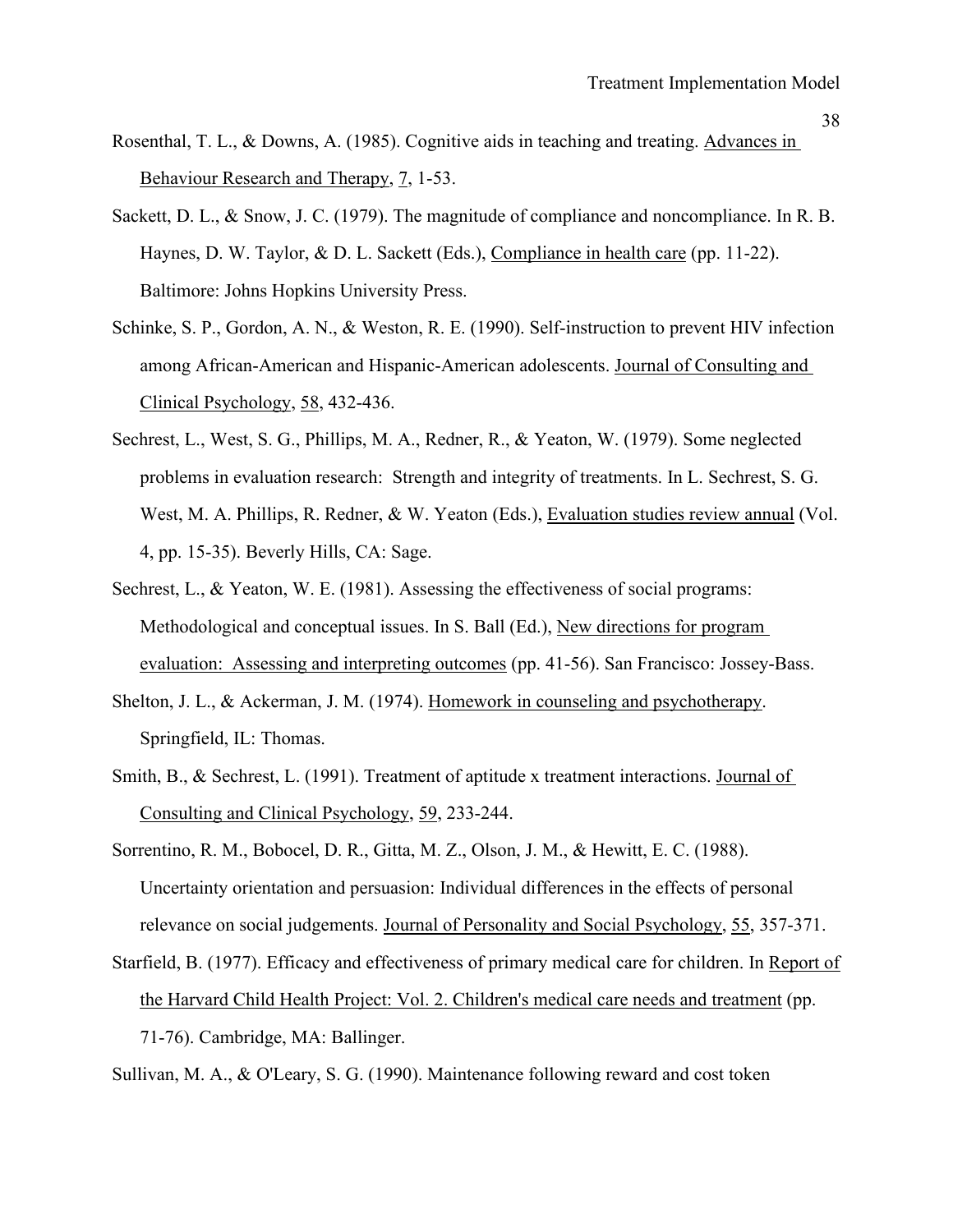- Rosenthal, T. L., & Downs, A. (1985). Cognitive aids in teaching and treating. Advances in Behaviour Research and Therapy, 7, 1-53.
- Sackett, D. L., & Snow, J. C. (1979). The magnitude of compliance and noncompliance. In R. B. Haynes, D. W. Taylor, & D. L. Sackett (Eds.), Compliance in health care (pp. 11-22). Baltimore: Johns Hopkins University Press.
- Schinke, S. P., Gordon, A. N., & Weston, R. E. (1990). Self-instruction to prevent HIV infection among African-American and Hispanic-American adolescents. Journal of Consulting and Clinical Psychology, 58, 432-436.
- Sechrest, L., West, S. G., Phillips, M. A., Redner, R., & Yeaton, W. (1979). Some neglected problems in evaluation research: Strength and integrity of treatments. In L. Sechrest, S. G. West, M. A. Phillips, R. Redner, & W. Yeaton (Eds.), Evaluation studies review annual (Vol. 4, pp. 15-35). Beverly Hills, CA: Sage.
- Sechrest, L., & Yeaton, W. E. (1981). Assessing the effectiveness of social programs: Methodological and conceptual issues. In S. Ball (Ed.), New directions for program evaluation: Assessing and interpreting outcomes (pp. 41-56). San Francisco: Jossey-Bass.
- Shelton, J. L., & Ackerman, J. M. (1974). Homework in counseling and psychotherapy. Springfield, IL: Thomas.
- Smith, B., & Sechrest, L. (1991). Treatment of aptitude x treatment interactions. Journal of Consulting and Clinical Psychology, 59, 233-244.
- Sorrentino, R. M., Bobocel, D. R., Gitta, M. Z., Olson, J. M., & Hewitt, E. C. (1988). Uncertainty orientation and persuasion: Individual differences in the effects of personal relevance on social judgements. Journal of Personality and Social Psychology, 55, 357-371.
- Starfield, B. (1977). Efficacy and effectiveness of primary medical care for children. In Report of the Harvard Child Health Project: Vol. 2. Children's medical care needs and treatment (pp. 71-76). Cambridge, MA: Ballinger.

Sullivan, M. A., & O'Leary, S. G. (1990). Maintenance following reward and cost token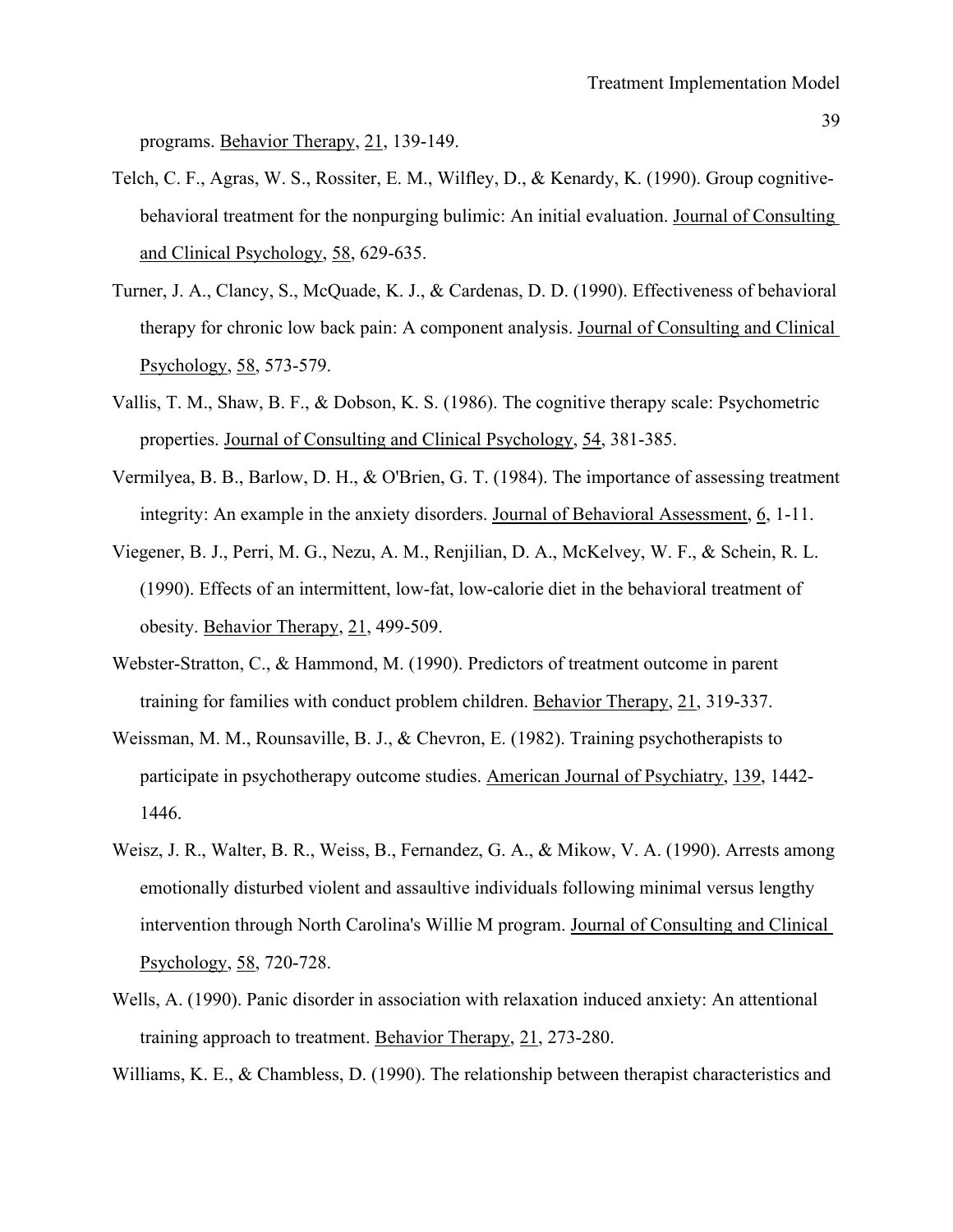programs. Behavior Therapy, 21, 139-149.

- Telch, C. F., Agras, W. S., Rossiter, E. M., Wilfley, D., & Kenardy, K. (1990). Group cognitivebehavioral treatment for the nonpurging bulimic: An initial evaluation. Journal of Consulting and Clinical Psychology, 58, 629-635.
- Turner, J. A., Clancy, S., McQuade, K. J., & Cardenas, D. D. (1990). Effectiveness of behavioral therapy for chronic low back pain: A component analysis. Journal of Consulting and Clinical Psychology, 58, 573-579.
- Vallis, T. M., Shaw, B. F., & Dobson, K. S. (1986). The cognitive therapy scale: Psychometric properties. Journal of Consulting and Clinical Psychology, 54, 381-385.
- Vermilyea, B. B., Barlow, D. H., & O'Brien, G. T. (1984). The importance of assessing treatment integrity: An example in the anxiety disorders. Journal of Behavioral Assessment, 6, 1-11.
- Viegener, B. J., Perri, M. G., Nezu, A. M., Renjilian, D. A., McKelvey, W. F., & Schein, R. L. (1990). Effects of an intermittent, low-fat, low-calorie diet in the behavioral treatment of obesity. Behavior Therapy, 21, 499-509.
- Webster-Stratton, C., & Hammond, M. (1990). Predictors of treatment outcome in parent training for families with conduct problem children. Behavior Therapy, 21, 319-337.
- Weissman, M. M., Rounsaville, B. J., & Chevron, E. (1982). Training psychotherapists to participate in psychotherapy outcome studies. American Journal of Psychiatry, 139, 1442- 1446.
- Weisz, J. R., Walter, B. R., Weiss, B., Fernandez, G. A., & Mikow, V. A. (1990). Arrests among emotionally disturbed violent and assaultive individuals following minimal versus lengthy intervention through North Carolina's Willie M program. Journal of Consulting and Clinical Psychology, 58, 720-728.
- Wells, A. (1990). Panic disorder in association with relaxation induced anxiety: An attentional training approach to treatment. Behavior Therapy, 21, 273-280.
- Williams, K. E., & Chambless, D. (1990). The relationship between therapist characteristics and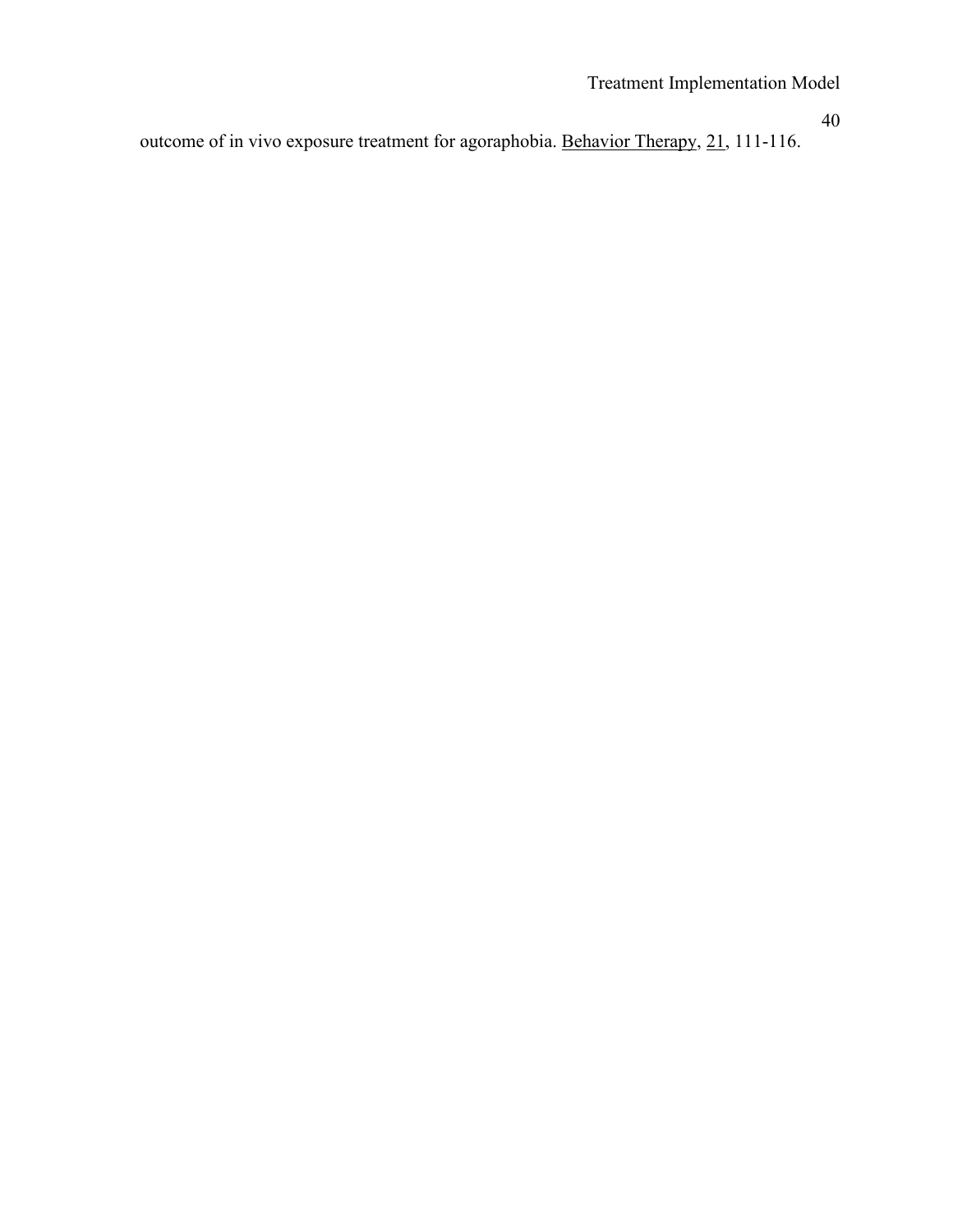outcome of in vivo exposure treatment for agoraphobia. Behavior Therapy, 21, 111-116.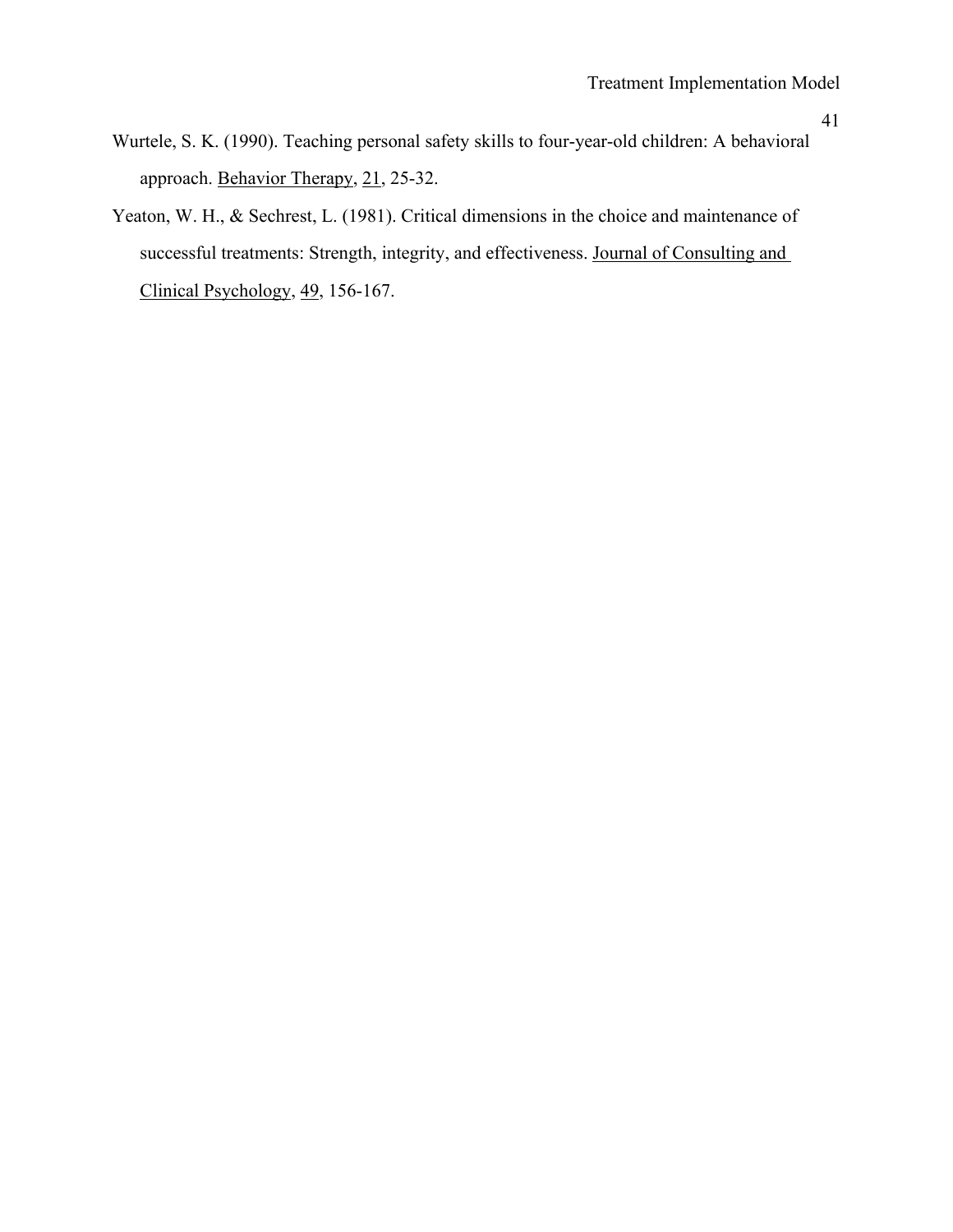- Wurtele, S. K. (1990). Teaching personal safety skills to four-year-old children: A behavioral approach. Behavior Therapy, 21, 25-32.
- Yeaton, W. H., & Sechrest, L. (1981). Critical dimensions in the choice and maintenance of successful treatments: Strength, integrity, and effectiveness. Journal of Consulting and Clinical Psychology, 49, 156-167.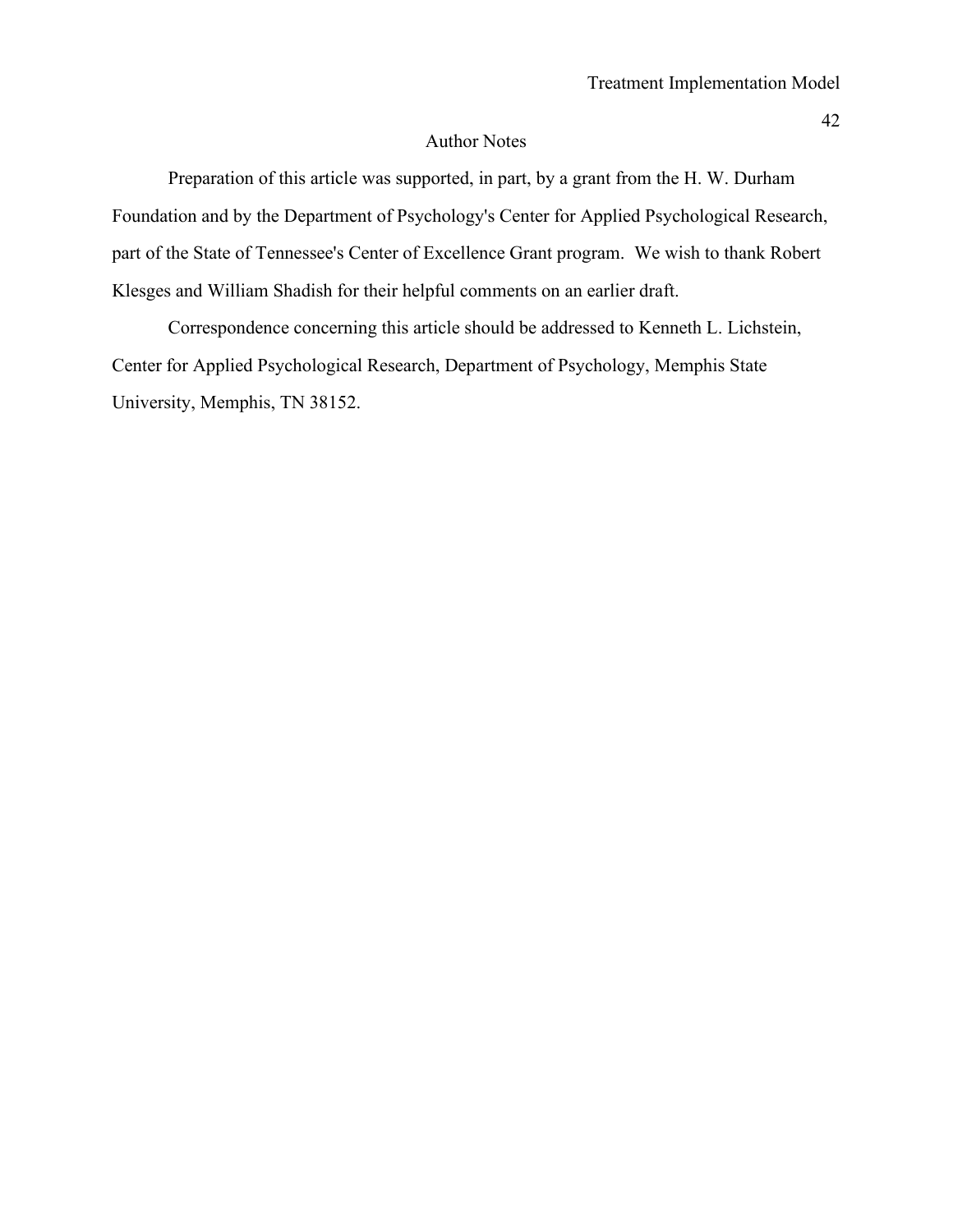#### Author Notes

Preparation of this article was supported, in part, by a grant from the H. W. Durham Foundation and by the Department of Psychology's Center for Applied Psychological Research, part of the State of Tennessee's Center of Excellence Grant program. We wish to thank Robert Klesges and William Shadish for their helpful comments on an earlier draft.

Correspondence concerning this article should be addressed to Kenneth L. Lichstein, Center for Applied Psychological Research, Department of Psychology, Memphis State University, Memphis, TN 38152.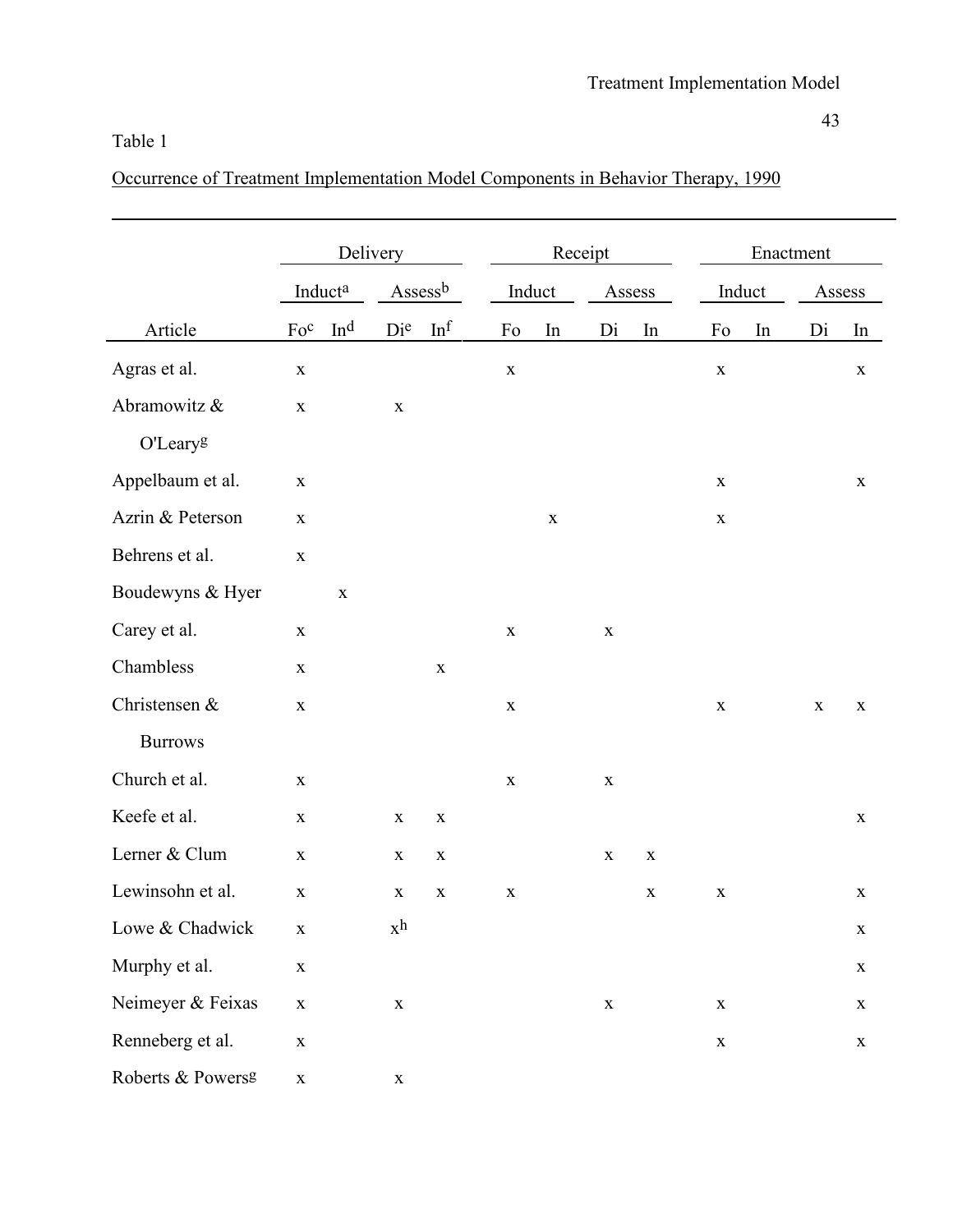# Table 1

|                      | Delivery    |                 |                |             |             | Receipt     |             | Enactment   |             |        |             |             |
|----------------------|-------------|-----------------|----------------|-------------|-------------|-------------|-------------|-------------|-------------|--------|-------------|-------------|
|                      |             | Inducta         |                | Assessb     |             | Induct      | Assess      |             |             | Induct | Assess      |             |
| Article              | Foc         | In <sup>d</sup> | $Di^e$         | Inf         | $\rm{Fo}$   | In          | Di          | In          | Fo          | In     | Di          | In          |
| Agras et al.         | $\mathbf X$ |                 |                |             | $\mathbf X$ |             |             |             | $\mathbf X$ |        |             | $\mathbf X$ |
| Abramowitz &         | $\mathbf X$ |                 | $\mathbf X$    |             |             |             |             |             |             |        |             |             |
| O'Leary <sup>g</sup> |             |                 |                |             |             |             |             |             |             |        |             |             |
| Appelbaum et al.     | $\mathbf X$ |                 |                |             |             |             |             |             | $\mathbf X$ |        |             | $\mathbf X$ |
| Azrin & Peterson     | $\mathbf X$ |                 |                |             |             | $\mathbf X$ |             |             | $\mathbf X$ |        |             |             |
| Behrens et al.       | $\mathbf X$ |                 |                |             |             |             |             |             |             |        |             |             |
| Boudewyns & Hyer     |             | $\mathbf X$     |                |             |             |             |             |             |             |        |             |             |
| Carey et al.         | $\mathbf X$ |                 |                |             | $\mathbf X$ |             | $\mathbf X$ |             |             |        |             |             |
| Chambless            | $\mathbf X$ |                 |                | $\mathbf X$ |             |             |             |             |             |        |             |             |
| Christensen &        | $\mathbf X$ |                 |                |             | $\mathbf X$ |             |             |             | $\mathbf X$ |        | $\mathbf X$ | $\mathbf X$ |
| <b>Burrows</b>       |             |                 |                |             |             |             |             |             |             |        |             |             |
| Church et al.        | $\mathbf X$ |                 |                |             | $\mathbf X$ |             | $\mathbf X$ |             |             |        |             |             |
| Keefe et al.         | $\mathbf X$ |                 | $\mathbf X$    | $\mathbf X$ |             |             |             |             |             |        |             | $\mathbf X$ |
| Lerner & Clum        | $\mathbf X$ |                 | $\mathbf X$    | $\mathbf X$ |             |             | $\mathbf X$ | $\mathbf X$ |             |        |             |             |
| Lewinsohn et al.     | $\mathbf X$ |                 | $\mathbf X$    | $\mathbf X$ | $\mathbf X$ |             |             | $\mathbf X$ | $\mathbf X$ |        |             | $\mathbf X$ |
| Lowe & Chadwick      | $\mathbf X$ |                 | x <sup>h</sup> |             |             |             |             |             |             |        |             | $\mathbf X$ |
| Murphy et al.        | $\mathbf X$ |                 |                |             |             |             |             |             |             |        |             | $\mathbf X$ |
| Neimeyer & Feixas    | $\mathbf X$ |                 | $\mathbf X$    |             |             |             | $\mathbf X$ |             | $\mathbf X$ |        |             | $\mathbf X$ |
| Renneberg et al.     | $\mathbf X$ |                 |                |             |             |             |             |             | $\mathbf X$ |        |             | $\mathbf X$ |
| Roberts & Powersg    | $\mathbf X$ |                 | $\mathbf X$    |             |             |             |             |             |             |        |             |             |

# Occurrence of Treatment Implementation Model Components in Behavior Therapy, 1990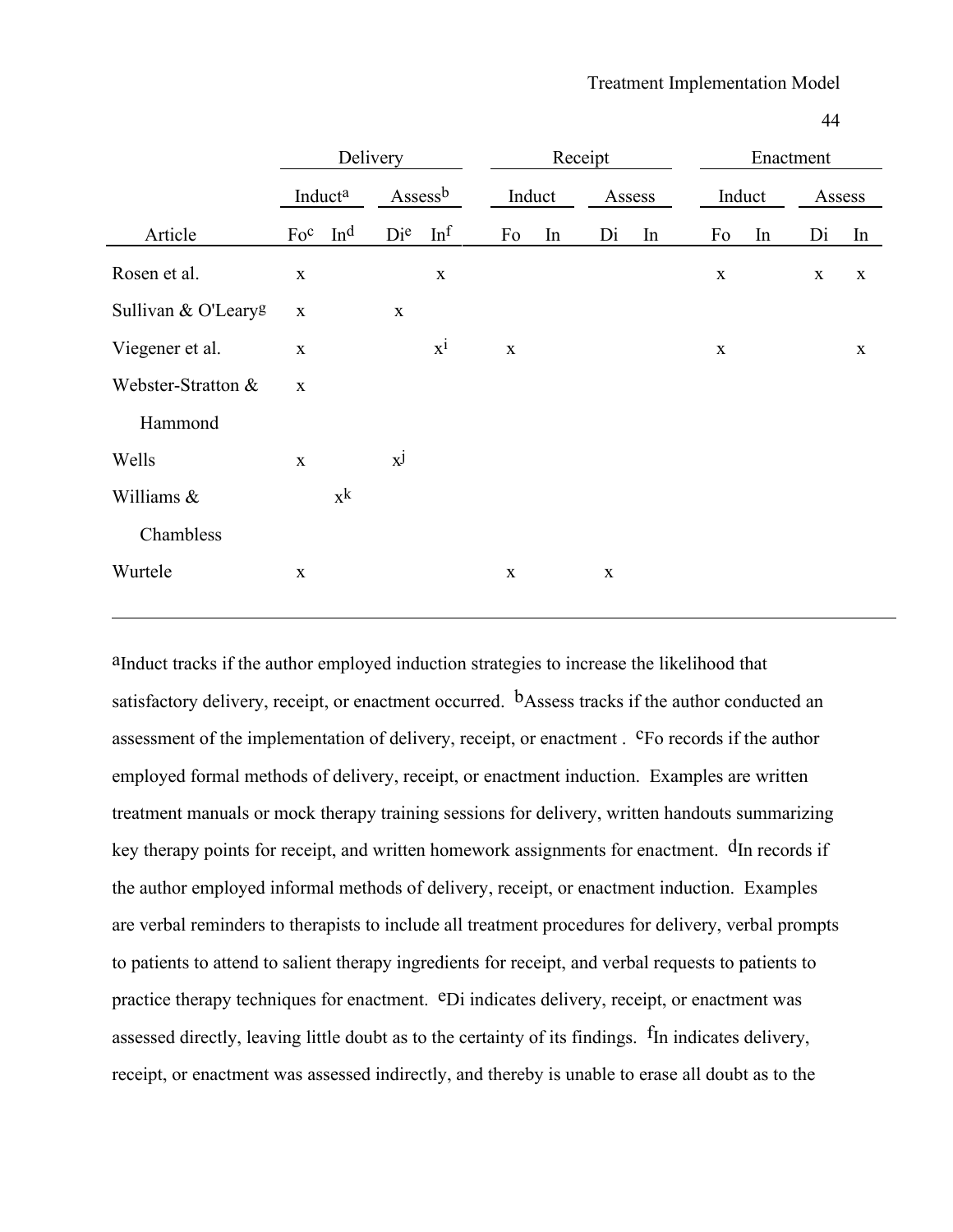|  | <b>Treatment Implementation Model</b> |
|--|---------------------------------------|
|--|---------------------------------------|

| iipiememation wiquei |    |
|----------------------|----|
|                      | 44 |

|                                 | Delivery    |                       |             | Receipt                     |             |    |  |             | Enactment |             |        |  |             |             |
|---------------------------------|-------------|-----------------------|-------------|-----------------------------|-------------|----|--|-------------|-----------|-------------|--------|--|-------------|-------------|
|                                 |             | Inducta               | Assessb     |                             | Induct      |    |  | Assess      |           |             | Induct |  | Assess      |             |
| Article                         |             | $Foc$ In <sup>d</sup> | $Di^e$ Inf  |                             | Fo          | In |  | Di          | In        | Fo          | In     |  | Di          | In          |
| Rosen et al.                    | $\mathbf X$ |                       |             | $\mathbf X$                 |             |    |  |             |           | $\mathbf X$ |        |  | $\mathbf X$ | $\mathbf X$ |
| Sullivan & O'Leary <sup>g</sup> | $\mathbf X$ |                       | $\mathbf X$ |                             |             |    |  |             |           |             |        |  |             |             |
| Viegener et al.                 | $\mathbf X$ |                       |             | $\mathbf{x}^\textnormal{i}$ | $\mathbf X$ |    |  |             |           | $\mathbf X$ |        |  |             | $\mathbf X$ |
| Webster-Stratton &              | $\mathbf X$ |                       |             |                             |             |    |  |             |           |             |        |  |             |             |
| Hammond                         |             |                       |             |                             |             |    |  |             |           |             |        |  |             |             |
| Wells                           | $\mathbf X$ |                       | $X^J$       |                             |             |    |  |             |           |             |        |  |             |             |
| Williams &                      |             | $x^{k}$               |             |                             |             |    |  |             |           |             |        |  |             |             |
| Chambless                       |             |                       |             |                             |             |    |  |             |           |             |        |  |             |             |
| Wurtele                         | $\mathbf X$ |                       |             |                             | $\mathbf X$ |    |  | $\mathbf X$ |           |             |        |  |             |             |
|                                 |             |                       |             |                             |             |    |  |             |           |             |        |  |             |             |

aInduct tracks if the author employed induction strategies to increase the likelihood that satisfactory delivery, receipt, or enactment occurred. <sup>b</sup>Assess tracks if the author conducted an assessment of the implementation of delivery, receipt, or enactment. <sup>C</sup>Fo records if the author employed formal methods of delivery, receipt, or enactment induction. Examples are written treatment manuals or mock therapy training sessions for delivery, written handouts summarizing key therapy points for receipt, and written homework assignments for enactment.  $d_{\text{In}}$  records if the author employed informal methods of delivery, receipt, or enactment induction. Examples are verbal reminders to therapists to include all treatment procedures for delivery, verbal prompts to patients to attend to salient therapy ingredients for receipt, and verbal requests to patients to practice therapy techniques for enactment. <sup>e</sup>Di indicates delivery, receipt, or enactment was assessed directly, leaving little doubt as to the certainty of its findings. <sup>f</sup>In indicates delivery, receipt, or enactment was assessed indirectly, and thereby is unable to erase all doubt as to the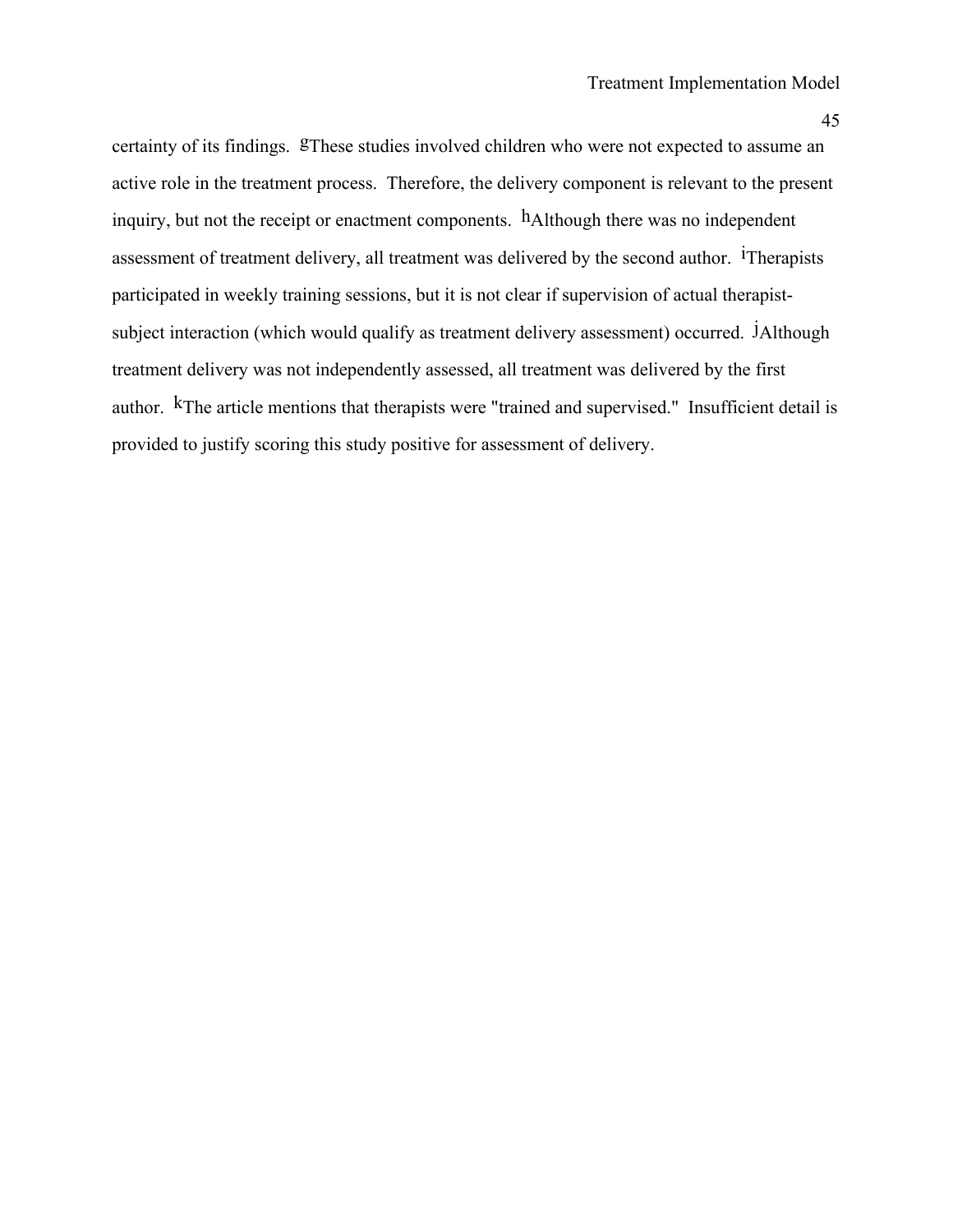certainty of its findings. *gThese studies involved children who were not expected to assume an* active role in the treatment process. Therefore, the delivery component is relevant to the present inquiry, but not the receipt or enactment components. <sup>h</sup>Although there was no independent assessment of treatment delivery, all treatment was delivered by the second author. <sup>i</sup>Therapists participated in weekly training sessions, but it is not clear if supervision of actual therapistsubject interaction (which would qualify as treatment delivery assessment) occurred. jAlthough treatment delivery was not independently assessed, all treatment was delivered by the first author. <sup>k</sup>The article mentions that therapists were "trained and supervised." Insufficient detail is provided to justify scoring this study positive for assessment of delivery.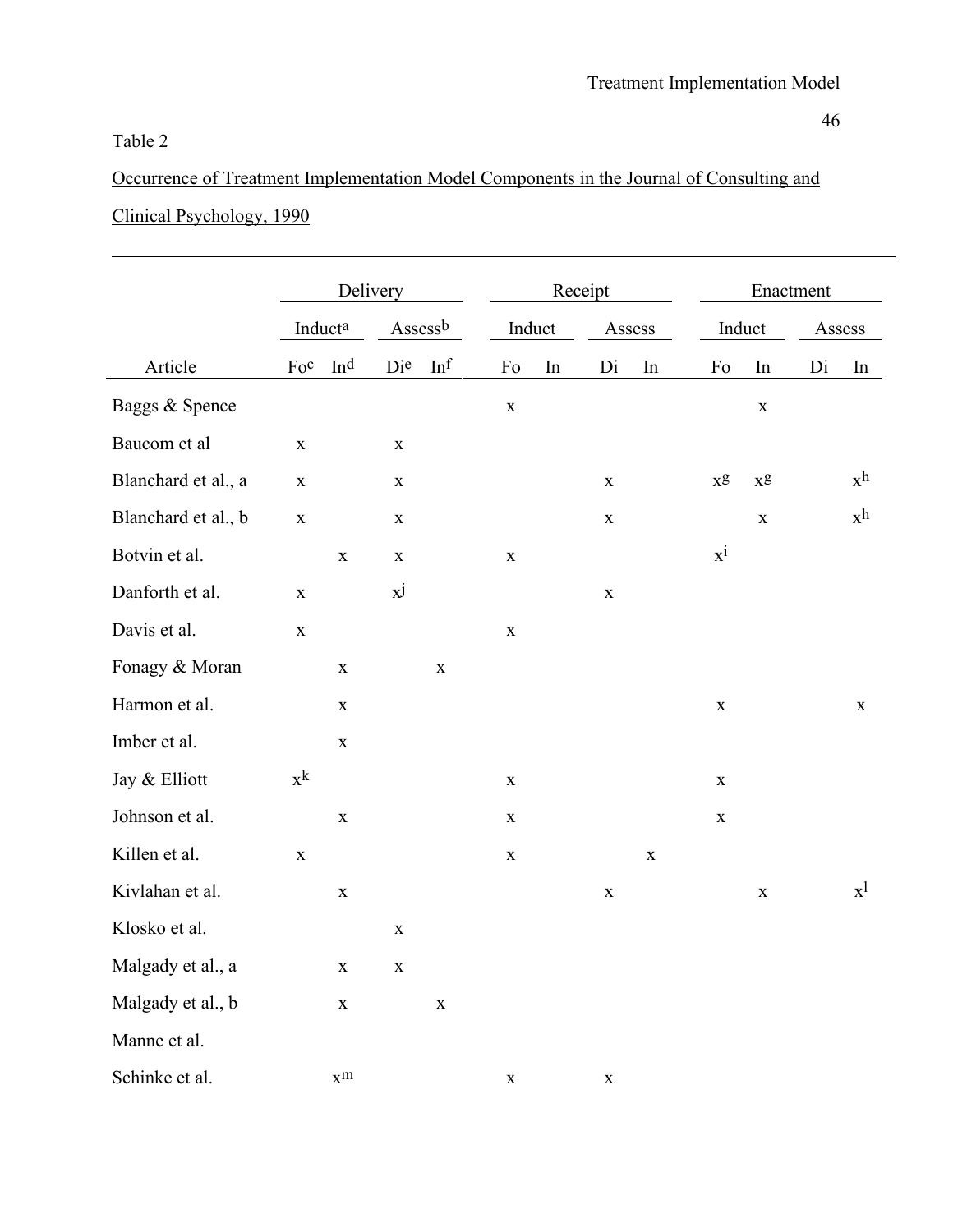# Table 2

# Occurrence of Treatment Implementation Model Components in the Journal of Consulting and Clinical Psychology, 1990

|                     | Delivery        |                           |             |             |             | Receipt |             |             | Enactment                 |             |    |                |
|---------------------|-----------------|---------------------------|-------------|-------------|-------------|---------|-------------|-------------|---------------------------|-------------|----|----------------|
|                     |                 | Induct <sup>a</sup>       | Assessb     |             |             | Induct  |             | Assess      |                           | Induct      |    | Assess         |
| Article             | Fo <sup>c</sup> | In <sup>d</sup>           | $Di^e$      | Inf         | Fo          | In      | Di          | In          | Fo                        | In          | Di | In             |
| Baggs & Spence      |                 |                           |             |             | $\mathbf X$ |         |             |             |                           | $\mathbf X$ |    |                |
| Baucom et al        | $\mathbf X$     |                           | $\mathbf X$ |             |             |         |             |             |                           |             |    |                |
| Blanchard et al., a | $\mathbf X$     |                           | $\mathbf X$ |             |             |         | $\mathbf X$ |             | $\mathbf{x}^{\text{g}}$   | xg          |    | x <sup>h</sup> |
| Blanchard et al., b | $\mathbf X$     |                           | $\mathbf X$ |             |             |         | $\mathbf X$ |             |                           | $\mathbf X$ |    | x <sup>h</sup> |
| Botvin et al.       |                 | $\mathbf X$               | $\mathbf X$ |             | $\mathbf X$ |         |             |             | $\mathbf{x}^{\mathbf{i}}$ |             |    |                |
| Danforth et al.     | $\mathbf X$     |                           | $x^{j}$     |             |             |         | $\mathbf X$ |             |                           |             |    |                |
| Davis et al.        | $\mathbf X$     |                           |             |             | $\mathbf X$ |         |             |             |                           |             |    |                |
| Fonagy & Moran      |                 | $\mathbf X$               |             | $\mathbf X$ |             |         |             |             |                           |             |    |                |
| Harmon et al.       |                 | $\mathbf X$               |             |             |             |         |             |             | $\mathbf X$               |             |    | $\mathbf X$    |
| Imber et al.        |                 | $\mathbf X$               |             |             |             |         |             |             |                           |             |    |                |
| Jay & Elliott       | $x^{k}$         |                           |             |             | $\mathbf X$ |         |             |             | $\mathbf X$               |             |    |                |
| Johnson et al.      |                 | $\mathbf X$               |             |             | $\mathbf X$ |         |             |             | $\mathbf X$               |             |    |                |
| Killen et al.       | $\mathbf X$     |                           |             |             | $\mathbf X$ |         |             | $\mathbf X$ |                           |             |    |                |
| Kivlahan et al.     |                 | $\mathbf X$               |             |             |             |         | $\mathbf X$ |             |                           | $\mathbf X$ |    | $x^l$          |
| Klosko et al.       |                 |                           | $\mathbf X$ |             |             |         |             |             |                           |             |    |                |
| Malgady et al., a   |                 | $\mathbf X$               | $\mathbf X$ |             |             |         |             |             |                           |             |    |                |
| Malgady et al., b   |                 | $\mathbf X$               |             | $\mathbf X$ |             |         |             |             |                           |             |    |                |
| Manne et al.        |                 |                           |             |             |             |         |             |             |                           |             |    |                |
| Schinke et al.      |                 | $\mathbf{x}^{\mathbf{m}}$ |             |             | $\mathbf X$ |         | $\mathbf X$ |             |                           |             |    |                |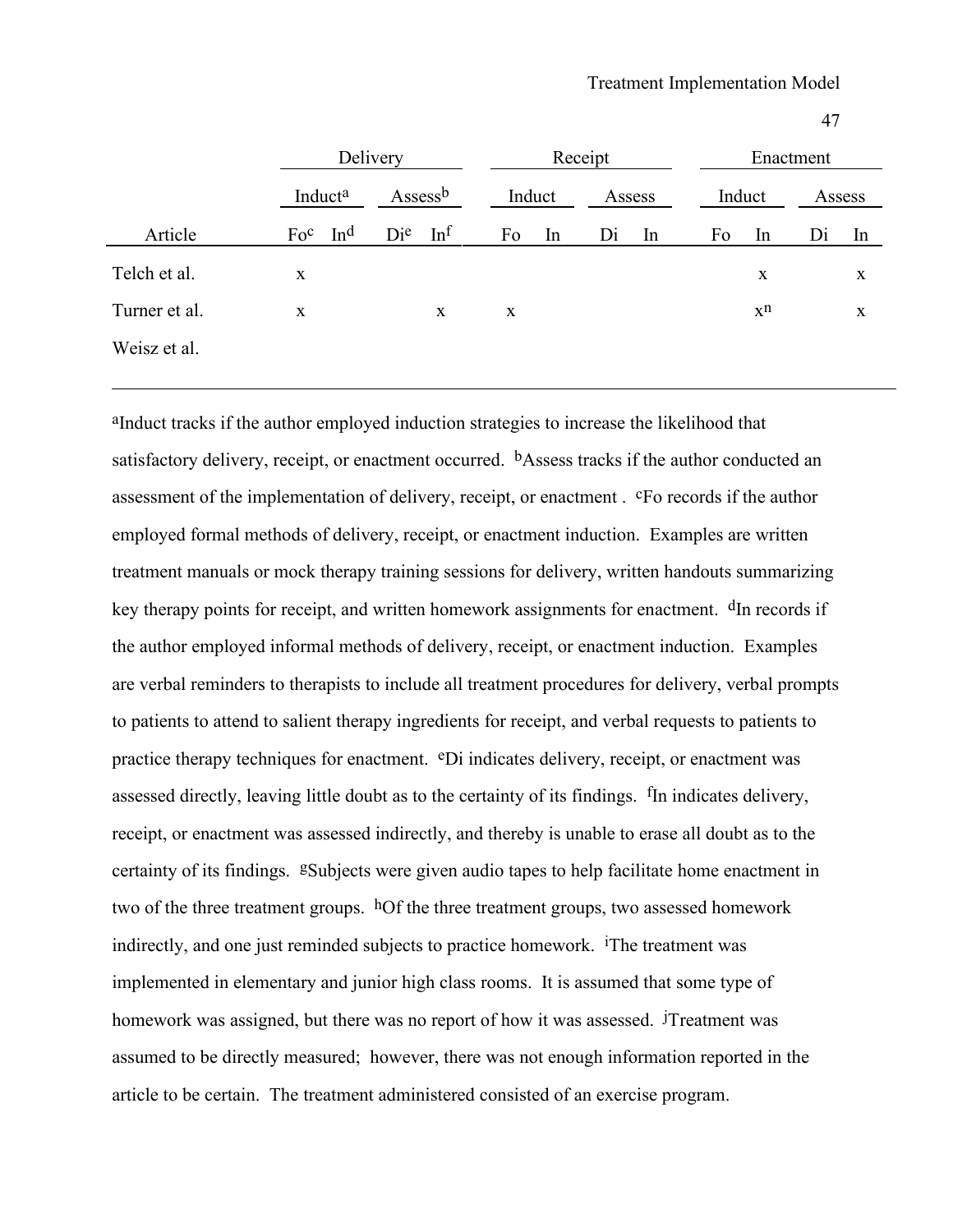| I |  |
|---|--|
|---|--|

|               | Delivery                           |                        | Receipt  |          | Enactment |             |  |  |
|---------------|------------------------------------|------------------------|----------|----------|-----------|-------------|--|--|
|               | Inducta                            | Assessb                | Induct   | Assess   | Induct    | Assess      |  |  |
| Article       | In <sup>d</sup><br>Fo <sup>c</sup> | Inf<br>Di <sup>e</sup> | Fo<br>In | Di<br>In | Fo<br>In  | Di<br>$\ln$ |  |  |
| Telch et al.  | $\mathbf X$                        |                        |          |          | X         | X           |  |  |
| Turner et al. | X                                  | X                      | X        |          | $x^n$     | X           |  |  |
| Weisz et al.  |                                    |                        |          |          |           |             |  |  |

aInduct tracks if the author employed induction strategies to increase the likelihood that satisfactory delivery, receipt, or enactment occurred. <sup>b</sup>Assess tracks if the author conducted an assessment of the implementation of delivery, receipt, or enactment . <sup>c</sup>Fo records if the author employed formal methods of delivery, receipt, or enactment induction. Examples are written treatment manuals or mock therapy training sessions for delivery, written handouts summarizing key therapy points for receipt, and written homework assignments for enactment. <sup>d</sup>In records if the author employed informal methods of delivery, receipt, or enactment induction. Examples are verbal reminders to therapists to include all treatment procedures for delivery, verbal prompts to patients to attend to salient therapy ingredients for receipt, and verbal requests to patients to practice therapy techniques for enactment. eDi indicates delivery, receipt, or enactment was assessed directly, leaving little doubt as to the certainty of its findings. <sup>f</sup>In indicates delivery, receipt, or enactment was assessed indirectly, and thereby is unable to erase all doubt as to the certainty of its findings. gSubjects were given audio tapes to help facilitate home enactment in two of the three treatment groups. hOf the three treatment groups, two assessed homework indirectly, and one just reminded subjects to practice homework. <sup>i</sup>The treatment was implemented in elementary and junior high class rooms. It is assumed that some type of homework was assigned, but there was no report of how it was assessed. JTreatment was assumed to be directly measured; however, there was not enough information reported in the article to be certain. The treatment administered consisted of an exercise program.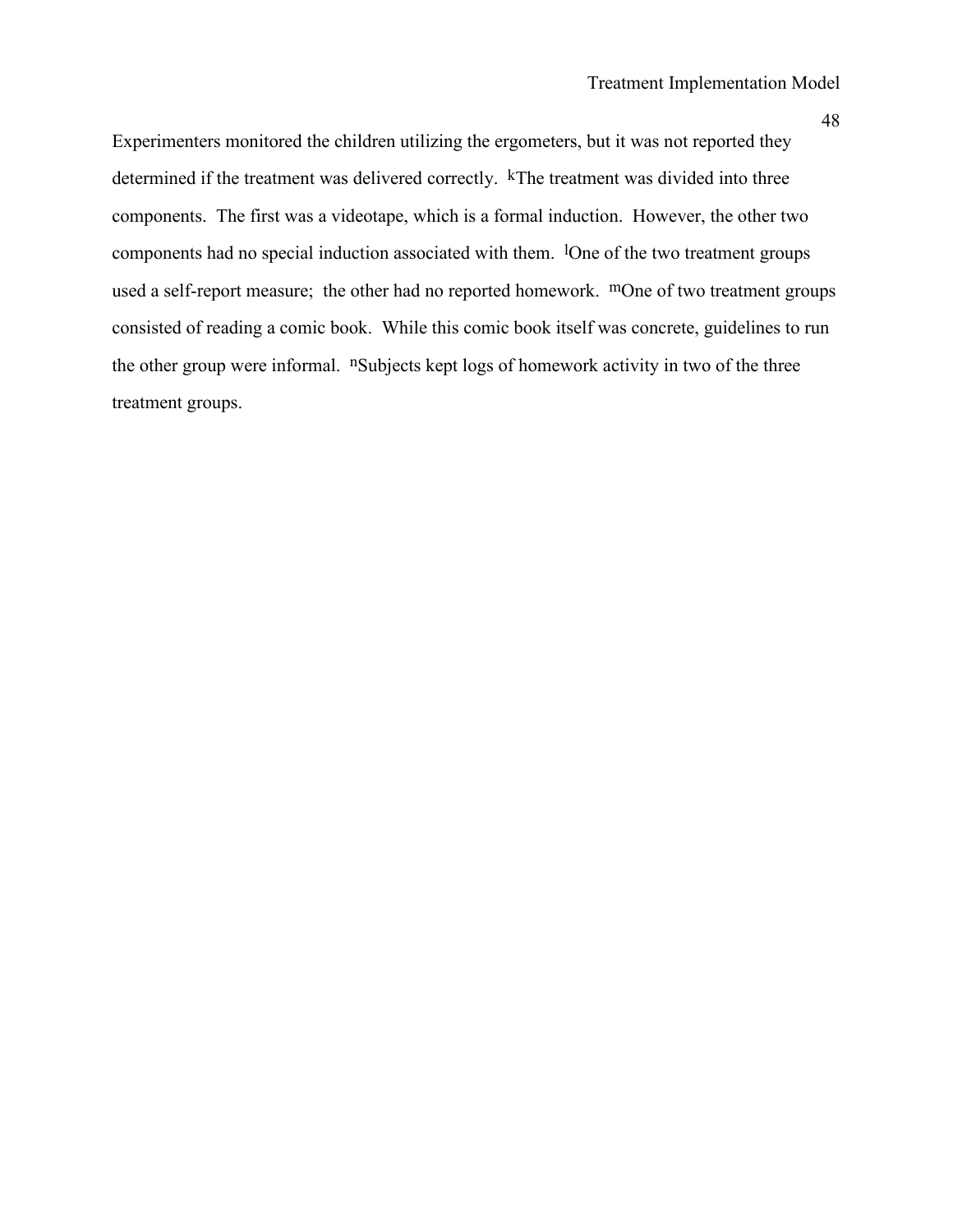Experimenters monitored the children utilizing the ergometers, but it was not reported they determined if the treatment was delivered correctly. <sup>k</sup>The treatment was divided into three components. The first was a videotape, which is a formal induction. However, the other two components had no special induction associated with them. <sup>1</sup>One of the two treatment groups used a self-report measure; the other had no reported homework. mOne of two treatment groups consisted of reading a comic book. While this comic book itself was concrete, guidelines to run the other group were informal. nSubjects kept logs of homework activity in two of the three treatment groups.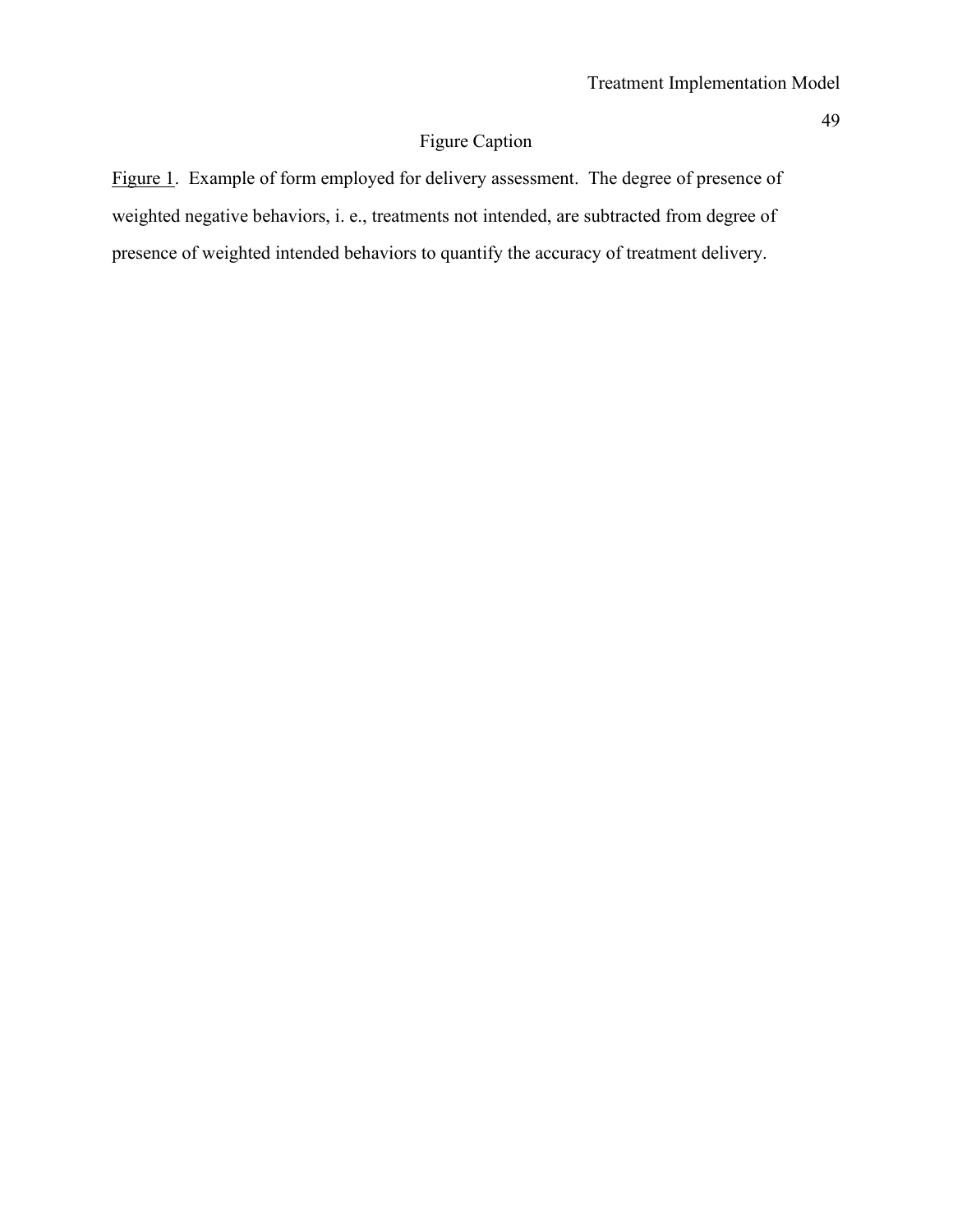# Figure Caption

Figure 1. Example of form employed for delivery assessment. The degree of presence of weighted negative behaviors, i. e., treatments not intended, are subtracted from degree of presence of weighted intended behaviors to quantify the accuracy of treatment delivery.